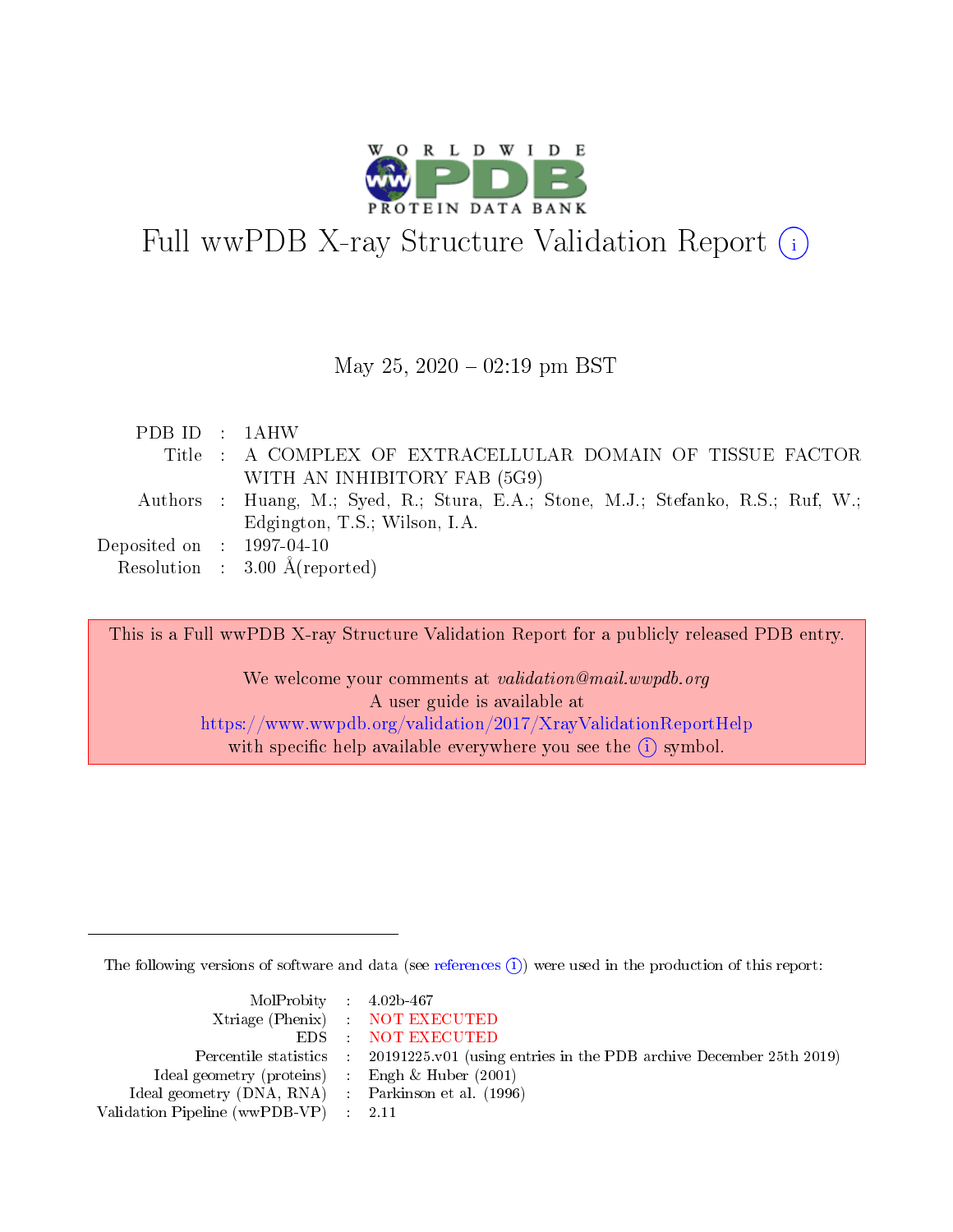

# Full wwPDB X-ray Structure Validation Report  $(i)$

#### May 25,  $2020 - 02:19$  pm BST

| PDB ID : 1AHW                  |                                                                                   |
|--------------------------------|-----------------------------------------------------------------------------------|
|                                | Title : A COMPLEX OF EXTRACELLULAR DOMAIN OF TISSUE FACTOR                        |
|                                | WITH AN INHIBITORY FAB (5G9)                                                      |
|                                | Authors : Huang, M.; Syed, R.; Stura, E.A.; Stone, M.J.; Stefanko, R.S.; Ruf, W.; |
|                                | Edgington, T.S.; Wilson, I.A.                                                     |
| Deposited on $\;$ : 1997-04-10 |                                                                                   |
|                                | Resolution : $3.00 \text{ Å}$ (reported)                                          |

This is a Full wwPDB X-ray Structure Validation Report for a publicly released PDB entry. We welcome your comments at validation@mail.wwpdb.org A user guide is available at <https://www.wwpdb.org/validation/2017/XrayValidationReportHelp> with specific help available everywhere you see the  $(i)$  symbol.

The following versions of software and data (see [references](https://www.wwpdb.org/validation/2017/XrayValidationReportHelp#references)  $\overline{(1)}$ ) were used in the production of this report:

| $MolProbability$ 4.02b-467                          |                                                                    |
|-----------------------------------------------------|--------------------------------------------------------------------|
|                                                     | Xtriage (Phenix) NOT EXECUTED                                      |
|                                                     | EDS : NOT EXECUTED                                                 |
| Percentile statistics :                             | 20191225.v01 (using entries in the PDB archive December 25th 2019) |
| Ideal geometry (proteins) :                         | Engh $\&$ Huber (2001)                                             |
| Ideal geometry (DNA, RNA) : Parkinson et al. (1996) |                                                                    |
| Validation Pipeline (wwPDB-VP) : 2.11               |                                                                    |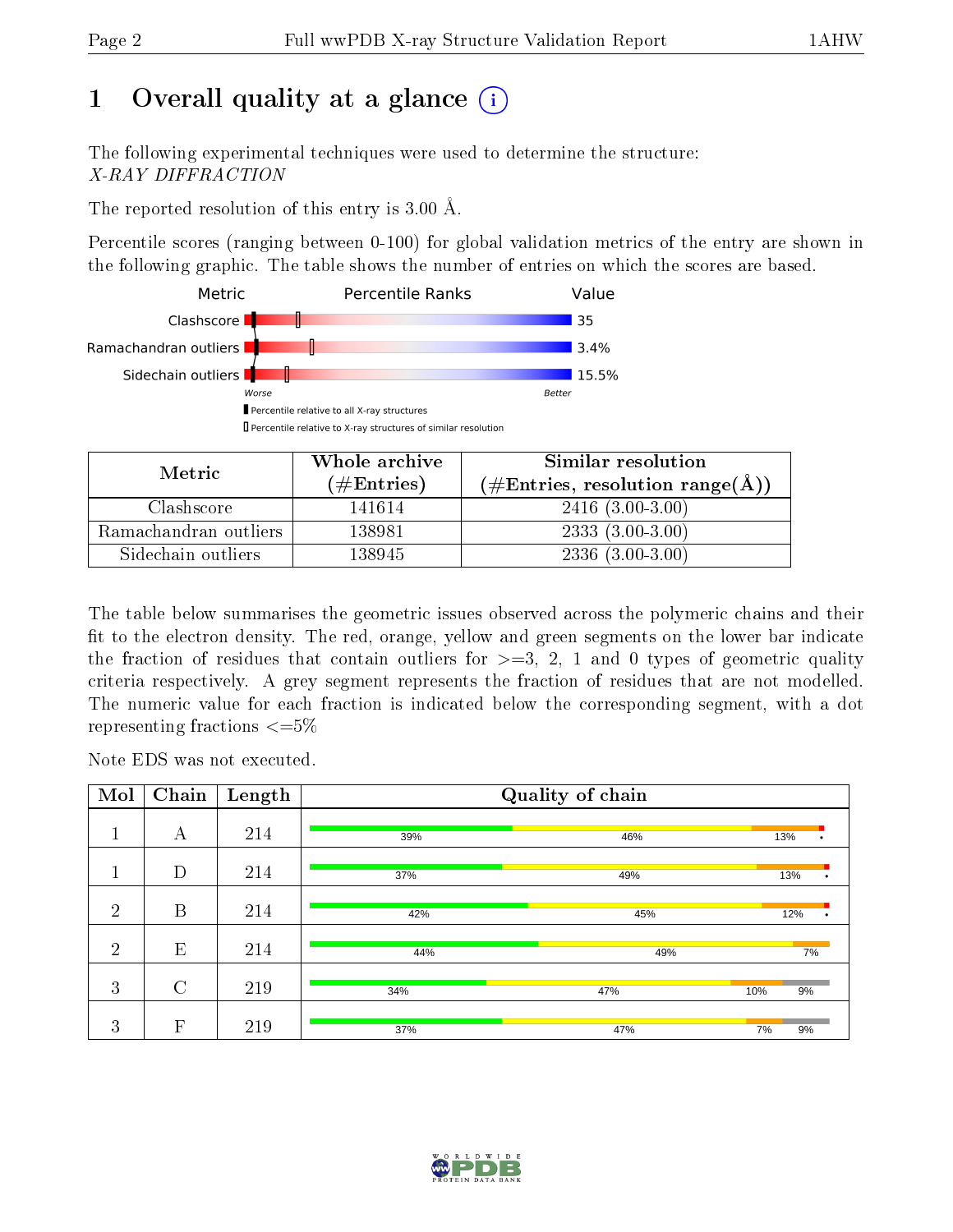# 1 [O](https://www.wwpdb.org/validation/2017/XrayValidationReportHelp#overall_quality)verall quality at a glance  $(i)$

The following experimental techniques were used to determine the structure: X-RAY DIFFRACTION

The reported resolution of this entry is 3.00 Å.

Percentile scores (ranging between 0-100) for global validation metrics of the entry are shown in the following graphic. The table shows the number of entries on which the scores are based.



| Metric                | Whole archive       | Similar resolution                                 |
|-----------------------|---------------------|----------------------------------------------------|
|                       | (# $\rm{Entries}$ ) | $(\text{\#Entries, resolution range}(\text{\AA}))$ |
| Clashscore            | 141614              | $2416(3.00-3.00)$                                  |
| Ramachandran outliers | 138981              | $2333(3.00-3.00)$                                  |
| Sidechain outliers    | 138945              | $2336(3.00-3.00)$                                  |

The table below summarises the geometric issues observed across the polymeric chains and their fit to the electron density. The red, orange, yellow and green segments on the lower bar indicate the fraction of residues that contain outliers for  $\geq=3$ , 2, 1 and 0 types of geometric quality criteria respectively. A grey segment represents the fraction of residues that are not modelled. The numeric value for each fraction is indicated below the corresponding segment, with a dot representing fractions  $\epsilon = 5\%$ 

Note EDS was not executed.

| Mol            | Chain                     | Length |     | Quality of chain |           |
|----------------|---------------------------|--------|-----|------------------|-----------|
| п              | А                         | 214    | 39% | 46%              | 13%       |
|                | D                         | 214    | 37% | 49%              | 13%       |
| $\overline{2}$ | B                         | 214    | 42% | 45%              | 12%<br>٠  |
| $\overline{2}$ | E                         | 214    | 44% | 49%              | 7%        |
| 3              | $\mathcal{C}$             | 219    | 34% | 47%              | 10%<br>9% |
| 3              | $\boldsymbol{\mathrm{F}}$ | 219    | 37% | 47%              | 7%<br>9%  |

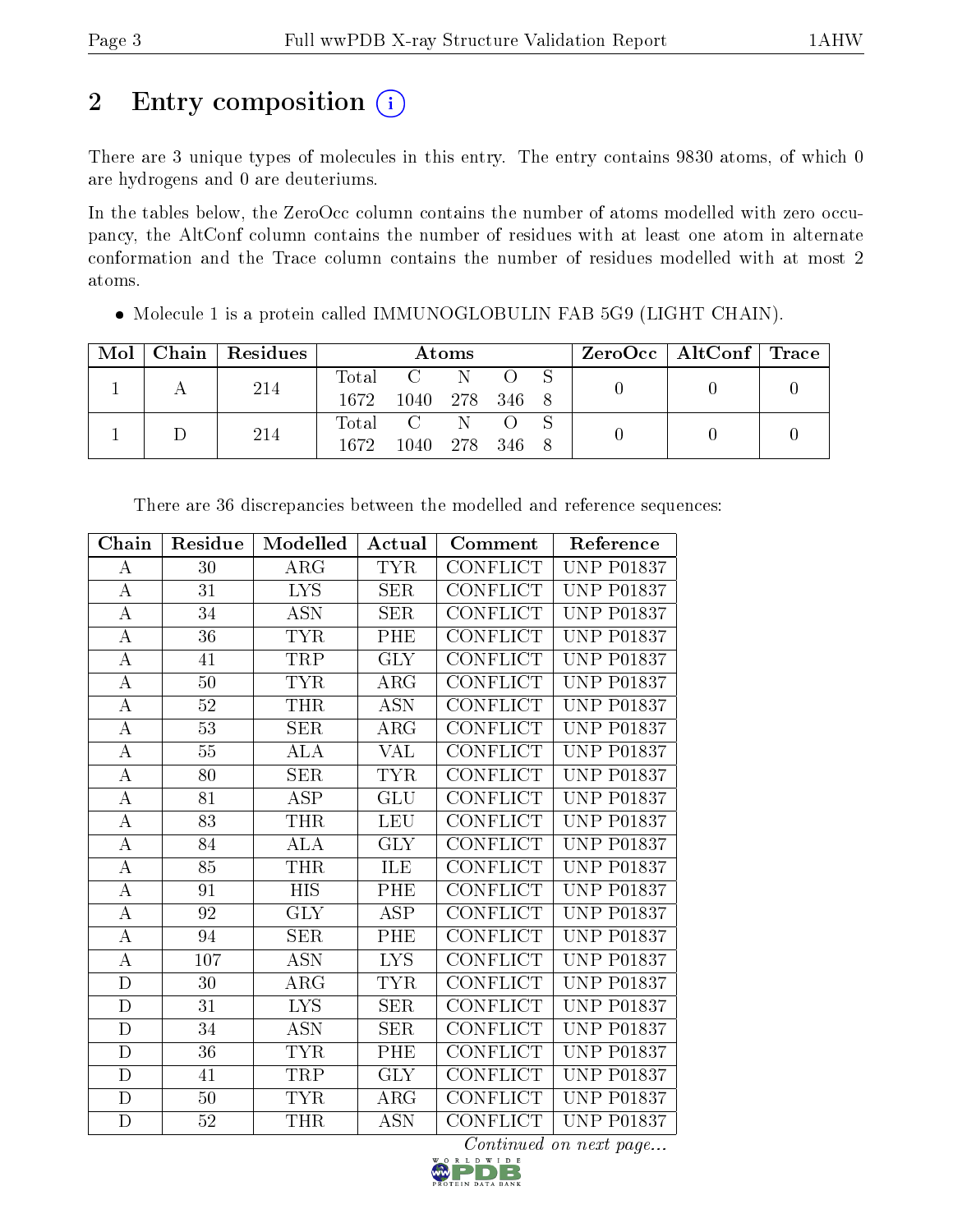# 2 Entry composition (i)

There are 3 unique types of molecules in this entry. The entry contains 9830 atoms, of which 0 are hydrogens and 0 are deuteriums.

In the tables below, the ZeroOcc column contains the number of atoms modelled with zero occupancy, the AltConf column contains the number of residues with at least one atom in alternate conformation and the Trace column contains the number of residues modelled with at most 2 atoms.

| Mol | Chain   Residues | Atoms |                |     |           |  | $\rm ZeroOcc$   AltConf   Trace |  |
|-----|------------------|-------|----------------|-----|-----------|--|---------------------------------|--|
|     | 214              | Total | $C = N$        |     |           |  |                                 |  |
|     |                  | 1672  | 1040 278 346 8 |     |           |  |                                 |  |
|     | 214              | Total |                | - N |           |  |                                 |  |
|     |                  | 1672. | -1040-         |     | 278 346 8 |  |                                 |  |

 $\bullet$  Molecule 1 is a protein called IMMUNOGLOBULIN FAB 5G9 (LIGHT CHAIN).

| Chain            | Residue         | Modelled   | Actual     | Comment         | Reference         |
|------------------|-----------------|------------|------------|-----------------|-------------------|
| А                | 30              | ARG        | <b>TYR</b> | <b>CONFLICT</b> | <b>UNP P01837</b> |
| А                | 31              | <b>LYS</b> | <b>SER</b> | <b>CONFLICT</b> | <b>UNP P01837</b> |
| A                | 34              | ASN        | <b>SER</b> | CONFLICT        | <b>UNP P01837</b> |
| $\boldsymbol{A}$ | 36              | <b>TYR</b> | PHE        | <b>CONFLICT</b> | <b>UNP P01837</b> |
| А                | 41              | TRP        | <b>GLY</b> | CONFLICT        | <b>UNP P01837</b> |
| А                | 50              | <b>TYR</b> | $\rm{ARG}$ | <b>CONFLICT</b> | <b>UNP P01837</b> |
| A                | 52              | THR        | ASN        | CONFLICT        | <b>UNP P01837</b> |
| А                | 53              | <b>SER</b> | ARG        | <b>CONFLICT</b> | <b>UNP P01837</b> |
| $\boldsymbol{A}$ | $55\,$          | ALA        | VAL        | <b>CONFLICT</b> | <b>UNP P01837</b> |
| $\boldsymbol{A}$ | 80              | <b>SER</b> | <b>TYR</b> | <b>CONFLICT</b> | <b>UNP P01837</b> |
| $\boldsymbol{A}$ | 81              | <b>ASP</b> | <b>GLU</b> | <b>CONFLICT</b> | <b>UNP P01837</b> |
| $\boldsymbol{A}$ | $\overline{83}$ | <b>THR</b> | <b>LEU</b> | CONFLICT        | <b>UNP P01837</b> |
| А                | 84              | ALA        | GLY        | <b>CONFLICT</b> | <b>UNP P01837</b> |
| $\bf{A}$         | 85              | <b>THR</b> | ILE        | CONFLICT        | <b>UNP P01837</b> |
| А                | 91              | <b>HIS</b> | PHE        | <b>CONFLICT</b> | <b>UNP P01837</b> |
| $\boldsymbol{A}$ | 92              | <b>GLY</b> | ASP        | <b>CONFLICT</b> | <b>UNP P01837</b> |
| A                | 94              | <b>SER</b> | PHE        | CONFLICT        | <b>UNP P01837</b> |
| $\bf{A}$         | 107             | ASN        | <b>LYS</b> | <b>CONFLICT</b> | <b>UNP P01837</b> |
| $\mathbf D$      | 30              | $\rm{ARG}$ | <b>TYR</b> | CONFLICT        | <b>UNP P01837</b> |
| $\mathbf D$      | 31              | <b>LYS</b> | <b>SER</b> | <b>CONFLICT</b> | <b>UNP P01837</b> |
| $\mathbf D$      | 34              | <b>ASN</b> | <b>SER</b> | <b>CONFLICT</b> | <b>UNP P01837</b> |
| D                | 36              | <b>TYR</b> | PHE        | <b>CONFLICT</b> | <b>UNP P01837</b> |
| $\mathbf D$      | 41              | TRP        | <b>GLY</b> | <b>CONFLICT</b> | <b>UNP P01837</b> |
| $\mathbf D$      | 50              | <b>TYR</b> | $\rm{ARG}$ | CONFLICT        | <b>UNP P01837</b> |
| $\mathbf D$      | 52              | THR        | ASN        | <b>CONFLICT</b> | <b>UNP P01837</b> |

There are 36 discrepancies between the modelled and reference sequences:

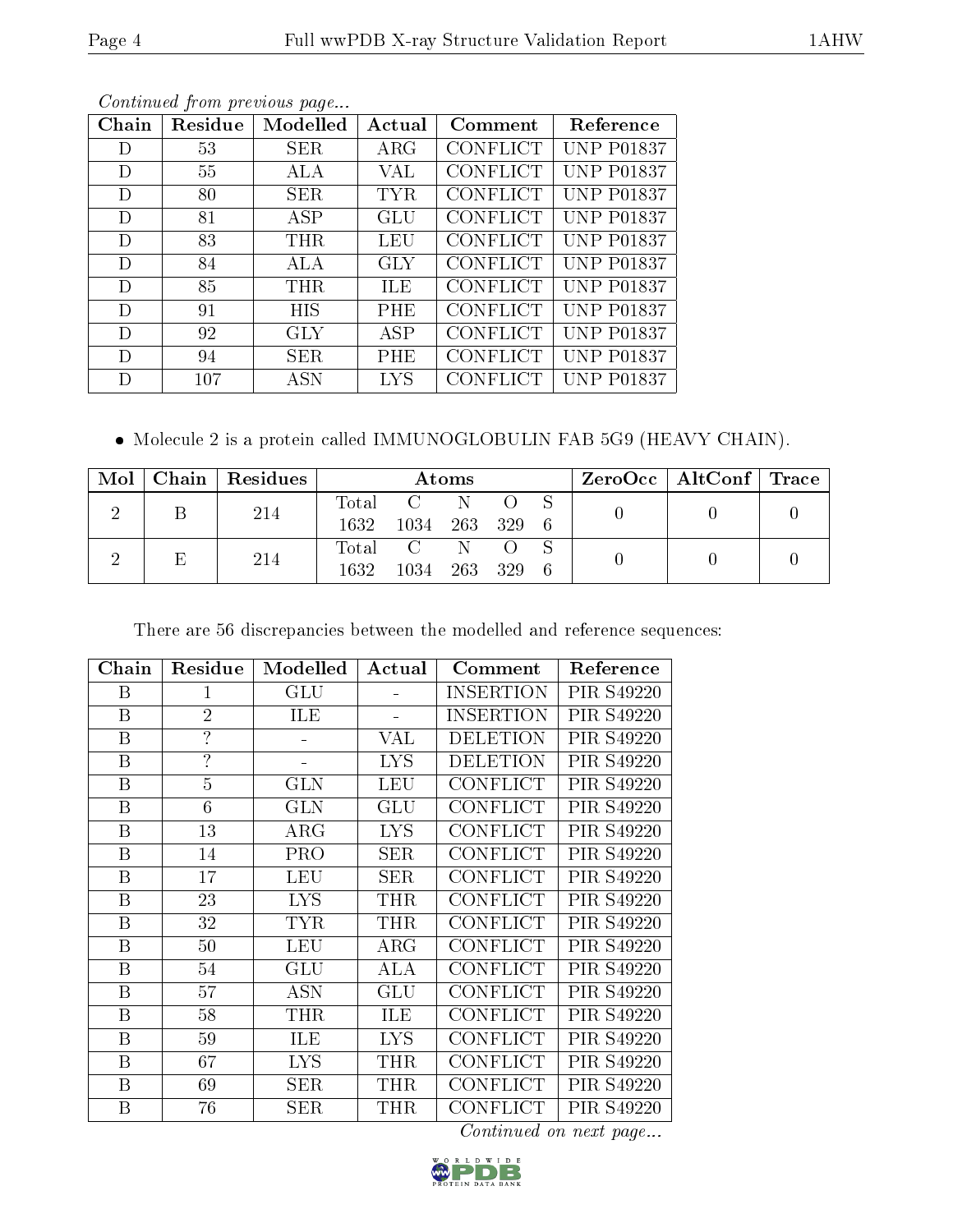| Chain | Residue | Modelled   | Actual     | Comment         | Reference         |
|-------|---------|------------|------------|-----------------|-------------------|
| D     | 53      | <b>SER</b> | ARG        | <b>CONFLICT</b> | <b>UNP P01837</b> |
| D     | 55      | ALA        | VAL        | <b>CONFLICT</b> | <b>UNP P01837</b> |
| D     | 80      | SER        | <b>TYR</b> | <b>CONFLICT</b> | <b>UNP P01837</b> |
| D     | 81      | ASP        | GLU        | <b>CONFLICT</b> | <b>UNP P01837</b> |
| D     | 83      | <b>THR</b> | LEU        | <b>CONFLICT</b> | <b>UNP P01837</b> |
| D     | 84      | ALA        | <b>GLY</b> | <b>CONFLICT</b> | <b>UNP P01837</b> |
| D     | 85      | <b>THR</b> | ILE        | <b>CONFLICT</b> | <b>UNP P01837</b> |
| D     | 91      | HIS        | PHE        | <b>CONFLICT</b> | <b>UNP P01837</b> |
| D     | 92      | GLY        | <b>ASP</b> | <b>CONFLICT</b> | <b>UNP P01837</b> |
| D     | 94      | <b>SER</b> | PHE        | <b>CONFLICT</b> | <b>UNP P01837</b> |
| D     | 107     | <b>ASN</b> | <b>LYS</b> | <b>CONFLICT</b> | <b>UNP P01837</b> |

Molecule 2 is a protein called IMMUNOGLOBULIN FAB 5G9 (HEAVY CHAIN).

| $\text{Mol}$ | Chain   Residues | Atoms |           |         |  |     | $\text{ZeroOcc} \mid \text{AltConf} \mid \text{Trace}$ |  |
|--------------|------------------|-------|-----------|---------|--|-----|--------------------------------------------------------|--|
|              |                  |       | Total C N |         |  |     |                                                        |  |
|              | 214              | 1632  | 1034      | 263 329 |  | - 6 |                                                        |  |
|              | 214              |       | Total C   | - N     |  |     |                                                        |  |
|              |                  | 1632  | 1034      | 263 329 |  | - 6 |                                                        |  |

There are 56 discrepancies between the modelled and reference sequences:

| Chain            | Residue                  | Modelled   | Actual     | Comment          | Reference  |
|------------------|--------------------------|------------|------------|------------------|------------|
| B                | 1                        | <b>GLU</b> |            | <b>INSERTION</b> | PIR S49220 |
| B                | $\overline{2}$           | ILE        |            | <b>INSERTION</b> | PIR S49220 |
| $\boldsymbol{B}$ | $\overline{\mathcal{L}}$ |            | VAL        | <b>DELETION</b>  | PIR S49220 |
| B                | $\overline{?}$           |            | <b>LYS</b> | <b>DELETION</b>  | PIR S49220 |
| B                | $\overline{5}$           | GLN        | <b>LEU</b> | <b>CONFLICT</b>  | PIR S49220 |
| $\boldsymbol{B}$ | 6                        | <b>GLN</b> | GLU        | <b>CONFLICT</b>  | PIR S49220 |
| B                | 13                       | $\rm{ARG}$ | <b>LYS</b> | <b>CONFLICT</b>  | PIR S49220 |
| B                | 14                       | <b>PRO</b> | <b>SER</b> | <b>CONFLICT</b>  | PIR S49220 |
| B                | 17                       | <b>LEU</b> | <b>SER</b> | CONFLICT         | PIR S49220 |
| B                | 23                       | <b>LYS</b> | <b>THR</b> | <b>CONFLICT</b>  | PIR S49220 |
| B                | 32                       | <b>TYR</b> | <b>THR</b> | <b>CONFLICT</b>  | PIR S49220 |
| B                | $50\,$                   | LEU        | $\rm{ARG}$ | <b>CONFLICT</b>  | PIR S49220 |
| B                | 54                       | <b>GLU</b> | ALA        | <b>CONFLICT</b>  | PIR S49220 |
| B                | 57                       | <b>ASN</b> | GLU        | <b>CONFLICT</b>  | PIR S49220 |
| B                | 58                       | <b>THR</b> | ILE        | <b>CONFLICT</b>  | PIR S49220 |
| B                | 59                       | ILE        | <b>LYS</b> | <b>CONFLICT</b>  | PIR S49220 |
| B                | 67                       | <b>LYS</b> | <b>THR</b> | <b>CONFLICT</b>  | PIR S49220 |
| B                | 69                       | <b>SER</b> | <b>THR</b> | <b>CONFLICT</b>  | PIR S49220 |
| B                | 76                       | SER        | <b>THR</b> | CONFLICT         | PIR S49220 |

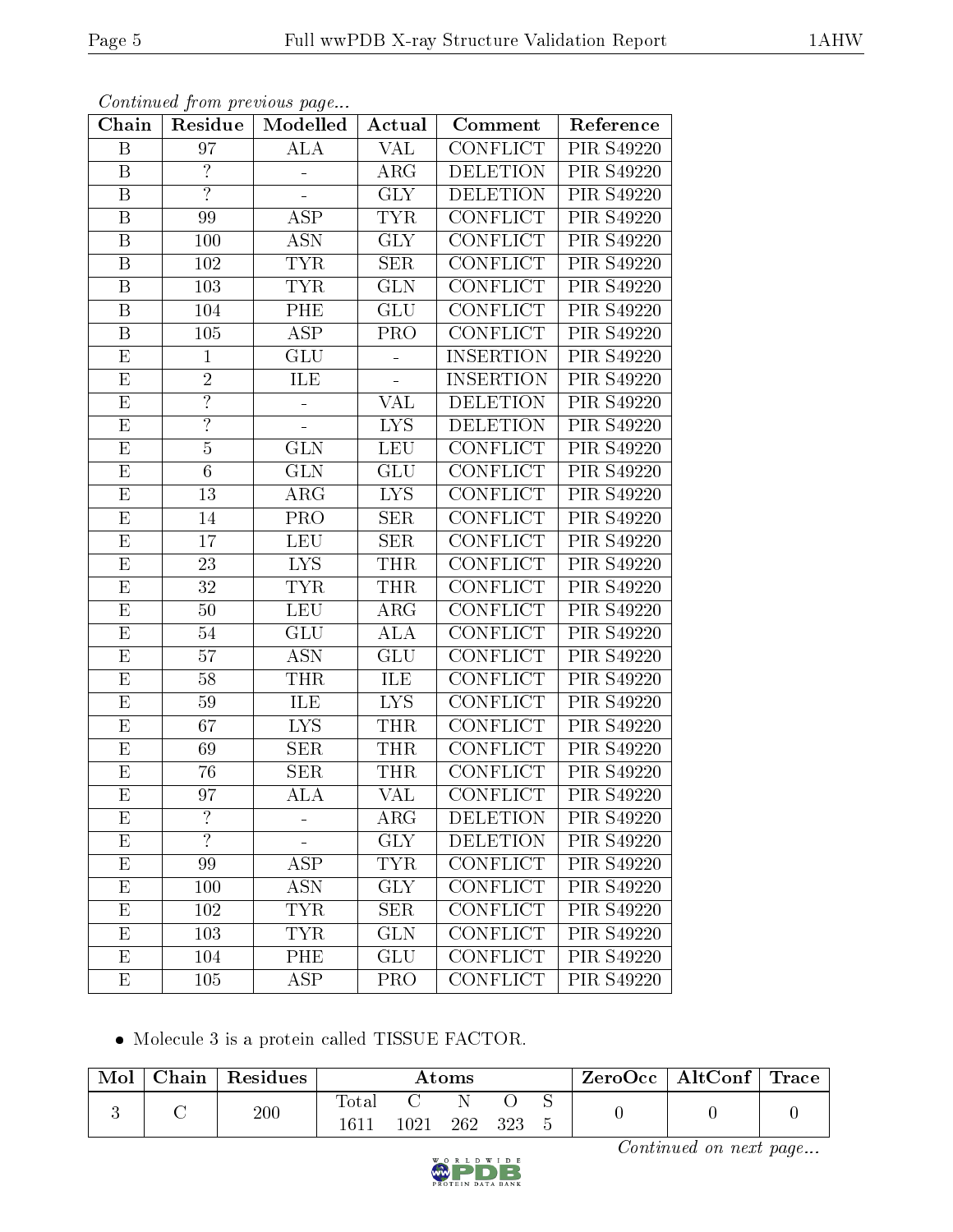| Chain                   | Residue                  | Modelled                | Actual                   | Comment          | Reference         |
|-------------------------|--------------------------|-------------------------|--------------------------|------------------|-------------------|
| B                       | 97                       | $\overline{\text{ALA}}$ | <b>VAL</b>               | <b>CONFLICT</b>  | <b>PIR S49220</b> |
| B                       | $\overline{\mathcal{L}}$ |                         | ARG                      | DELETION         | PIR S49220        |
| $\overline{\mathrm{B}}$ | $\overline{?}$           |                         | $\overline{\text{GLY}}$  | <b>DELETION</b>  | <b>PIR S49220</b> |
| B                       | 99                       | <b>ASP</b>              | <b>TYR</b>               | CONFLICT         | PIR S49220        |
| $\overline{\mathrm{B}}$ | 100                      | <b>ASN</b>              | $\overline{\text{GLY}}$  | <b>CONFLICT</b>  | <b>PIR S49220</b> |
| $\boldsymbol{B}$        | 102                      | <b>TYR</b>              | <b>SER</b>               | <b>CONFLICT</b>  | PIR S49220        |
| B                       | 103                      | <b>TYR</b>              | <b>GLN</b>               | <b>CONFLICT</b>  | PIR S49220        |
| B                       | 104                      | PHE                     | GLU                      | CONFLICT         | PIR S49220        |
| B                       | 105                      | <b>ASP</b>              | PRO                      | <b>CONFLICT</b>  | PIR S49220        |
| E                       | $\mathbf{1}$             | <b>GLU</b>              | $\overline{\phantom{a}}$ | <b>INSERTION</b> | PIR S49220        |
| E                       | $\overline{2}$           | ILE                     | L,                       | <b>INSERTION</b> | PIR S49220        |
| $\overline{\mathrm{E}}$ | $\overline{?}$           |                         | VAL                      | <b>DELETION</b>  | PIR S49220        |
| E                       | $\overline{?}$           |                         | <b>LYS</b>               | <b>DELETION</b>  | PIR S49220        |
| E                       | $\overline{5}$           | <b>GLN</b>              | <b>LEU</b>               | <b>CONFLICT</b>  | PIR S49220        |
| $\overline{\mathrm{E}}$ | $\overline{6}$           | $\overline{\text{GLN}}$ | GLU                      | <b>CONFLICT</b>  | PIR S49220        |
| E                       | 13                       | $\rm{ARG}$              | <b>LYS</b>               | <b>CONFLICT</b>  | <b>PIR S49220</b> |
| E                       | 14                       | PRO                     | <b>SER</b>               | <b>CONFLICT</b>  | PIR S49220        |
| E                       | 17                       | <b>LEU</b>              | <b>SER</b>               | <b>CONFLICT</b>  | PIR S49220        |
| E                       | 23                       | <b>LYS</b>              | <b>THR</b>               | <b>CONFLICT</b>  | PIR S49220        |
| $\overline{E}$          | $\overline{32}$          | <b>TYR</b>              | <b>THR</b>               | <b>CONFLICT</b>  | <b>PIR S49220</b> |
| Е                       | 50                       | <b>LEU</b>              | ARG                      | CONFLICT         | PIR S49220        |
| E                       | 54                       | GLU                     | ALA                      | <b>CONFLICT</b>  | <b>PIR S49220</b> |
| E                       | 57                       | <b>ASN</b>              | GLU                      | CONFLICT         | PIR S49220        |
| $\overline{\mathrm{E}}$ | $\overline{58}$          | <b>THR</b>              | ILE                      | <b>CONFLICT</b>  | <b>PIR S49220</b> |
| E                       | 59                       | ILE                     | <b>LYS</b>               | <b>CONFLICT</b>  | PIR S49220        |
| E                       | 67                       | <b>LYS</b>              | <b>THR</b>               | <b>CONFLICT</b>  | <b>PIR S49220</b> |
| E                       | 69                       | <b>SER</b>              | THR                      | CONFLICT         | PIR S49220        |
| E                       | 76                       | <b>SER</b>              | <b>THR</b>               | <b>CONFLICT</b>  | PIR S49220        |
| E                       | 97                       | ${\rm ALA}$             | $\overline{\text{VAL}}$  | <b>CONFLICT</b>  | PIR S49220        |
| E                       | $\ddot{?}$               |                         | $\rm{ARG}$               | <b>DELETION</b>  | PIR S49220        |
| E                       | $\overline{?}$           |                         | <b>GLY</b>               | <b>DELETION</b>  | PIR S49220        |
| E                       | 99                       | $\overline{\text{ASP}}$ | <b>TYR</b>               | CONFLICT         | PIR S49220        |
| E                       | 100                      | <b>ASN</b>              | <b>GLY</b>               | <b>CONFLICT</b>  | PIR S49220        |
| E                       | 102                      | <b>TYR</b>              | <b>SER</b>               | <b>CONFLICT</b>  | PIR S49220        |
| E                       | 103                      | <b>TYR</b>              | <b>GLN</b>               | <b>CONFLICT</b>  | PIR S49220        |
| E                       | 104                      | PHE                     | GLU                      | <b>CONFLICT</b>  | <b>PIR S49220</b> |
| E                       | 105                      | <b>ASP</b>              | PRO                      | <b>CONFLICT</b>  | PIR S49220        |

Molecule 3 is a protein called TISSUE FACTOR.

| Mol | Chain | Residues | Atoms         |      |     |       | $\pm$ ZeroOcc $\pm$ | $\mid$ AltConf $\mid$ Trace $\mid$ |  |  |
|-----|-------|----------|---------------|------|-----|-------|---------------------|------------------------------------|--|--|
|     |       | 200      | Total<br>1611 | 1021 | 262 | - 323 |                     |                                    |  |  |

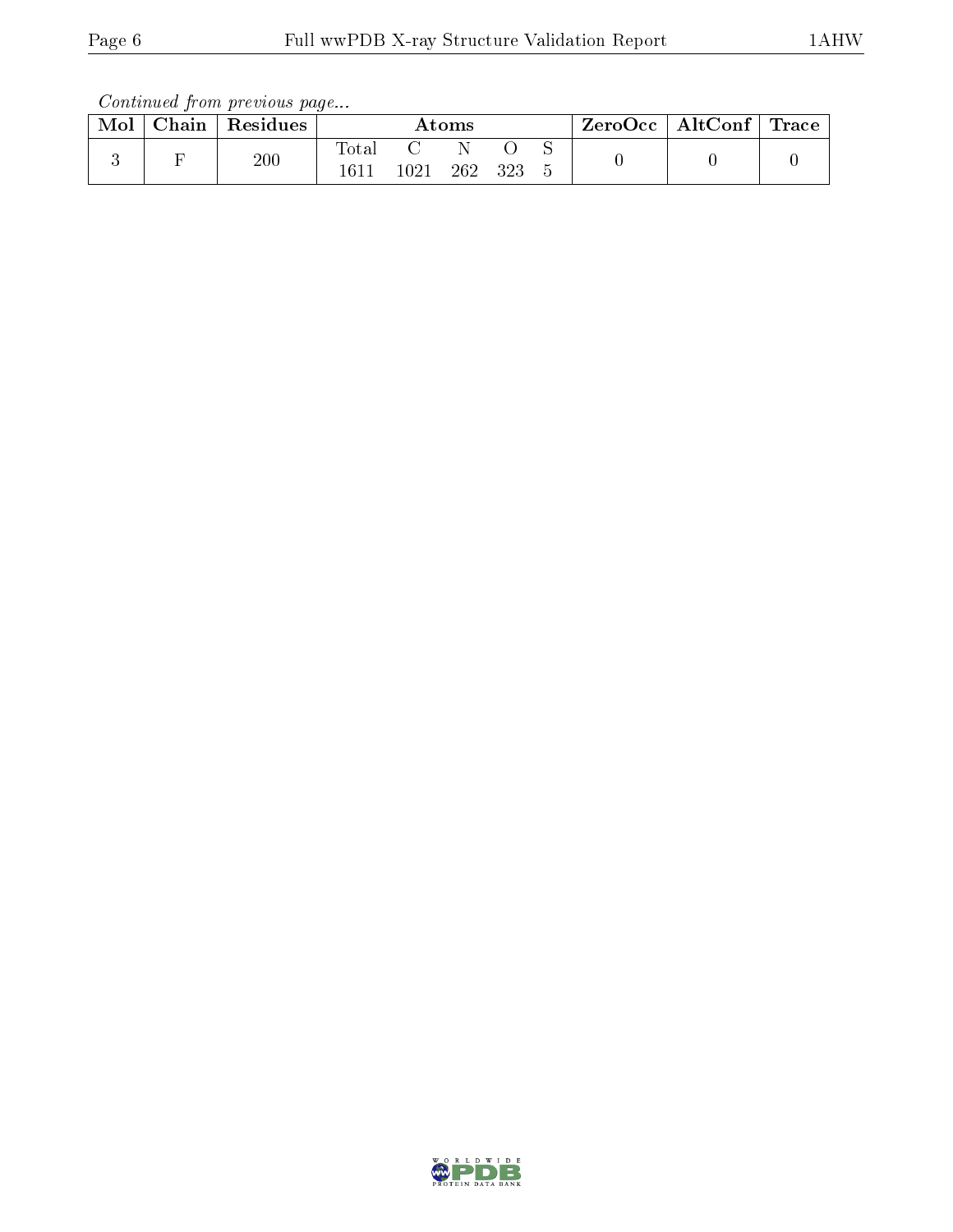| Mol | Chain | $\,$ Residues | Atoms |      |     | ZeroOcc | $\vert$ AltConf $\vert$ Trace |  |  |  |
|-----|-------|---------------|-------|------|-----|---------|-------------------------------|--|--|--|
|     |       | 200           | Totar | 1021 | 262 | ววว     |                               |  |  |  |

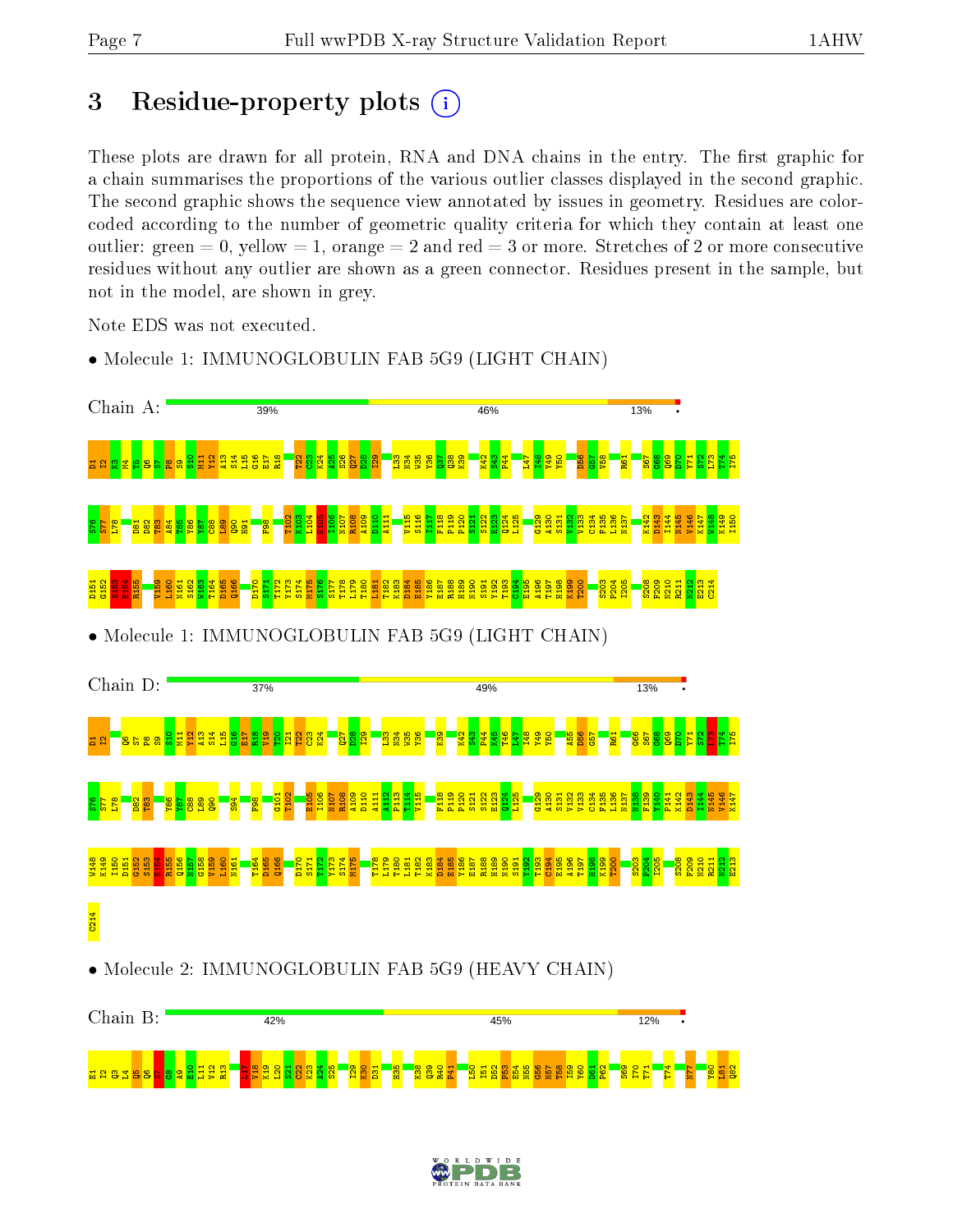anasta

 $^{\circ}$  $\overline{\mathbf{e}}$  $\frac{8}{10}$ L11  $\frac{2}{12}$ R13 <u>ات</u>  $\frac{8}{2}$ K19  $\frac{120}{2}$  $\frac{1}{2}$  $\frac{22}{2}$  $\frac{3}{2}$  $\frac{24}{2}$  $525$  $\frac{1}{2}$  $\frac{8}{2}$ D31  $\frac{5}{2}$  $\frac{8}{2}$  $\frac{3}{2}$  $\frac{1}{2}$ P41

# 3 Residue-property plots  $(i)$

These plots are drawn for all protein, RNA and DNA chains in the entry. The first graphic for a chain summarises the proportions of the various outlier classes displayed in the second graphic. The second graphic shows the sequence view annotated by issues in geometry. Residues are colorcoded according to the number of geometric quality criteria for which they contain at least one outlier: green  $= 0$ , yellow  $= 1$ , orange  $= 2$  and red  $= 3$  or more. Stretches of 2 or more consecutive residues without any outlier are shown as a green connector. Residues present in the sample, but not in the model, are shown in grey.

Note EDS was not executed.



• Molecule 1: IMMUNOGLOBULIN FAB 5G9 (LIGHT CHAIN)



L50 I51 D52 P53 E54 N55

G56  $\frac{1}{2}$  $\frac{8}{2}$ I59  $\frac{80}{20}$ D61  $\frac{2}{5}$  $\frac{8}{3}$ I70  $\overline{1}$ T74  $\overline{14}$  $\frac{80}{20}$  $\frac{1}{2}$  $\frac{82}{2}$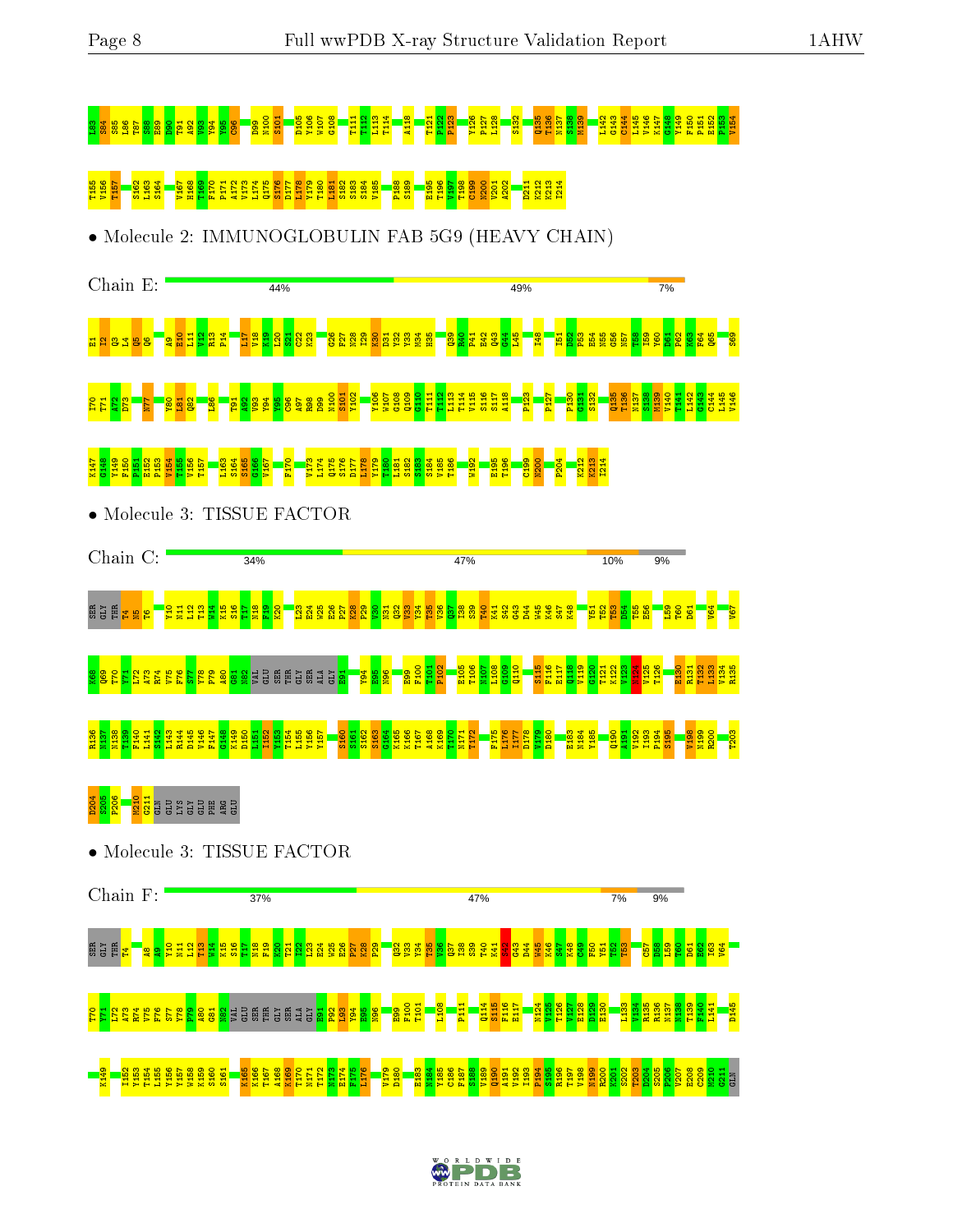# L83 S84 S85 L86 T87 S88 E89 D90 T91 A92 V93 Y94 Y95 C96 D99 N100 S101 D105 Y106 W107 G108 T111 T112 L113 T114 A118 T121 P122 P123 Y126 P127 L128 S132 Q135 T136 N137 S138 M139 L142 G143 C144 L145 V146 K147 G148 Y149 F150 P151 E152 P153 V154

# T155 V156 T157 S162 L163 S164 V167 H168 T169 F170 P171 A172 V173 L174 Q175 S176 D177 L178 Y179 T180 L181 S182 S183 S184 V185 P188 S189 E195 T196 V197 T198 C199 N200 V201 A202 D211 K212 K213 I214

• Molecule 2: IMMUNOGLOBULIN FAB 5G9 (HEAVY CHAIN)



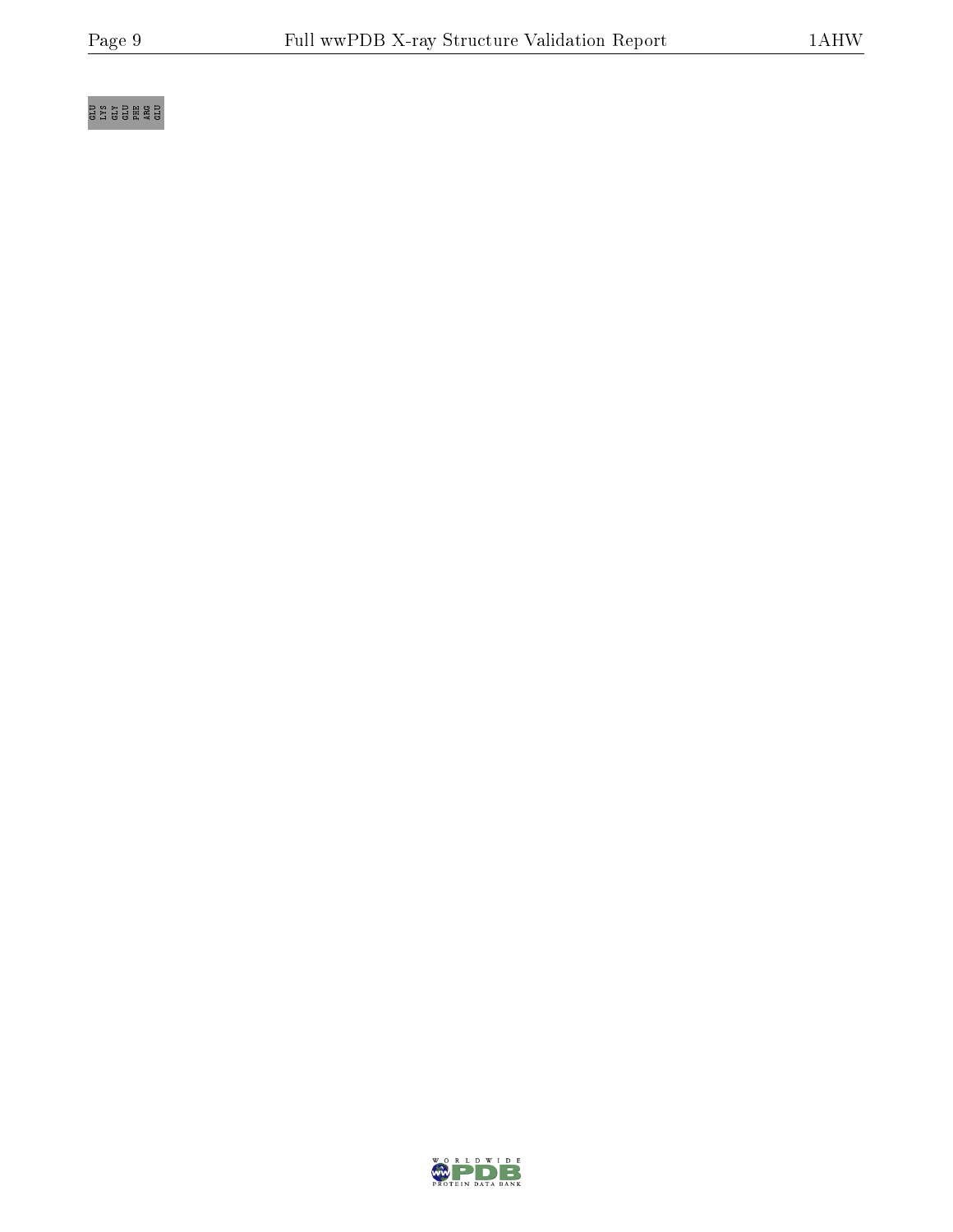# e<br>Glyco Glene a

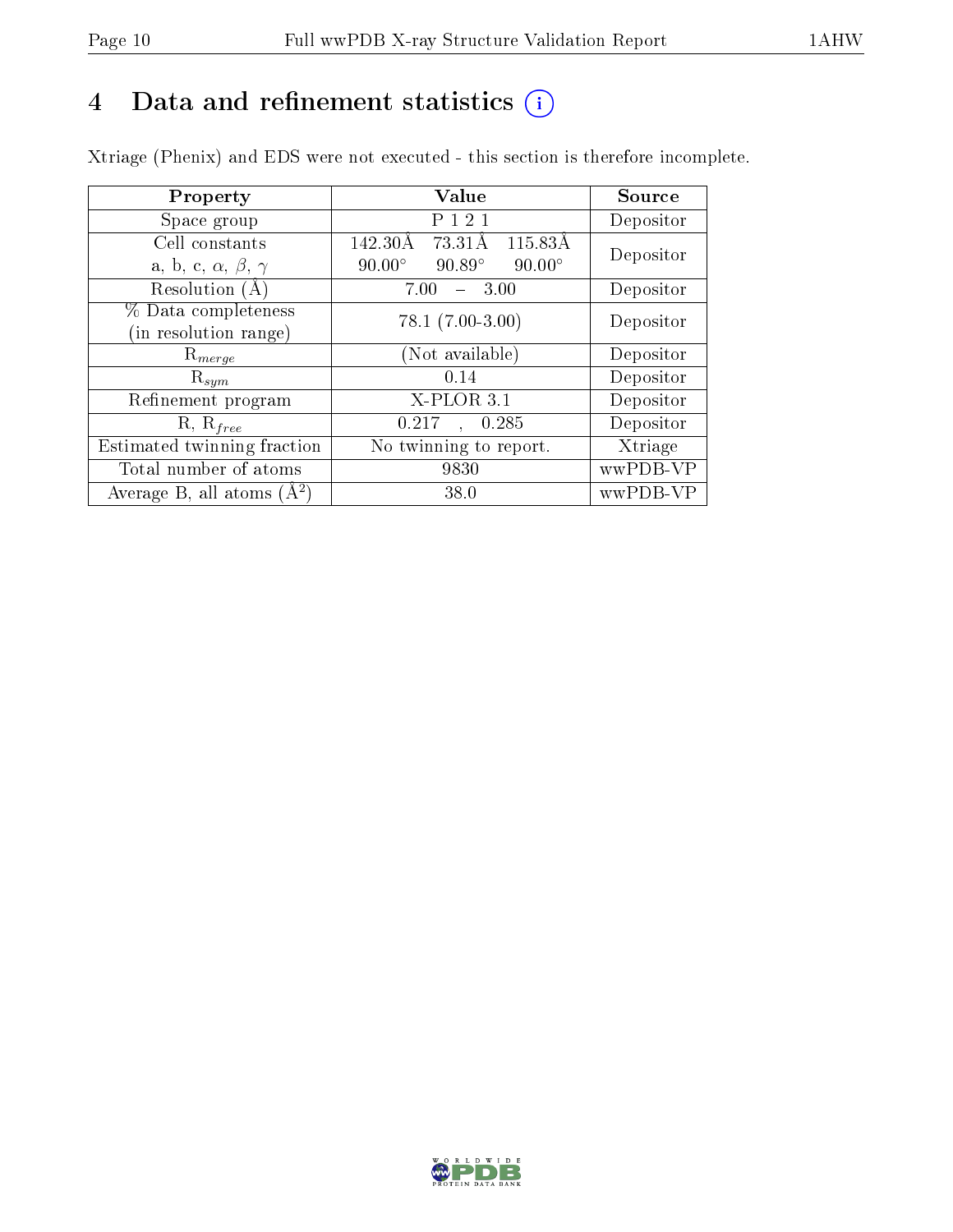# 4 Data and refinement statistics  $(i)$

Xtriage (Phenix) and EDS were not executed - this section is therefore incomplete.

| Property                               | Value                                           | Source    |
|----------------------------------------|-------------------------------------------------|-----------|
| Space group                            | P 1 2 1                                         | Depositor |
| Cell constants                         | 115.83Å<br>142.30Å<br>73.31Å                    | Depositor |
| a, b, c, $\alpha$ , $\beta$ , $\gamma$ | $90.89^\circ$<br>$90.00^\circ$<br>$90.00^\circ$ |           |
| Resolution (A)                         | 7.00<br>3.00                                    | Depositor |
| % Data completeness                    | $78.1 (7.00 - 3.00)$                            | Depositor |
| in resolution range)                   |                                                 |           |
| $\mathrm{R}_{merge}$                   | (Not available)                                 | Depositor |
| $\mathrm{R}_{sym}$                     | 0.14                                            | Depositor |
| Refinement program                     | $X-PLOR3.1$                                     | Depositor |
| $R, R_{free}$                          | 0.285<br>0.217                                  | Depositor |
| Estimated twinning fraction            | No twinning to report.                          | Xtriage   |
| Total number of atoms                  | 9830                                            | wwPDB-VP  |
| Average B, all atoms $(A^2)$           | 38.0                                            | wwPDB-VP  |

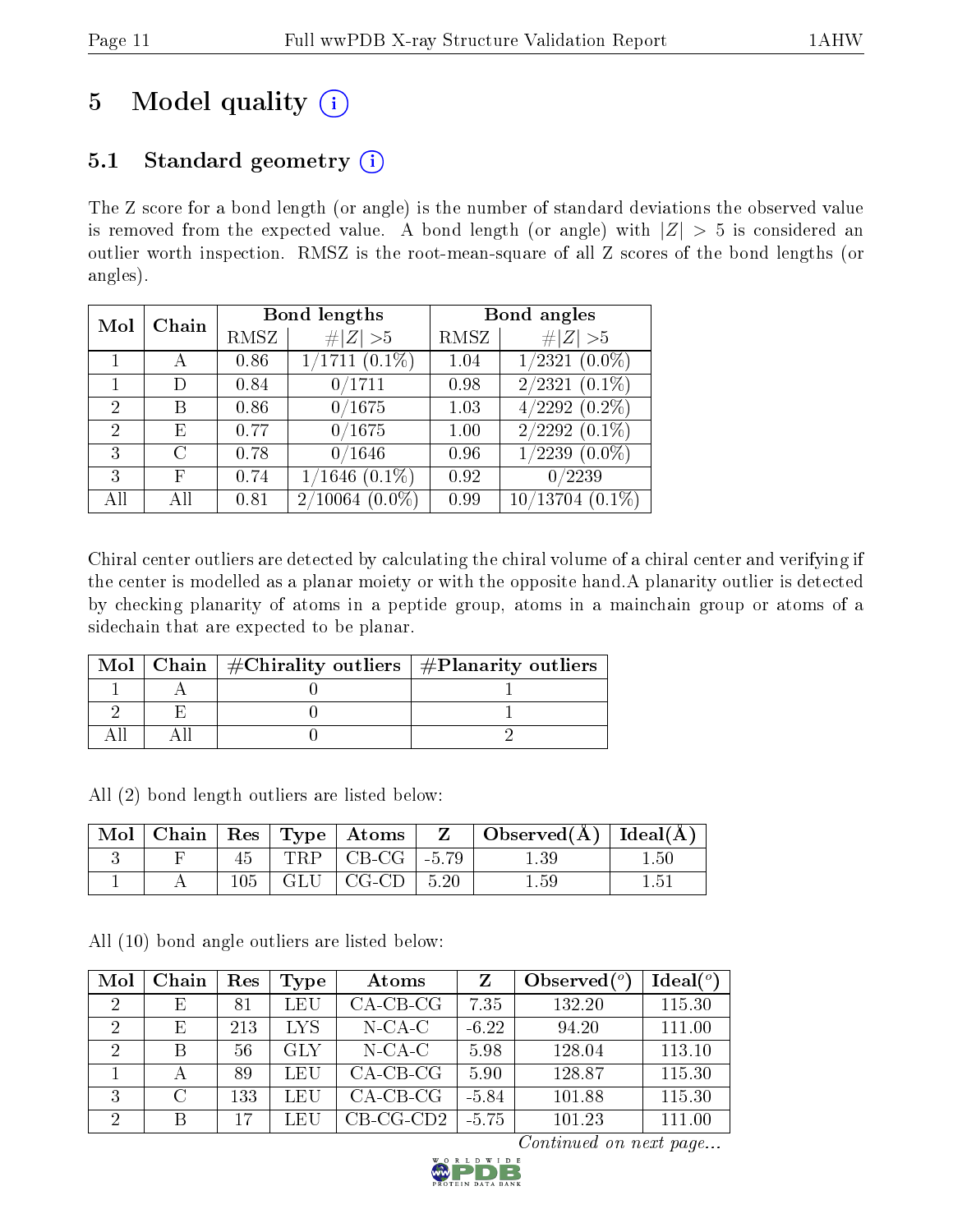# 5 Model quality  $(i)$

### 5.1 Standard geometry  $(i)$

The Z score for a bond length (or angle) is the number of standard deviations the observed value is removed from the expected value. A bond length (or angle) with  $|Z| > 5$  is considered an outlier worth inspection. RMSZ is the root-mean-square of all Z scores of the bond lengths (or angles).

| Mol            | Chain             |      | <b>Bond lengths</b>  | Bond angles |                               |  |
|----------------|-------------------|------|----------------------|-------------|-------------------------------|--|
|                |                   | RMSZ | # $ Z  > 5$          | RMSZ        | # $ Z >5$                     |  |
|                |                   | 0.86 | $1/1711(0.1\%)$      | 1.04        | $1/2321(0.0\%)$               |  |
|                | D                 | 0.84 | 0/1711               | 0.98        | $2/2321(0.1\%)$               |  |
| $\overline{2}$ | В                 | 0.86 | 0/1675               | 1.03        | $\overline{4/2292}$ $(0.2\%)$ |  |
| $\mathfrak{D}$ | E                 | 0.77 | 0/1675               | 1.00        | $2/2292$ $(0.1\%)$            |  |
| 3              | $\mathcal{C}_{1}$ | 0.78 | 0/1646               | 0.96        | $1/2239$ $(0.0\%)$            |  |
| 3              | F                 | 0.74 | $1/1646$ $(0.1\%)$   | 0.92        | 0/2239                        |  |
| All            | All               | 0.81 | 2/10064<br>$(0.0\%)$ | 0.99        | $10/13704$ $(0.1\%)$          |  |

Chiral center outliers are detected by calculating the chiral volume of a chiral center and verifying if the center is modelled as a planar moiety or with the opposite hand.A planarity outlier is detected by checking planarity of atoms in a peptide group, atoms in a mainchain group or atoms of a sidechain that are expected to be planar.

|  | Mol   Chain   $\#\text{Chirality outliers}$   $\#\text{Planarity outliers}$ |
|--|-----------------------------------------------------------------------------|
|  |                                                                             |
|  |                                                                             |
|  |                                                                             |

All (2) bond length outliers are listed below:

| $^{\shortmid}$ Mol $\shortmid$ |       | $\vert$ Chain $\vert$ Res $\vert$ Type $\vert$ Atoms $\vert$ |      | $Z \parallel$ Observed( $\AA$ )   Ideal( $\AA$ ) |          |
|--------------------------------|-------|--------------------------------------------------------------|------|--------------------------------------------------|----------|
|                                |       | TRP $\vert$ CB-CG $\vert$ -5.79                              |      | 1.39                                             | $1.50\,$ |
|                                | $105$ | GLU   CG-CD                                                  | 5.20 | $1.59\,$                                         | 1.51     |

All (10) bond angle outliers are listed below:

| Mol                         | Chain  | Res | Type | Atoms       |         | Observed $(°)$ | Ideal $(°)$ |
|-----------------------------|--------|-----|------|-------------|---------|----------------|-------------|
| 2                           | E      | 81  | LEU  | $CA-CB-CG$  | 7.35    | 132.20         | 115.30      |
| 2                           | E      | 213 | LYS. | $N$ -CA-C   | $-6.22$ | 94.20          | 111.00      |
| 2                           | B      | 56  | GLY  | $N$ -CA-C   | 5.98    | 128.04         | 113.10      |
|                             | А      | 89  | LEU  | $CA-CB-CG$  | 5.90    | 128.87         | 115.30      |
| 3                           | $\cap$ | 133 | LEU  | $CA-CB-CG$  | $-5.84$ | 101.88         | 115.30      |
| $\mathcal{D}_{\mathcal{A}}$ | В      | 17  | LEU  | $CB-CG-CD2$ | $-5.75$ | 101.23         | 111.00      |

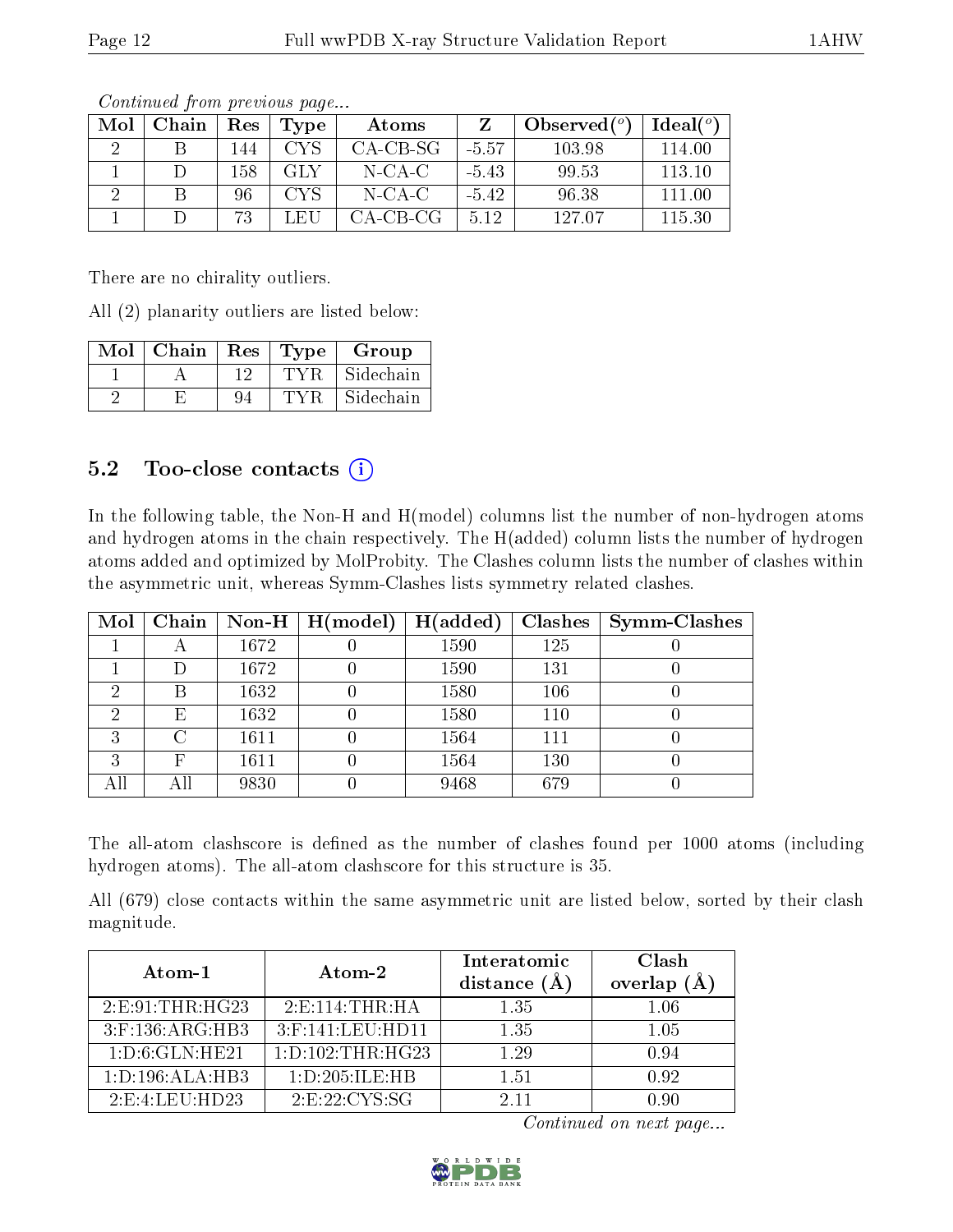| Mol | Chain | Res | Type                           | Atoms     |         | Observed $(°)$ | Ideal $(^\circ)$ |
|-----|-------|-----|--------------------------------|-----------|---------|----------------|------------------|
|     |       | 144 | CYS                            | CA-CB-SG  | -5.57   | 103.98         | 114.00           |
|     |       | 158 | GLY                            | $N$ -CA-C | $-5.43$ | 99.53          | 113.10           |
|     |       | 96  | <b>CYS</b>                     | $N$ -CA-C | $-5.42$ | 96.38          | 111.00           |
|     |       | 73  | $\rightarrow$ FU $\rightarrow$ | CA-CB-CG  | 5.12    | 127.07         | 115.30           |

There are no chirality outliers.

All (2) planarity outliers are listed below:

| Mol | Chain |    | Res   Type | Group     |
|-----|-------|----|------------|-----------|
|     |       |    |            | Sidechain |
|     |       | 94 |            | Sidechain |

#### 5.2 Too-close contacts  $(i)$

In the following table, the Non-H and H(model) columns list the number of non-hydrogen atoms and hydrogen atoms in the chain respectively. The H(added) column lists the number of hydrogen atoms added and optimized by MolProbity. The Clashes column lists the number of clashes within the asymmetric unit, whereas Symm-Clashes lists symmetry related clashes.

| $\bf{Mol}$ |     |      | Chain   Non-H   $H (model)$ | H(added) | Clashes | $\sim$ Symm-Clashes |
|------------|-----|------|-----------------------------|----------|---------|---------------------|
|            |     | 1672 |                             | 1590     | 125     |                     |
|            | Ð   | 1672 |                             | 1590     | 131     |                     |
| ച          | В   | 1632 |                             | 1580     | 106     |                     |
| റ          | Ε   | 1632 |                             | 1580     | 110     |                     |
| ച          | C   | 1611 |                             | 1564     | 111     |                     |
| 3          | F   | 1611 |                             | 1564     | 130     |                     |
|            | Αll | 9830 |                             | 9468     | 679     |                     |

The all-atom clashscore is defined as the number of clashes found per 1000 atoms (including hydrogen atoms). The all-atom clashscore for this structure is 35.

All (679) close contacts within the same asymmetric unit are listed below, sorted by their clash magnitude.

| Atom-1              | Atom-2               | Interatomic<br>distance $(A)$ | Clash<br>overlap<br>$(\AA)$ |
|---------------------|----------------------|-------------------------------|-----------------------------|
| 2: E: 91: THR: HG23 | 2: E: 114: THR: HA   | 1.35                          | 1.06                        |
| $3:$ F:136:ARG:HB3  | 3:F:141:LEU:HD11     | 1.35                          | 1.05                        |
| 1: D:6: GLN: HE21   | 1: D: 102: THR: HG23 | 1.29                          | 0.94                        |
| 1: D: 196: ALA: HB3 | 1: D: 205: ILE: HB   | 1.51                          | 0.92                        |
| 2: E: 4: LEU: HD23  | 2: E: 22: CYS: SG    | 2.11                          | N dU                        |

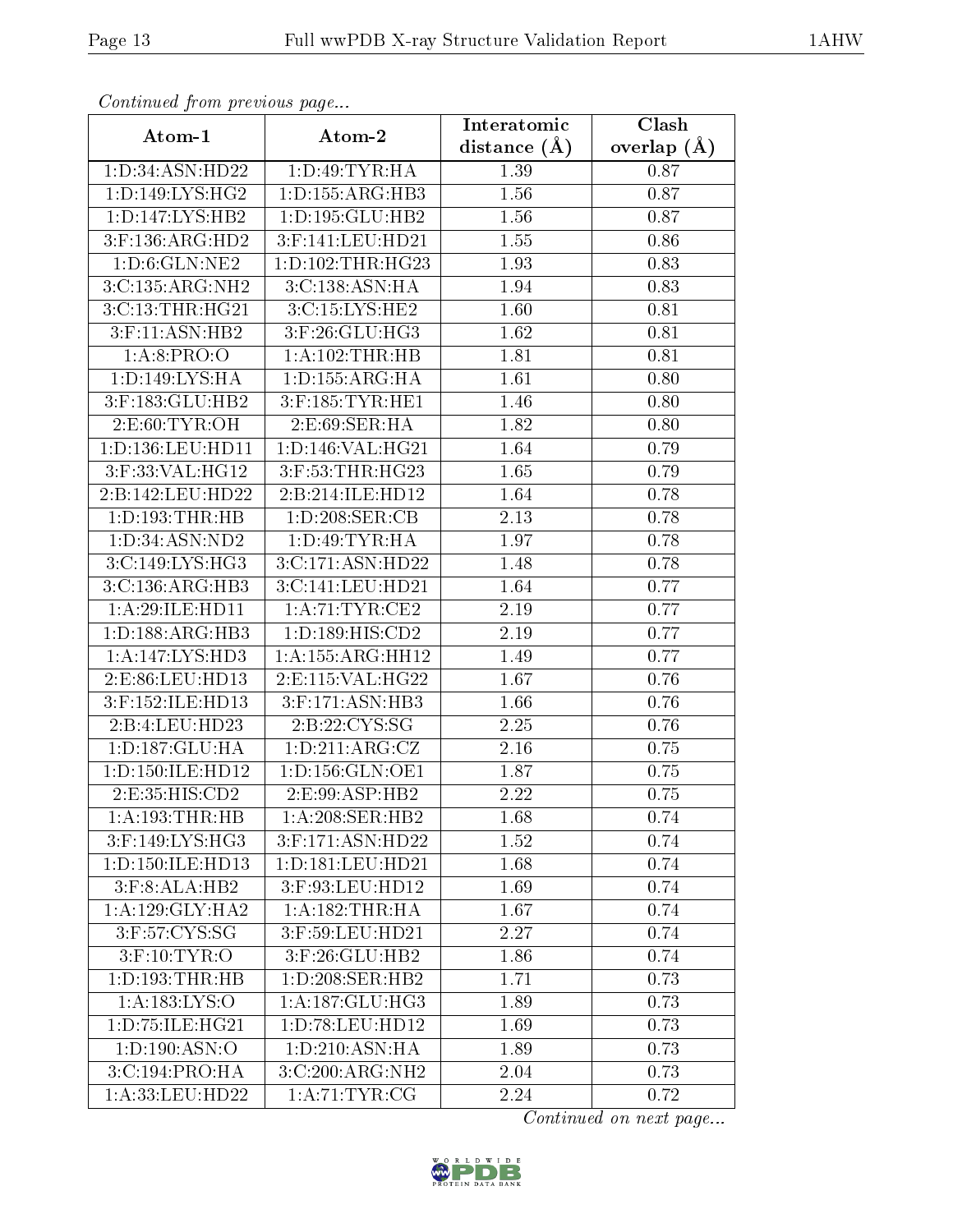| Continuea from previous page |                      | Interatomic    | Clash         |  |
|------------------------------|----------------------|----------------|---------------|--|
| Atom-1                       | Atom-2               | distance $(A)$ | overlap $(A)$ |  |
| 1:D:34:ASN:HD22              | 1:D:49:TYR:HA        | 1.39           | 0.87          |  |
| 1:D:149:LYS:HG2              | 1: D: 155: ARG: HB3  | 1.56           | 0.87          |  |
| 1: D: 147: LYS: HB2          | 1: D: 195: GLU: HB2  | 1.56           | 0.87          |  |
| 3:F:136:ARG:HD2              | 3:F:141:LEU:HD21     | 1.55           | 0.86          |  |
| 1: D: 6: GLN: NE2            | 1: D: 102: THR: HG23 | 1.93           | 0.83          |  |
| 3:C:135:ARG:NH2              | 3:C:138:ASN:HA       | 1.94           | 0.83          |  |
| 3:C:13:THR:HG21              | $3:$ C:15:LYS:HE2    | 1.60           | 0.81          |  |
| $3:$ F:11:ASN:HB2            | $3:$ F:26:GLU:HG3    | 1.62           | 0.81          |  |
| 1: A:8: PRO:O                | 1:A:102:THR:HB       | 1.81           | 0.81          |  |
| 1: D: 149: LYS: HA           | 1: D: 155: ARG: HA   | 1.61           | 0.80          |  |
| 3:F:183:GLU:HB2              | $3:$ F:185:TYR:HE1   | 1.46           | 0.80          |  |
| 2:E:60:TYR:OH                | 2:E:69:SER:HA        | 1.82           | 0.80          |  |
| 1:D:136:LEU:HD11             | 1:D:146:VAL:HG21     | 1.64           | 0.79          |  |
| 3:F:33:VAL:HG12              | 3:F:53:THR:HG23      | 1.65           | 0.79          |  |
| 2:B:142:LEU:HD22             | 2:B:214:ILE:HD12     | 1.64           | 0.78          |  |
| $1:$ D:193:THR:HB            | 1: D:208: SER:CB     | 2.13           | 0.78          |  |
| 1: D:34: ASN:ND2             | 1: D: 49: TYR: HA    | 1.97           | 0.78          |  |
| 3:C:149:LYS:HG3              | 3:C:171:ASN:HD22     | 1.48           | 0.78          |  |
| 3:C:136:ARG:HB3              | 3:C:141:LEU:HD21     | 1.64           | 0.77          |  |
| 1:A:29:ILE:HD11              | 1: A:71:TYR:CE2      | 2.19           | 0.77          |  |
| 1: D: 188: ARG: HB3          | 1:D:189:HIS:CD2      | 2.19           | 0.77          |  |
| 1:A:147:LYS:HD3              | 1: A: 155: ARG: HH12 | 1.49           | 0.77          |  |
| 2:E:86:LEU:HD13              | 2:E:115:VAL:HG22     | 1.67           | 0.76          |  |
| 3:F:152:ILE:HD13             | 3:F:171:ASN:HB3      | 1.66           | 0.76          |  |
| 2:B:4:LEU:HD23               | 2:B:22:CYS:SG        | 2.25           | 0.76          |  |
| 1: D: 187: GLU: HA           | 1: D: 211: ARG: CZ   | $2.16\,$       | 0.75          |  |
| 1:D:150:ILE:HD12             | 1: D: 156: GLN: OE1  | 1.87           | 0.75          |  |
| 2:E:35:HIS:CD2               | 2:E:99:ASP:HB2       | 2.22           | 0.75          |  |
| 1:A:193:THR:HB               | 1:A:208:SER:HB2      | 1.68           | 0.74          |  |
| 3:F:149:LYS:HG3              | 3:F:171:ASN:HD22     | 1.52           | 0.74          |  |
| 1:D:150:ILE:HD13             | 1: D: 181: LEU: HD21 | 1.68           | 0.74          |  |
| 3:F:8:ALA:HB2                | 3:F:93:LEU:HD12      | 1.69           | 0.74          |  |
| 1: A:129: GLY:HA2            | 1: A: 182: THR: HA   | 1.67           | 0.74          |  |
| $3:$ F:57:CYS:SG             | $3:$ F:59:LEU:HD21   | 2.27           | 0.74          |  |
| $3:$ F:10:TYR:O              | 3:F:26:GLU:HB2       | 1.86           | 0.74          |  |
| 1:D:193:THR:HB               | 1:D:208:SER:HB2      | 1.71           | 0.73          |  |
| 1: A: 183: LYS: O            | 1:A:187:GLU:HG3      | 1.89           | 0.73          |  |
| 1:D:75:ILE:HG21              | 1:D:78:LEU:HD12      | 1.69           | 0.73          |  |
| 1: D: 190: ASN: O            | 1:D:210:ASN:HA       | 1.89           | 0.73          |  |
| 3:C:194:PRO:HA               | 3:C:200:ARG:NH2      | 2.04           | 0.73          |  |
| 1:A:33:LEU:HD22              | 1: A:71:TYR:CG       | 2.24           | 0.72          |  |

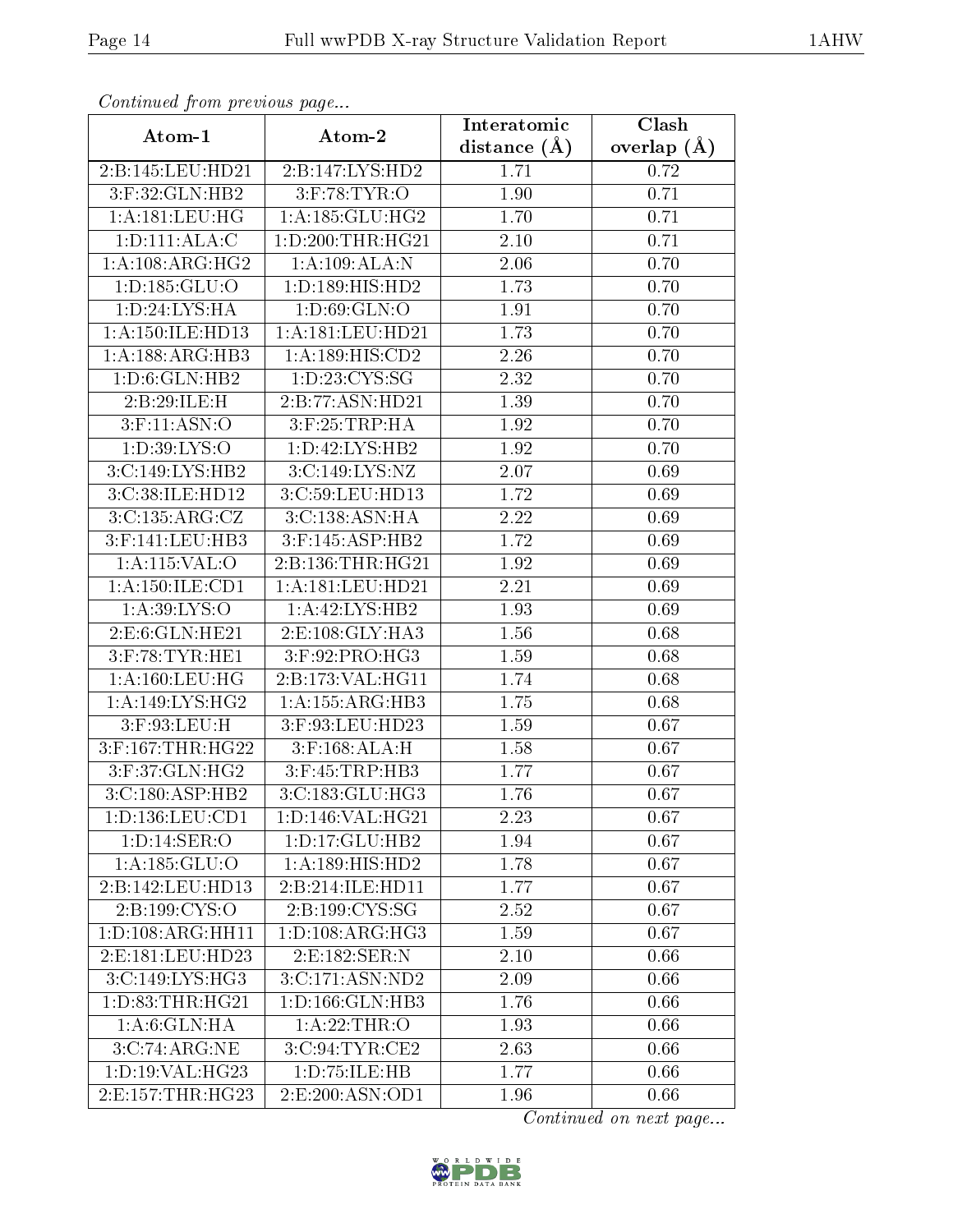| Continuea from previous page                         |                              | Interatomic       | Clash         |  |
|------------------------------------------------------|------------------------------|-------------------|---------------|--|
| Atom-1                                               | Atom-2                       | distance $(\AA)$  | overlap $(A)$ |  |
| 2:B:145:LEU:HD21                                     | 2:B:147:LYS:HD2              | 1.71              | 0.72          |  |
| 3:F:32:GLN:HB2                                       | $3:$ F:78:TYR:O              | 1.90              | 0.71          |  |
| 1: A: 181: LEU: HG                                   | 1: A: 185: GLU: HG2          | 1.70              | 0.71          |  |
| 1: D: 111: ALA: C                                    | 1:D:200:THR:HG21             | 2.10              | 0.71          |  |
| 1:A:108:ARG:HG2                                      | 1:A:109:ALA:N                | $\overline{2.06}$ | 0.70          |  |
| 1: D: 185: GLU: O                                    | 1:D:189:HIS:HD2              | 1.73              | 0.70          |  |
| 1: D:24: LYS: HA                                     | 1: D:69: GLN:O               | 1.91              | 0.70          |  |
| 1: A: 150: ILE: HD13                                 | 1:A:181:LEU:HD21             | 1.73              | 0.70          |  |
| 1: A: 188: ARG: HB3                                  | 1:A:189:HIS:CD2              | 2.26              | 0.70          |  |
| 1: D:6: GLN: HB2                                     | 1: D: 23: CYS: SG            | 2.32              | 0.70          |  |
| 2:B:29:ILE:H                                         | 2:B:77:ASN:HD21              | 1.39              | 0.70          |  |
| $3:$ F:11:ASN:O                                      | $3:$ F:25:TRP:HA             | 1.92              | 0.70          |  |
| 1:D:39:LYS:O                                         | 1: D: 42: LYS: HB2           | 1.92              | 0.70          |  |
| 3:C:149:LYS:HB2                                      | 3:C:149:LYS:NZ               | 2.07              | 0.69          |  |
| 3:C:38:ILE:HD12                                      | 3:C:59:LEU:HD13              | 1.72              | 0.69          |  |
| 3:C:135:ARG:CZ                                       | 3:C:138:ASN:HA               | 2.22              | 0.69          |  |
| 3:F:141:LEU:HB3                                      | 3:F:145:ASP:HB2              | 1.72              | 0.69          |  |
| 1:A:115:VAL:O                                        | 2:B:136:THR:HG21             | 1.92              | 0.69          |  |
| 1: A: 150: ILE: CD1                                  | 1:A:181:LEU:HD21             | 2.21              | 0.69          |  |
| 1: A:39: LYS:O                                       | 1:A:42:LYS:HB2               | 1.93              | 0.69          |  |
| 2:E:6:GLN:HE21                                       | 2:E:108:GLY:HA3              | 1.56              | 0.68          |  |
| $3:$ F:78:TYR:HE1                                    | $3:$ F:92:PRO:HG3            | 1.59              | 0.68          |  |
| 1: A: 160: LEU: HG                                   | 2:B:173:VAL:HG11             | 1.74              | 0.68          |  |
| 1: A:149: LYS: HG2                                   | 1: A: 155: ARG: HB3          | 1.75              | 0.68          |  |
| 3:F:93:LEU:H                                         | 3:F:93:LEU:HD23              | 1.59              | 0.67          |  |
| $3:$ F:167:THR:HG22                                  | $3:$ F:168:ALA:H             | 1.58              | 0.67          |  |
| 3:F:37:GLN:HG2                                       | 3:F:45:TRP:HB3               | 1.77              | 0.67          |  |
| $3:C:180:AS\overline{P:HB2}$                         | 3: C: 183: GLU: HG3          | 1.76              | 0.67          |  |
| 1: D: 136: LEU: CD1                                  | 1: D: 146: VAL:HG21          | 2.23              | 0.67          |  |
| 1: D: 14: SER: O                                     | 1: D: 17: GLU: HB2           | 1.94              | 0.67          |  |
| 1: A: 185: GLU: O                                    | $1:\overline{A:189:HIS:HD2}$ | 1.78              | 0.67          |  |
| 2:B:142:LEU:HD13                                     | 2:B:214:ILE:HD11             | 1.77              | 0.67          |  |
| $2: B: 199: \overline{\text{C} \text{YS}: \text{O}}$ | 2:B:199:CYS:SG               | 2.52              | 0.67          |  |
| 1:D:108:ARG:HH11                                     | 1: D: 108: ARG: HG3          | 1.59              | 0.67          |  |
| 2: E: 181: LEU: HD23                                 | 2:E:182:SER:N                | 2.10              | 0.66          |  |
| 3:C:149:LYS:HG3                                      | 3:C:171:ASN:ND2              | 2.09              | 0.66          |  |
| 1: D: 83: THR: HG21                                  | 1:D:166:GLN:HB3              | 1.76              | 0.66          |  |
| 1:A:6:GLN:HA                                         | 1:A:22:THR:O                 | 1.93              | 0.66          |  |
| 3:C:74:ARG:NE                                        | 3:C:94:TYR:CE2               | 2.63              | 0.66          |  |
| 1: D: 19: VAL:HG23                                   | 1:D:75:ILE:HB                | 1.77              | 0.66          |  |
| 2:E:157:THR:HG23                                     | 2:E:200:ASN:OD1              | 1.96              | 0.66          |  |

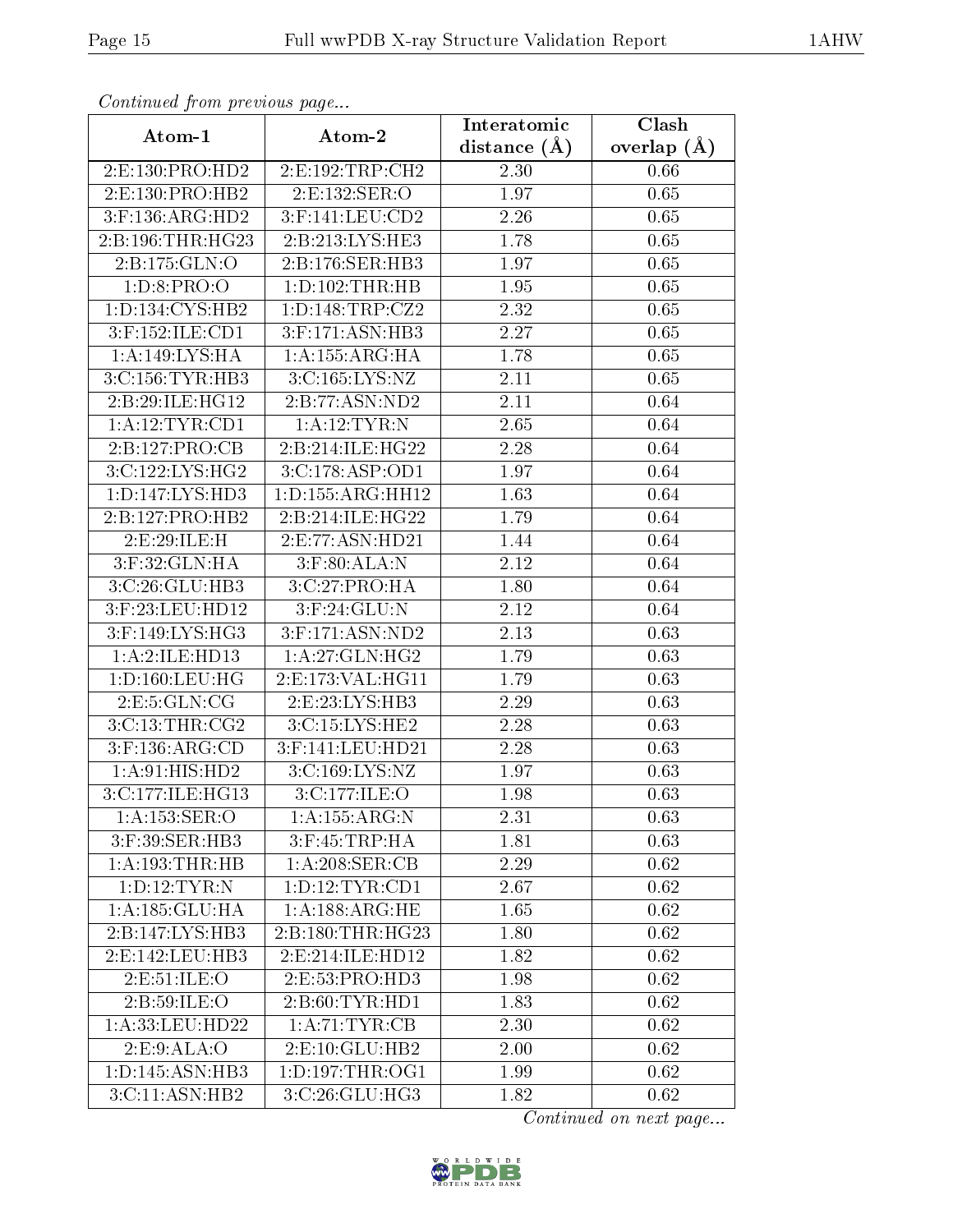| Continuea from previous page    |                       | Interatomic       | $\overline{\text{Clash}}$ |
|---------------------------------|-----------------------|-------------------|---------------------------|
| Atom-1                          | Atom-2                | distance $(A)$    | overlap $(\AA)$           |
| 2:E:130:PRO:HD2                 | 2:E:192:TRP:CH2       | 2.30              | 0.66                      |
| $2: E: 130: \overline{PRO:HB2}$ | 2:E:132:SER:O         | 1.97              | 0.65                      |
| $3:$ F:136:ARG:HD2              | $3:$ F:141:LEU: $CD2$ | 2.26              | 0.65                      |
| 2:B:196:THR:HG23                | 2:B:213:LYS:HE3       | 1.78              | 0.65                      |
| 2:B:175:GLN:O                   | 2:B:176:SER:HB3       | 1.97              | 0.65                      |
| 1: D:8: PRO:O                   | 1: D: 102: THR: HB    | 1.95              | 0.65                      |
| 1: D: 134: CYS: HB2             | 1: D: 148: TRP: CZ2   | 2.32              | 0.65                      |
| $3:$ F:152:ILE: $CD1$           | $3:$ F:171:ASN:HB3    | 2.27              | 0.65                      |
| 1:A:149:LYS:HA                  | 1: A: 155: ARG: HA    | 1.78              | 0.65                      |
| 3: C:156: TYR:HB3               | 3:C:165:LYS:NZ        | 2.11              | 0.65                      |
| 2:B:29:ILE:HG12                 | 2:B:77:ASN:ND2        | 2.11              | 0.64                      |
| 1: A: 12: TYR: CD1              | 1:A:12:TYR:N          | 2.65              | 0.64                      |
| 2:B:127:PRO:CB                  | 2:B:214:ILE:HG22      | 2.28              | 0.64                      |
| 3:C:122:LYS:HG2                 | 3: C:178: ASP:OD1     | 1.97              | 0.64                      |
| 1:D:147:LYS:HD3                 | 1:D:155:ARG:HH12      | 1.63              | 0.64                      |
| 2:B:127:PRO:HB2                 | 2:B:214:ILE:HG22      | 1.79              | 0.64                      |
| 2:E:29:ILE:H                    | 2:E:77:ASN:HD21       | 1.44              | 0.64                      |
| 3: F:32: GLN: HA                | $3:$ F:80:ALA:N       | 2.12              | 0.64                      |
| 3:C:26:GLU:HB3                  | 3:C:27:PRO:HA         | 1.80              | 0.64                      |
| 3:F:23:LEU:HD12                 | $3:$ F:24:GLU:N       | 2.12              | 0.64                      |
| 3:F:149:LYS:HG3                 | 3:F:171:ASN:ND2       | 2.13              | 0.63                      |
| 1:A:2:ILE:HD13                  | 1:A:27:GLN:HG2        | 1.79              | 0.63                      |
| 1: D: 160: LEU: HG              | 2:E:173:VAL:HG11      | 1.79              | 0.63                      |
| 2: E: 5: GLN: CG                | 2:E:23:LYS:HB3        | $\overline{2}.29$ | 0.63                      |
| 3:C:13:THR:CG2                  | 3:C:15:LYS:HE2        | 2.28              | 0.63                      |
| 3:F:136:ARG:CD                  | 3:F:141:LEU:HD21      | $\overline{2}.28$ | 0.63                      |
| 1: A:91: HIS: HD2               | 3:C:169:LYS:NZ        | 1.97              | 0.63                      |
| 3:C:177:ILE:HG13                | 3:C:177:ILE:O         | 1.98              | 0.63                      |
| 1: A: 153: SER: O               | 1:A:155:ARG:N         | 2.31              | 0.63                      |
| 3:F:39:SER:HB3                  | $3:$ F:45:TRP:HA      | 1.81              | 0.63                      |
| 1:A:193:THR:HB                  | 1:A:208:SER:CB        | 2.29              | 0.62                      |
| 1: D: 12: TYR: N                | 1: D: 12: TYR: CD1    | 2.67              | 0.62                      |
| 1:A:185:GLU:HA                  | 1: A: 188: ARG: HE    | 1.65              | 0.62                      |
| 2:B:147:LYS:HB3                 | 2:B:180:THR:HG23      | 1.80              | 0.62                      |
| 2: E: 142: LEU: HB3             | 2: E: 214: ILE: HD12  | 1.82              | 0.62                      |
| 2:E:51:ILE:O                    | 2:E:53:PRO:HD3        | 1.98              | 0.62                      |
| 2:B:59:ILE:O                    | 2: B:60: TYR:HD1      | 1.83              | 0.62                      |
| 1:A:33:LEU:HD22                 | 1: A:71:TYR:CB        | 2.30              | 0.62                      |
| 2:E:9:ALA:O                     | 2:E:10:GLU:HB2        | 2.00              | 0.62                      |
| 1:D:145:ASN:HB3                 | 1: D: 197: THR: OG1   | 1.99              | 0.62                      |
| 3:C:11:ASN:HB2                  | 3:C:26:GLU:HG3        | 1.82              | 0.62                      |

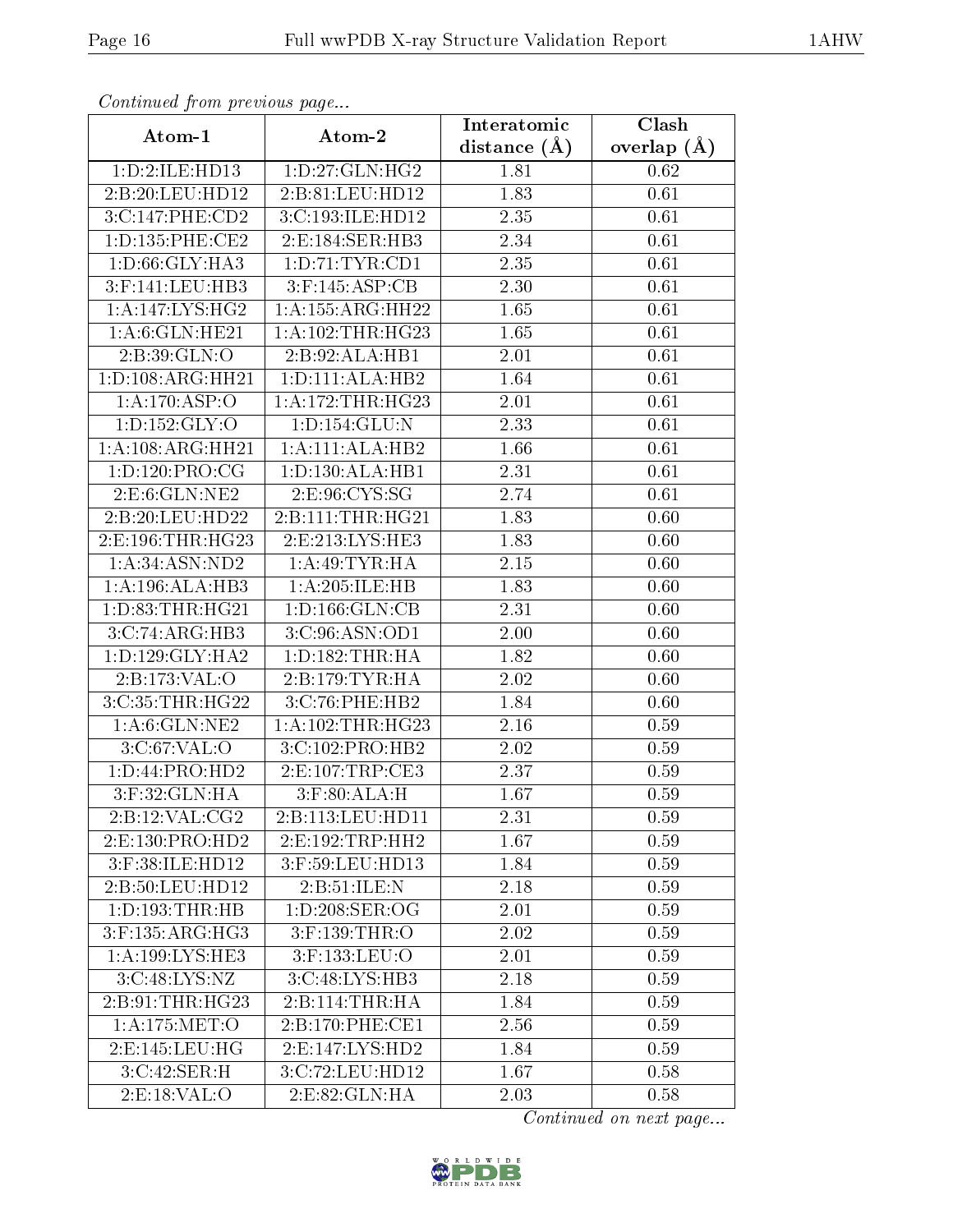| Communa from previous page      |                                | Interatomic      | Clash         |
|---------------------------------|--------------------------------|------------------|---------------|
| Atom-1                          | Atom-2                         | distance $(\AA)$ | overlap $(A)$ |
| 1:D:2:ILE:HD13                  | $1: D: 27: \overline{GLN:HG2}$ | 1.81             | 0.62          |
| 2:B:20:LEU:HD12                 | 2:B:81:LEU:HD12                | 1.83             | 0.61          |
| 3:C:147:PHE:CD2                 | 3:C:193:ILE:HD12               | 2.35             | 0.61          |
| 1: D: 135: PHE: CE2             | 2: E: 184: SER: HB3            | 2.34             | 0.61          |
| 1: D:66: GLY:HA3                | 1: D: 71: TYR: CD1             | 2.35             | 0.61          |
| $3:$ F:141:LEU:HB3              | $3:$ F:145:ASP:CB              | 2.30             | 0.61          |
| 1:A:147:LYS:HG2                 | $1:A:155:A\overline{RG:HH22}$  | 1.65             | 0.61          |
| 1:A:6:GLN:HE21                  | 1:A:102:THR:HG23               | 1.65             | 0.61          |
| 2:B:39:GLN:O                    | 2:B:92:ALA:HB1                 | 2.01             | 0.61          |
| 1: D: 108: ARG: HH21            | 1: D: 111: ALA: HB2            | 1.64             | 0.61          |
| 1:A:170:ASP:O                   | 1: A:172:THR:HG23              | 2.01             | 0.61          |
| 1: D: 152: GLY: O               | 1: D: 154: GLU: N              | 2.33             | 0.61          |
| 1: A:108:ARG:HH21               | 1:A:111:ALA:HB2                | 1.66             | 0.61          |
| 1: D: 120: PRO:CG               | 1: D: 130: ALA: HB1            | 2.31             | 0.61          |
| 2: E:6: GLN: NE2                | 2:E:96:CYS:SG                  | 2.74             | 0.61          |
| 2:B:20:LEU:HD22                 | 2:B:111:THR:HG21               | 1.83             | 0.60          |
| 2:E:196:THR:HG23                | 2:E:213:LYS:HE3                | 1.83             | 0.60          |
| 1: A:34: ASN:ND2                | 1:A:49:TYR:HA                  | 2.15             | 0.60          |
| 1:A:196:ALA:HB3                 | 1:A:205:ILE:HB                 | 1.83             | 0.60          |
| 1: D: 83: THR: HG21             | 1: D: 166: GLN: CB             | 2.31             | 0.60          |
| 3:C:74:ARG:HB3                  | $3: C:96: ASN: \overline{OD1}$ | 2.00             | 0.60          |
| 1: D: 129: GLY: HA2             | 1: D: 182: THR: HA             | 1.82             | 0.60          |
| 2:B:173:VAL:O                   | 2:B:179:TYR:HA                 | 2.02             | 0.60          |
| 3:C:35:THR:HG22                 | 3:C:76:PHE:HB2                 | 1.84             | 0.60          |
| 1:A:6:GLN:NE2                   | 1: A:102:THR:HG23              | 2.16             | 0.59          |
| 3:C:67:VAL:O                    | 3:C:102:PRO:HB2                | 2.02             | 0.59          |
| 1: D: 44: PRO: HD2              | 2: E:107: TRP:CE3              | 2.37             | 0.59          |
| 3:F:32:GLN:HA                   | $3:$ F:80:ALA:H                | 1.67             | 0.59          |
| $2: B: 12: VAL: \overline{CG2}$ | 2:B:113:LEU:HD11               | 2.31             | 0.59          |
| 2:E:130:PRO:HD2                 | 2: E: 192: TRP: HH2            | 1.67             | 0.59          |
| $3:$ F:38:ILE:HD12              | 3:F:59:LEU:HD13                | 1.84             | 0.59          |
| 2:B:50:LEU:HD12                 | 2:B:51:ILE:N                   | 2.18             | 0.59          |
| 1: D: 193: THR: HB              | 1: D:208: SER:OG               | 2.01             | 0.59          |
| 3:F:135:ARG:HG3                 | 3:F:139:THR:O                  | 2.02             | 0.59          |
| 1: A: 199: LYS: HE3             | 3:F:133:LEU:O                  | 2.01             | 0.59          |
| 3: C: 48: LYS: NZ               | 3:C:48:LYS:HB3                 | 2.18             | 0.59          |
| 2:B:91:THR:HG23                 | 2:B:114:THR:HA                 | 1.84             | 0.59          |
| 1:A:175:MET:O                   | 2:B:170:PHE:CE1                | 2.56             | 0.59          |
| 2: E: 145: LEU: HG              | 2: E:147: LYS: HD2             | 1.84             | 0.59          |
| 3:C:42:SER:H                    | 3:C:72:LEU:HD12                | 1.67             | 0.58          |
| 2: E: 18: VAL: O                | 2:E:82:GLN:HA                  | 2.03             | 0.58          |

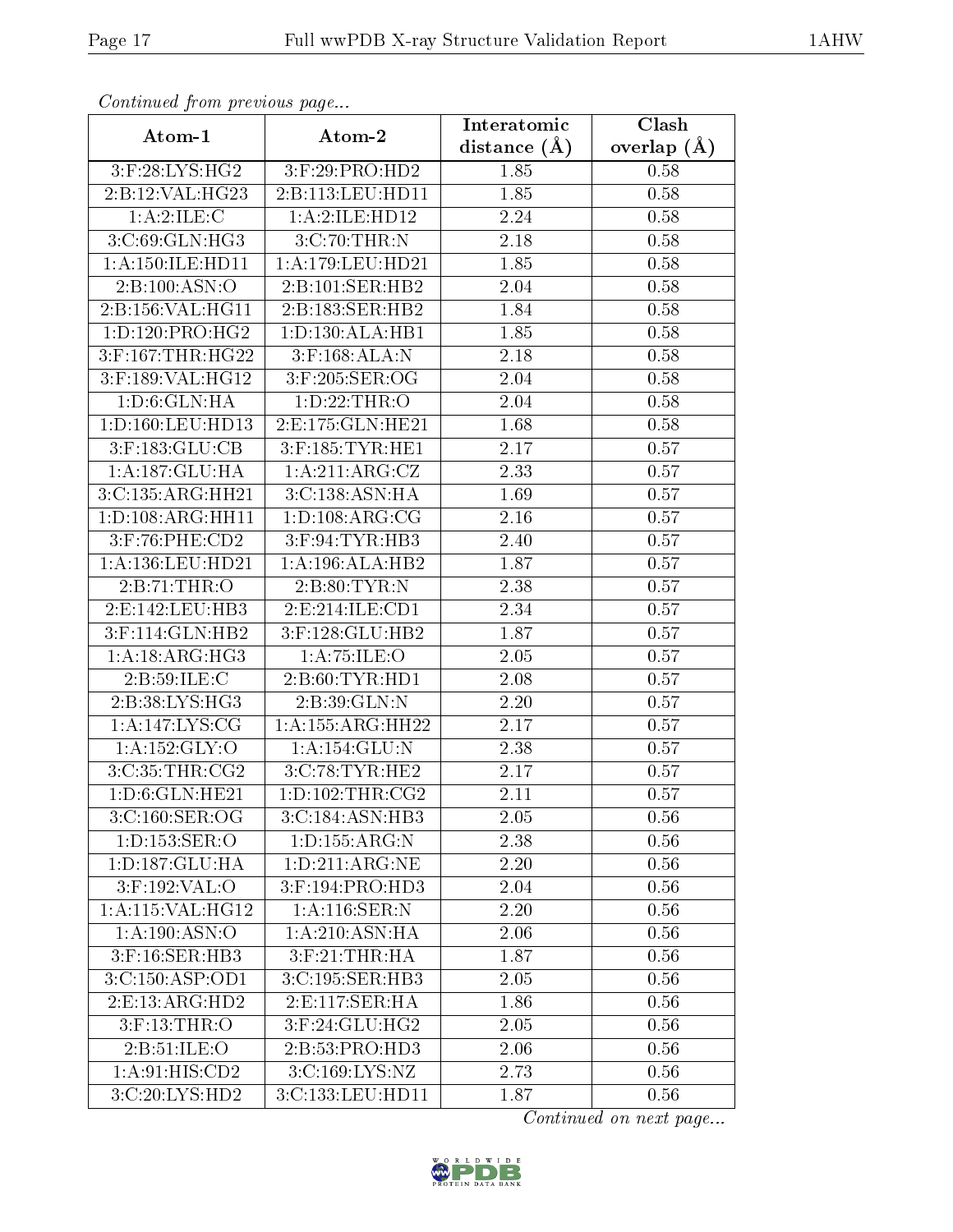| Communa from previous page |                     | Interatomic    | Clash         |
|----------------------------|---------------------|----------------|---------------|
| Atom-1                     | Atom-2              | distance $(A)$ | overlap $(A)$ |
| 3:F:28:LYS:HG2             | 3:F:29:PRO:HD2      | 1.85           | 0.58          |
| 2:B:12:VAL:H G23           | 2:B:113:LEU:HD11    | 1.85           | 0.58          |
| 1: A:2: ILE:C              | 1:A:2:ILE:HD12      | 2.24           | 0.58          |
| 3:C:69:GLN:HG3             | 3:C:70:THR:N        | 2.18           | 0.58          |
| 1: A: 150: ILE: HD11       | 1:A:179:LEU:HD21    | 1.85           | 0.58          |
| 2: B: 100: ASN: O          | 2:B:101:SER:HB2     | 2.04           | 0.58          |
| 2:B:156:VAL:HG11           | 2:B:183:SER:HB2     | 1.84           | 0.58          |
| 1: D: 120: PRO:HG2         | 1: D: 130: ALA: HB1 | 1.85           | 0.58          |
| 3:F:167:THR:HG22           | $3:$ F:168:ALA:N    | 2.18           | 0.58          |
| 3:F:189:VAL:HG12           | 3:F:205:SER:OG      | 2.04           | 0.58          |
| 1: D:6: GLN: HA            | 1: D: 22: THR:O     | 2.04           | 0.58          |
| 1: D: 160: LEU: HD13       | 2:E:175:GLN:HE21    | 1.68           | 0.58          |
| $3:$ F:183:GLU:CB          | 3:F:185:TYR:HE1     | 2.17           | 0.57          |
| 1:A:187:GLU:HA             | 1:A:211:ARG:CZ      | 2.33           | 0.57          |
| 3:C:135:ARG:HH21           | 3:C:138:ASN:HA      | 1.69           | 0.57          |
| 1:D:108:ARG:HH11           | 1: D: 108: ARG: CG  | 2.16           | 0.57          |
| 3:F:76:PHE:CD2             | $3:$ F:94:TYR:HB3   | 2.40           | 0.57          |
| 1:A:136:LEU:HD21           | 1:A:196:ALA:HB2     | 1.87           | 0.57          |
| 2:B:71:THR:O               | 2:B:80:TYR:N        | 2.38           | 0.57          |
| 2: E: 142: LEU: HB3        | 2: E: 214: ILE: CD1 | 2.34           | 0.57          |
| 3:F:114:GLN:HB2            | 3:F:128:GLU:HB2     | 1.87           | 0.57          |
| 1: A: 18: ARG: HG3         | 1: A:75: ILE: O     | 2.05           | 0.57          |
| 2: B:59: ILE:C             | 2: B:60: TYR:HD1    | 2.08           | 0.57          |
| 2:B:38:LYS:HG3             | 2: B:39: GLN:N      | 2.20           | 0.57          |
| 1:A:147:LYS:CG             | 1:A:155:ARG:HH22    | 2.17           | 0.57          |
| 1:A:152:GLY:O              | 1: A:154: GLU:N     | 2.38           | 0.57          |
| 3:C:35:THR:CG2             | 3:C:78:TYR:HE2      | 2.17           | 0.57          |
| 1: D: 6: GLN: HE21         | 1: D: 102: THR: CG2 | 2.11           | 0.57          |
| 3:C:160:SER:OG             | 3:C:184:ASN:HB3     | 2.05           | 0.56          |
| 1:D:153:SER:O              | 1: D: 155: ARG: N   | 2.38           | 0.56          |
| 1:D:187:GLU:HA             | 1: D: 211: ARG: NE  | 2.20           | 0.56          |
| 3:F:192:VAL:O              | 3:F:194:PRO:HD3     | 2.04           | 0.56          |
| 1:A:115:VAL:HG12           | 1: A:116: SER: N    | 2.20           | 0.56          |
| 1:A:190:ASN:O              | 1: A:210: ASN: HA   | 2.06           | 0.56          |
| 3:F:16:SER:HB3             | $3:$ F:21:THR:HA    | 1.87           | 0.56          |
| 3:C:150:ASP:OD1            | 3:C:195:SER:HB3     | 2.05           | 0.56          |
| 2: E: 13: ARG: HD2         | 2:E:117:SER:HA      | 1.86           | 0.56          |
| 3:F:13:THR:O               | 3:F:24:GLU:HG2      | 2.05           | 0.56          |
| 2: B:51: ILE: O            | 2:B:53:PRO:HD3      | 2.06           | 0.56          |
| 1:A:91:HIS:CD2             | 3: C: 169: LYS: NZ  | 2.73           | 0.56          |
| 3:C:20:LYS:HD2             | 3:C:133:LEU:HD11    | 1.87           | 0.56          |

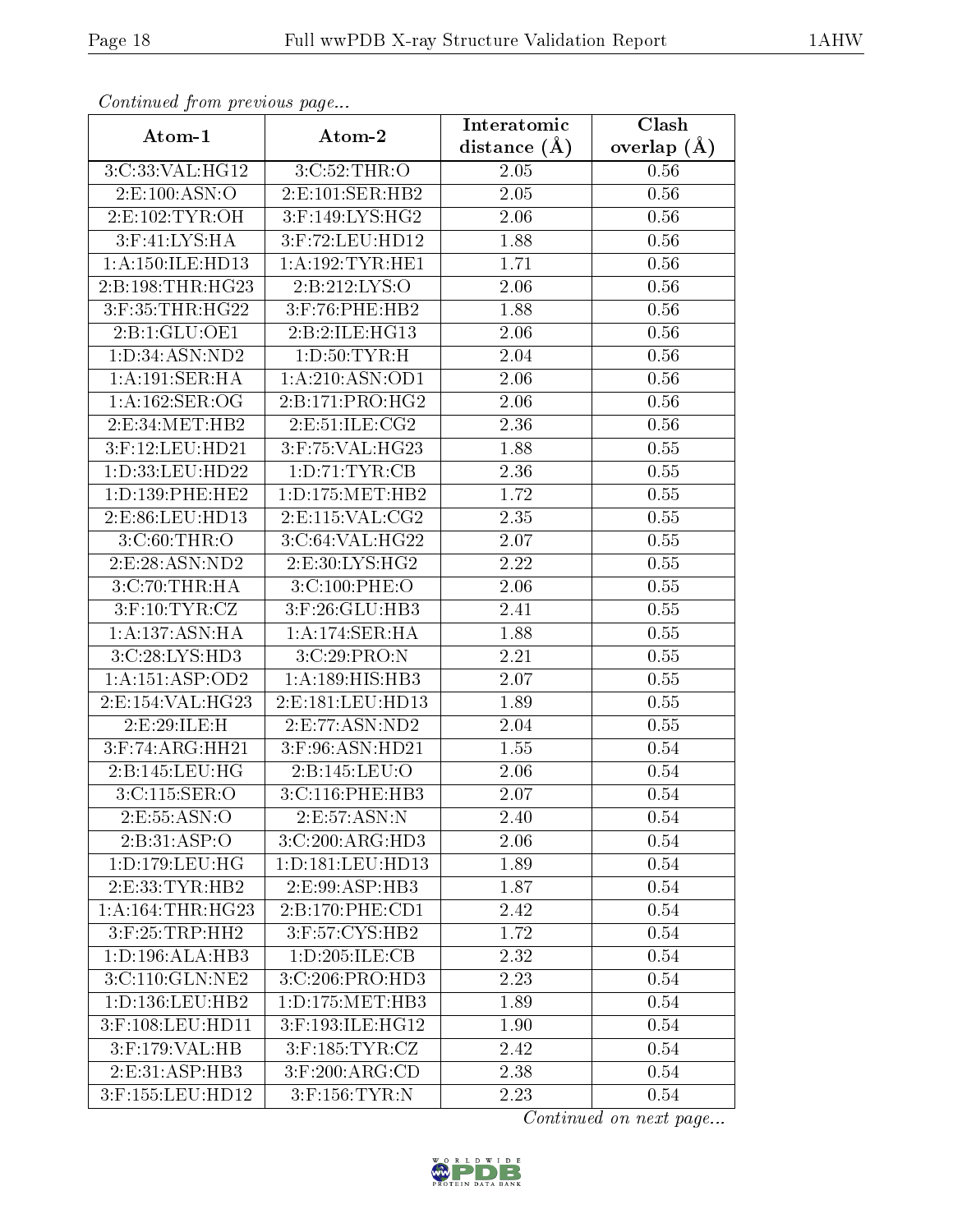| Commaca jioni previvus page |                       | Interatomic    | Clash         |
|-----------------------------|-----------------------|----------------|---------------|
| Atom-1                      | Atom-2                | distance $(A)$ | overlap $(A)$ |
| 3:C:33:VAL:HG12             | 3:C:52:THR:O          | 2.05           | 0.56          |
| 2:E:100:ASN:O               | 2:E:101:SER:HB2       | $2.05\,$       | 0.56          |
| 2:E:102:TYR:OH              | $3:$ F:149:LYS:HG2    | 2.06           | 0.56          |
| 3:F:41:LYS:HA               | 3:F:72:LEU:HD12       | 1.88           | 0.56          |
| 1:A:150:ILE:HD13            | 1: A: 192: TYR: HE1   | 1.71           | 0.56          |
| 2:B:198:THR:HG23            | 2:B:212:LYS:O         | 2.06           | 0.56          |
| 3:F:35:THR:HG22             | $3:$ F:76:PHE:HB2     | 1.88           | 0.56          |
| 2:B:1:GLU:OE1               | 2:B:2:ILE:HG13        | 2.06           | 0.56          |
| 1: D:34: ASN:ND2            | 1: D:50: TYR:H        | 2.04           | 0.56          |
| 1: A: 191: SER: HA          | 1:A:210:ASN:OD1       | 2.06           | 0.56          |
| 1: A:162: SER:OG            | 2:B:171:PRO:HG2       | 2.06           | 0.56          |
| 2:E:34:MET:HB2              | 2:E:51:ILE:CG2        | 2.36           | 0.56          |
| 3:F:12:LEU:HD21             | $3:$ F:75:VAL:H $G23$ | 1.88           | 0.55          |
| 1: D: 33: LEU: HD22         | 1:D:71:TYR:CB         | 2.36           | 0.55          |
| 1: D: 139: PHE: HE2         | 1: D: 175: MET: HB2   | 1.72           | 0.55          |
| 2:E:86:LEU:HD13             | 2: E: 115: VAL: CG2   | 2.35           | 0.55          |
| $3:C:60$ : THR: O           | 3:C:64:VAL:HG22       | 2.07           | 0.55          |
| 2:E:28:ASN:ND2              | 2:E:30:LYS:HG2        | 2.22           | 0.55          |
| 3:C:70:THR:HA               | 3:C:100:PHE:O         | 2.06           | 0.55          |
| $3:$ F:10:TYR:CZ            | 3:F:26:GLU:HB3        | 2.41           | 0.55          |
| 1:A:137:ASN:HA              | 1:A:174:SER:HA        | 1.88           | 0.55          |
| 3:C:28:LYS:HD3              | 3:C:29:PRO:N          | 2.21           | 0.55          |
| 1: A: 151: ASP: OD2         | 1:A:189:HIS:HB3       | 2.07           | 0.55          |
| 2:E:154:VAL:HG23            | 2:E:181:LEU:HD13      | 1.89           | 0.55          |
| 2:E:29:ILE:H                | 2:E:77:ASN:ND2        | 2.04           | 0.55          |
| $3:$ F:74:ARG:HH21          | $3:$ F:96:ASN:HD21    | 1.55           | 0.54          |
| 2:B:145:LEU:HG              | 2:B:145:LEU:O         | 2.06           | 0.54          |
| 3:CI15:SER:O                | 3:C:116:PHE:HB3       | 2.07           | 0.54          |
| 2:E:55:ASN:O                | 2: E: 57: ASN: N      | 2.40           | 0.54          |
| 2:B:31:ASP:O                | 3:C:200:ARG:HD3       | 2.06           | 0.54          |
| 1: D: 179: LEU: HG          | 1: D: 181: LEU: HD13  | 1.89           | 0.54          |
| 2: E: 33: TYR: HB2          | 2:E:99:ASP:HB3        | 1.87           | 0.54          |
| 1: A:164:THR:HG23           | 2: B: 170: PHE: CD1   | 2.42           | 0.54          |
| 3:F:25:TRP:HH2              | 3:F:57:CYS:HB2        | 1.72           | 0.54          |
| 1: D: 196: ALA: HB3         | 1: D: 205: ILE: CB    | 2.32           | 0.54          |
| 3:C:110:GLN:NE2             | 3: C:206: PRO:HD3     | 2.23           | 0.54          |
| 1: D: 136: LEU: HB2         | 1: D: 175: MET: HB3   | 1.89           | 0.54          |
| 3:F:108:LEU:HD11            | 3:F:193:ILE:HG12      | 1.90           | 0.54          |
| 3:F:179:VAL:HB              | $3:$ F:185:TYR:CZ     | 2.42           | 0.54          |
| 2:E:31:ASP:HB3              | $3:$ F:200:ARG:CD     | 2.38           | 0.54          |
| 3:F:155:LEU:HD12            | $3:$ F:156:TYR:N      | 2.23           | 0.54          |

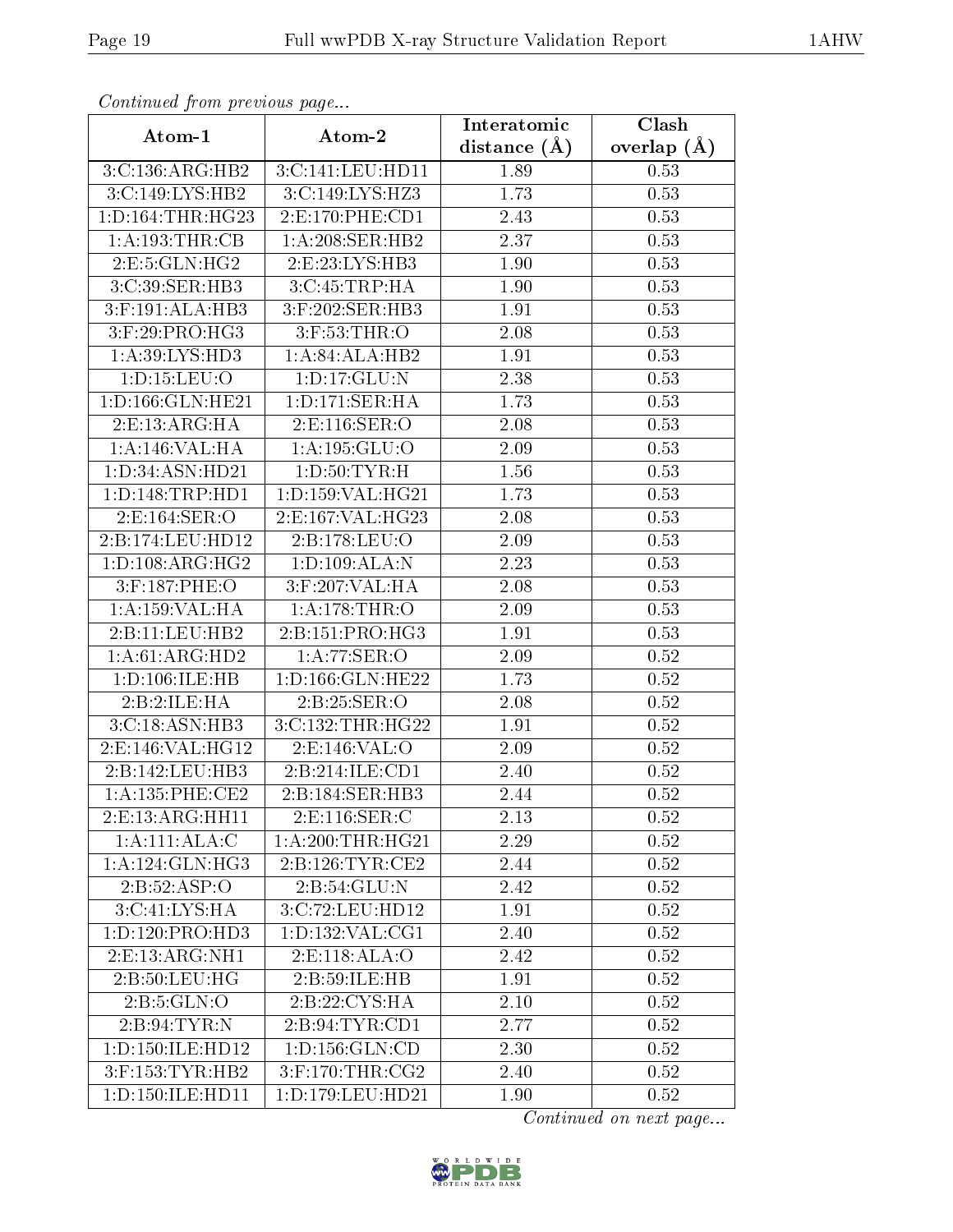| Continuati prom provious pago    |                      | Interatomic       | Clash           |
|----------------------------------|----------------------|-------------------|-----------------|
| Atom-1                           | Atom-2               | distance $(\AA)$  | overlap $(\AA)$ |
| 3:C:136:ARG:HB2                  | 3:C:141:LEU:HD11     | 1.89              | 0.53            |
| 3:C:149:LYS:HB2                  | 3:C:149:LYS:HZ3      | 1.73              | 0.53            |
| 1: D: 164: THR: HG23             | 2: E: 170: PHE: CD1  | 2.43              | 0.53            |
| 1: A: 193: THR: CB               | 1:A:208:SER:HB2      | 2.37              | 0.53            |
| 2:E:5:GLN:HG2                    | 2: E: 23: LYS: HB3   | 1.90              | 0.53            |
| 3:C:39:SER:HB3                   | 3:C:45:TRP:HA        | 1.90              | 0.53            |
| $3:$ F:191:AL $\overline{A:HB3}$ | 3:F:202:SER:HB3      | 1.91              | 0.53            |
| $3:$ F:29:PRO:HG3                | $3:$ F:53:THR:O      | 2.08              | 0.53            |
| 1:A:39:LYS:HD3                   | 1:A:84:ALA:HB2       | 1.91              | 0.53            |
| 1: D: 15: LEU: O                 | 1:D:17:GLU:N         | 2.38              | 0.53            |
| 1:D:166:GLN:HE21                 | 1: D: 171: SER: HA   | 1.73              | 0.53            |
| 2: E: 13: ARG: HA                | 2:E:116:SER:O        | 2.08              | 0.53            |
| 1:A:146:VAL:HA                   | 1:A:195:GLU:O        | 2.09              | 0.53            |
| 1:D:34:ASN:HD21                  | 1: D:50: TYR:H       | 1.56              | 0.53            |
| 1: D: 148: TRP: HD1              | 1:D:159:VAL:HG21     | 1.73              | 0.53            |
| 2:E:164:SER:O                    | 2: E: 167: VAL: HG23 | 2.08              | 0.53            |
| 2:B:174:LEU:HD12                 | 2:B:178:LEU:O        | 2.09              | 0.53            |
| 1: D: 108: ARG: HG2              | 1:D:109:ALA:N        | 2.23              | 0.53            |
| 3:F:187:PHE:O                    | 3:F:207:VAL:HA       | $\overline{2}.08$ | 0.53            |
| 1:A:159:VAL:HA                   | 1:A:178:THR:O        | 2.09              | 0.53            |
| 2:B:11:LEU:HB2                   | 2:B:151:PRO:HG3      | 1.91              | 0.53            |
| 1: A:61: ARG:HD2                 | 1:A:77:SER:O         | $2.09\,$          | 0.52            |
| 1: D: 106: ILE: HB               | 1:D:166:GLN:HE22     | 1.73              | 0.52            |
| 2:B:2:ILE:HA                     | 2:B:25:SER:O         | 2.08              | 0.52            |
| 3:C:18:ASN:HB3                   | 3:C:132:THR:HG22     | 1.91              | 0.52            |
| 2:E:146:VAL:HG12                 | 2:E:146:VAL:O        | 2.09              | 0.52            |
| 2:B:142:LEU:HB3                  | 2:B:214:ILE:CD1      | 2.40              | 0.52            |
| 1: A: 135: PHE: CE2              | 2:B:184:SER:HB3      | 2.44              | 0.52            |
| 2: E: 13: ARG: HH11              | 2:E:116:SER:C        | 2.13              | 0.52            |
| 1:A:111:ALA:C                    | 1: A:200:THR:HG21    | 2.29              | 0.52            |
| 1: A:124: GLN: HG3               | 2:B:126:TYR:CE2      | 2.44              | 0.52            |
| 2:B:52:ASP:O                     | 2:B:54:GLU:N         | 2.42              | 0.52            |
| 3:C:41:LYS:HA                    | 3:C:72:LEU:HD12      | $\overline{1}.91$ | 0.52            |
| 1:D:120:PRO:HD3                  | 1: D: 132: VAL: CG1  | 2.40              | 0.52            |
| 2: E: 13: ARG: NH1               | 2:E:118:ALA:O        | 2.42              | 0.52            |
| 2: B:50: LEU: HG                 | 2:B:59:ILE:HB        | 1.91              | 0.52            |
| 2: B: 5: GLN: O                  | 2:B:22:CYS:HA        | 2.10              | 0.52            |
| 2: B:94: TYR: N                  | 2:B:94:TYR:CD1       | 2.77              | 0.52            |
| 1: D: 150: ILE: HD12             | 1: D: 156: GLN: CD   | 2.30              | 0.52            |
| $3:$ F:153:TYR:HB2               | $3:$ F:170:THR:CG2   | 2.40              | 0.52            |
| 1:D:150:ILE:HD11                 | 1:D:179:LEU:HD21     | 1.90              | 0.52            |

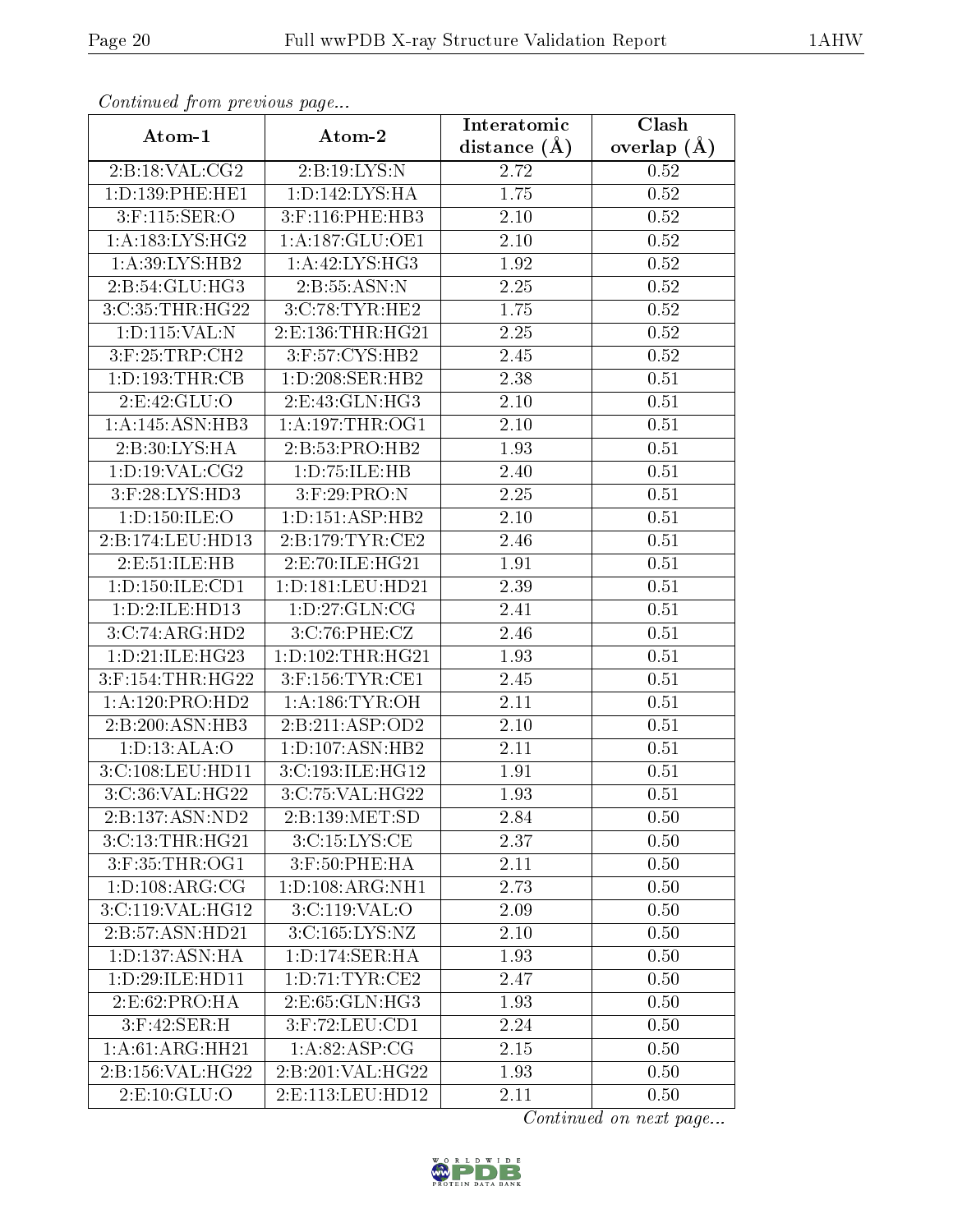| Continuati prom pretious page |                      | Interatomic    | Clash           |
|-------------------------------|----------------------|----------------|-----------------|
| Atom-1                        | Atom-2               | distance $(A)$ | overlap $(\AA)$ |
| 2:B:18:VAL:CG2                | 2:B:19:LYS:N         | 2.72           | 0.52            |
| 1: D: 139: PHE: HE1           | 1: D: 142: LYS: HA   | 1.75           | 0.52            |
| $3:$ F:115:SER:O              | 3:F:116:PHE:HB3      | 2.10           | 0.52            |
| 1: A: 183: LYS: HG2           | 1: A: 187: GLU: OE1  | 2.10           | 0.52            |
| 1:A:39:LYS:HB2                | 1: A:42: LYS: HG3    | 1.92           | 0.52            |
| 2:B:54:GLU:HG3                | 2:B:55:ASN:N         | 2.25           | 0.52            |
| 3:C:35:THR:HG22               | 3:C:78:TYR:HE2       | 1.75           | $0.52\,$        |
| 1:D:115:VAL:N                 | 2:E:136:THR:HG21     | 2.25           | 0.52            |
| 3:F:25:TRP:CH2                | $3:$ F:57:CYS:HB2    | 2.45           | $0.52\,$        |
| 1: D: 193: THR: CB            | 1:D:208:SER:HB2      | 2.38           | 0.51            |
| 2:E:42:GLU:O                  | 2:E:43:GLN:HG3       | 2.10           | 0.51            |
| 1:A:145:ASN:HB3               | 1: A:197:THR:OG1     | 2.10           | 0.51            |
| 2:B:30:LYS:HA                 | 2:B:53:PRO:HB2       | 1.93           | 0.51            |
| 1: D: 19: VAL: CG2            | 1:D:75:ILE:HB        | 2.40           | 0.51            |
| 3:F:28:LYS:HD3                | 3:F:29:PRO:N         | 2.25           | 0.51            |
| 1:D:150:ILE:O                 | 1: D: 151: ASP: HB2  | 2.10           | 0.51            |
| 2:B:174:LEU:HD13              | 2:B:179:TYR:CE2      | 2.46           | 0.51            |
| 2:E:51:ILE:HB                 | 2:E:70:ILE:HG21      | 1.91           | 0.51            |
| 1:D:150:ILE:CD1               | 1:D:181:LEU:HD21     | 2.39           | 0.51            |
| 1: D: 2: ILE: HD13            | 1: D:27: GLN:CG      | 2.41           | 0.51            |
| 3:C:74:ARG:HD2                | 3:C:76:PHE:CZ        | 2.46           | 0.51            |
| 1: D: 21: ILE: HG23           | 1: D: 102: THR: HG21 | 1.93           | 0.51            |
| 3:F:154:THR:HG22              | $3:$ F:156:TYR:CE1   | 2.45           | 0.51            |
| 1:A:120:PRO:HD2               | 1: A: 186: TYR: OH   | 2.11           | 0.51            |
| 2:B:200:ASN:HB3               | 2:B:211:ASP:OD2      | 2.10           | 0.51            |
| 1: D: 13: ALA: O              | 1: D: 107: ASN: HB2  | 2.11           | 0.51            |
| 3:C:108:LEU:HD11              | 3:C:193:ILE:HG12     | 1.91           | 0.51            |
| 3:C:36:VAL:HG22               | 3:C:75:VAL:HG22      | 1.93           | 0.51            |
| 2:B:137:ASN:ND2               | 2:B:139:MET:SD       | 2.84           | 0.50            |
| 3:C:13:THR:HG21               | 3:C:15:LYS:CE        | 2.37           | 0.50            |
| 3:F:35:THR:OG1                | $3:$ F:50:PHE:HA     | 2.11           | 0.50            |
| 1: D: 108: ARG: CG            | 1:D:108:ARG:NH1      | 2.73           | 0.50            |
| 3:C:119:VAL:HG12              | 3:C:119:VAL:O        | 2.09           | 0.50            |
| 2:B:57:ASN:HD21               | 3:C:165:LYS:NZ       | $2.10\,$       | 0.50            |
| 1: D: 137: ASN: HA            | 1: D: 174: SER: HA   | 1.93           | 0.50            |
| 1:D:29:ILE:HD11               | 1: D: 71: TYR: CE2   | 2.47           | 0.50            |
| 2:E:62:PRO:HA                 | 2:E:65:GLN:HG3       | 1.93           | 0.50            |
| 3:F:42:SER:H                  | 3:F:72:LEU:CD1       | 2.24           | 0.50            |
| 1:A:61:ARG:HH21               | 1: A:82: ASP:CG      | 2.15           | 0.50            |
| 2:B:156:VAL:HG22              | 2:B:201:VAL:HG22     | 1.93           | 0.50            |
| 2: E: 10: GLU: O              | 2:E:113:LEU:HD12     | 2.11           | 0.50            |

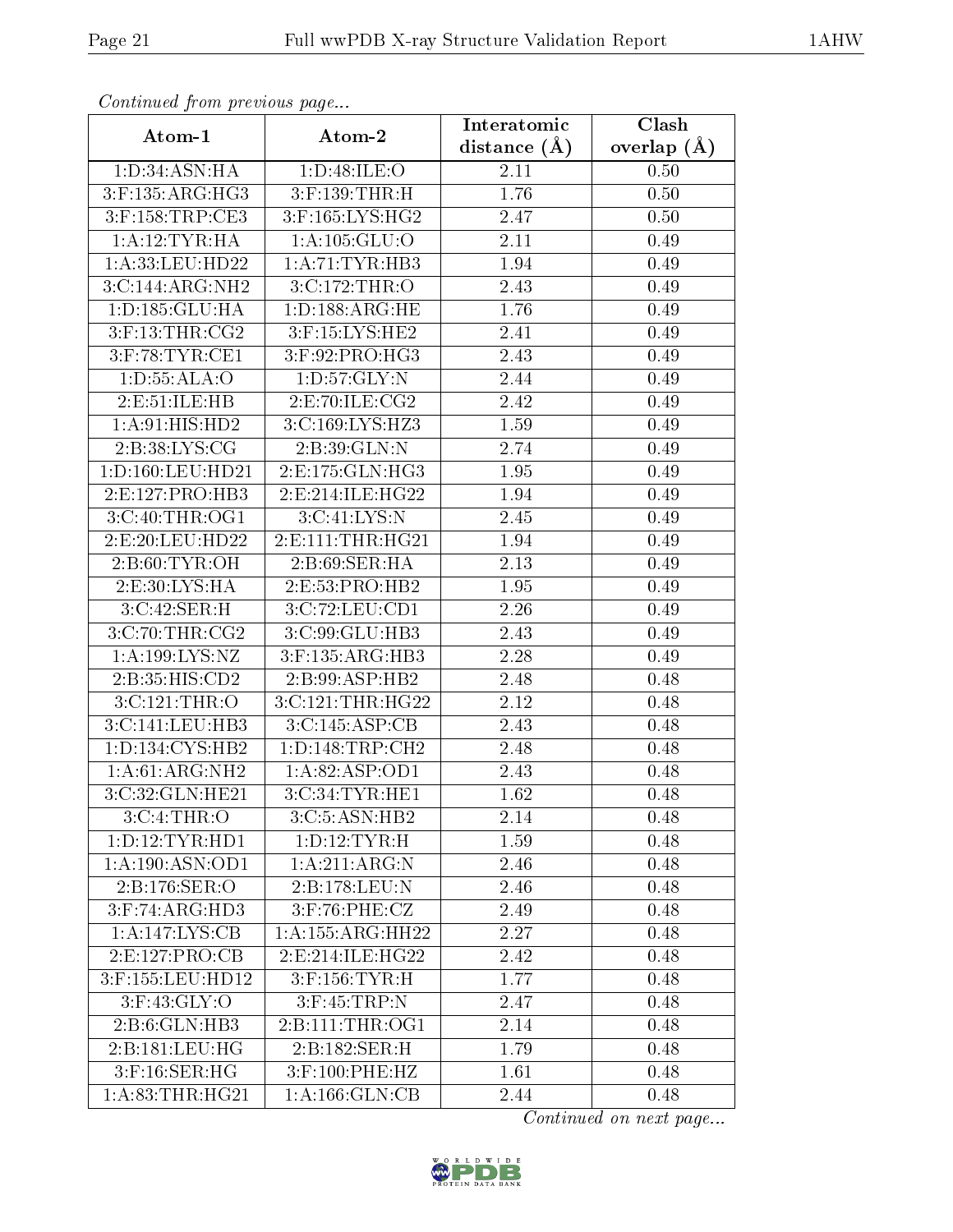| Continuea from previous page       |                      | Interatomic    | $\overline{\text{Clash}}$ |
|------------------------------------|----------------------|----------------|---------------------------|
| Atom-1                             | Atom-2               | distance $(A)$ | overlap $(\AA)$           |
| 1:D:34:ASN:HA                      | 1: D:48: ILE: O      | 2.11           | 0.50                      |
| $3:$ F:135:ARG:HG3                 | $3:$ F:139:THR:H     | 1.76           | 0.50                      |
| $3:$ F:158:TRP:CE3                 | $3:$ F:165:LYS:HG2   | 2.47           | 0.50                      |
| 1:A:12:TYR:HA                      | 1:A:105:GLU:O        | 2.11           | 0.49                      |
| 1:A:33:LEU:HD22                    | 1: A: 71: TYR: HB3   | 1.94           | 0.49                      |
| 3:C:144:ARG:NH2                    | 3:C:172:THR:O        | 2.43           | 0.49                      |
| 1:D:185:GLU:HA                     | 1: D: 188: ARG: HE   | 1.76           | 0.49                      |
| $3:$ F:13:THR:CG2                  | 3:F:15:LYS:HE2       | 2.41           | 0.49                      |
| $3:$ F:78:TYR:CE1                  | $3:$ F:92:PRO:HG3    | 2.43           | 0.49                      |
| 1: D: 55: ALA: O                   | 1: D: 57: GLY: N     | 2.44           | 0.49                      |
| 2:E:51:ILE:HB                      | 2: E: 70: ILE: CG2   | 2.42           | 0.49                      |
| 1: A:91: HIS: HD2                  | 3:C:169:LYS:HZ3      | 1.59           | 0.49                      |
| 2:B:38:LYS:CG                      | 2:B:39:GLN:N         | 2.74           | 0.49                      |
| 1: D: 160: LEU: HD21               | 2: E: 175: GLN: HG3  | 1.95           | 0.49                      |
| 2:E:127:PRO:HB3                    | 2:E:214:ILE:HG22     | 1.94           | 0.49                      |
| 3:C:40:THR:OG1                     | 3:C:41:LYS:N         | 2.45           | 0.49                      |
| 2:E:20:LEU:HD22                    | 2:E:111:THR:HG21     | 1.94           | 0.49                      |
| 2: B:60: TYR:OH                    | 2:B:69:SER:HA        | 2.13           | 0.49                      |
| 2:E:30:LYS:HA                      | 2:E:53:PRO:HB2       | 1.95           | 0.49                      |
| 3:C:42:SER:H                       | 3:C:72:LEU:CD1       | 2.26           | 0.49                      |
| 3:C:70:THR:CG2                     | 3:C:99:GLU:HB3       | 2.43           | 0.49                      |
| 1:A:199:LYS:NZ                     | 3:F:135:ARG:HB3      | 2.28           | 0.49                      |
| 2:B:35:HIS:CD2                     | 2:B:99:ASP:HB2       | 2.48           | 0.48                      |
| 3:C:121:THR:O                      | 3:C:121:THR:HG22     | 2.12           | 0.48                      |
| 3:C:141:LEU:HB3                    | 3:C:145:ASP:CB       | 2.43           | 0.48                      |
| 1: D: 134: CYS: HB2                | 1: D: 148: TRP: CH2  | 2.48           | 0.48                      |
| $1:A:61:ARG:\overline{\text{NH2}}$ | 1:A:82:ASP:OD1       | 2.43           | 0.48                      |
| 3:C:32:GLN:HE21                    | 3:C:34:TYR:HE1       | 1.62           | 0.48                      |
| 3:C:4:THR:O                        | 3:C:5:ASN:HB2        | 2.14           | 0.48                      |
| 1:D:12:TYR:HD1                     | 1: D: 12: TYR:H      | 1.59           | 0.48                      |
| 1:A:190:ASN:OD1                    | 1: A:211:ARG:N       | 2.46           | 0.48                      |
| 2:B:176:SER:O                      | 2:B:178:LEU:N        | 2.46           | 0.48                      |
| 3: F:74: ARG: HD3                  | 3:F:76:PHE:CZ        | 2.49           | 0.48                      |
| 1:A:147:LYS:CB                     | 1:A:155:ARG:HH22     | 2.27           | 0.48                      |
| 2: E: 127: PRO: CB                 | 2: E: 214: ILE: HG22 | 2.42           | 0.48                      |
| 3:F:155:LEU:HD12                   | $3:$ F:156:TYR:H     | 1.77           | 0.48                      |
| $3:$ F:43:GLY:O                    | $3:$ F:45:TRP:N      | 2.47           | 0.48                      |
| 2:B:6:GLN:HB3                      | 2: B: 111: THR: OG1  | 2.14           | 0.48                      |
| 2:B:181:LEU:HG                     | 2:B:182:SER:H        | 1.79           | 0.48                      |
| $3:$ F:16:SER:HG                   | 3:F:100:PHE:HZ       | 1.61           | 0.48                      |
| 1: A:83:THR:HG21                   | 1: A: 166: GLN: CB   | 2.44           | 0.48                      |

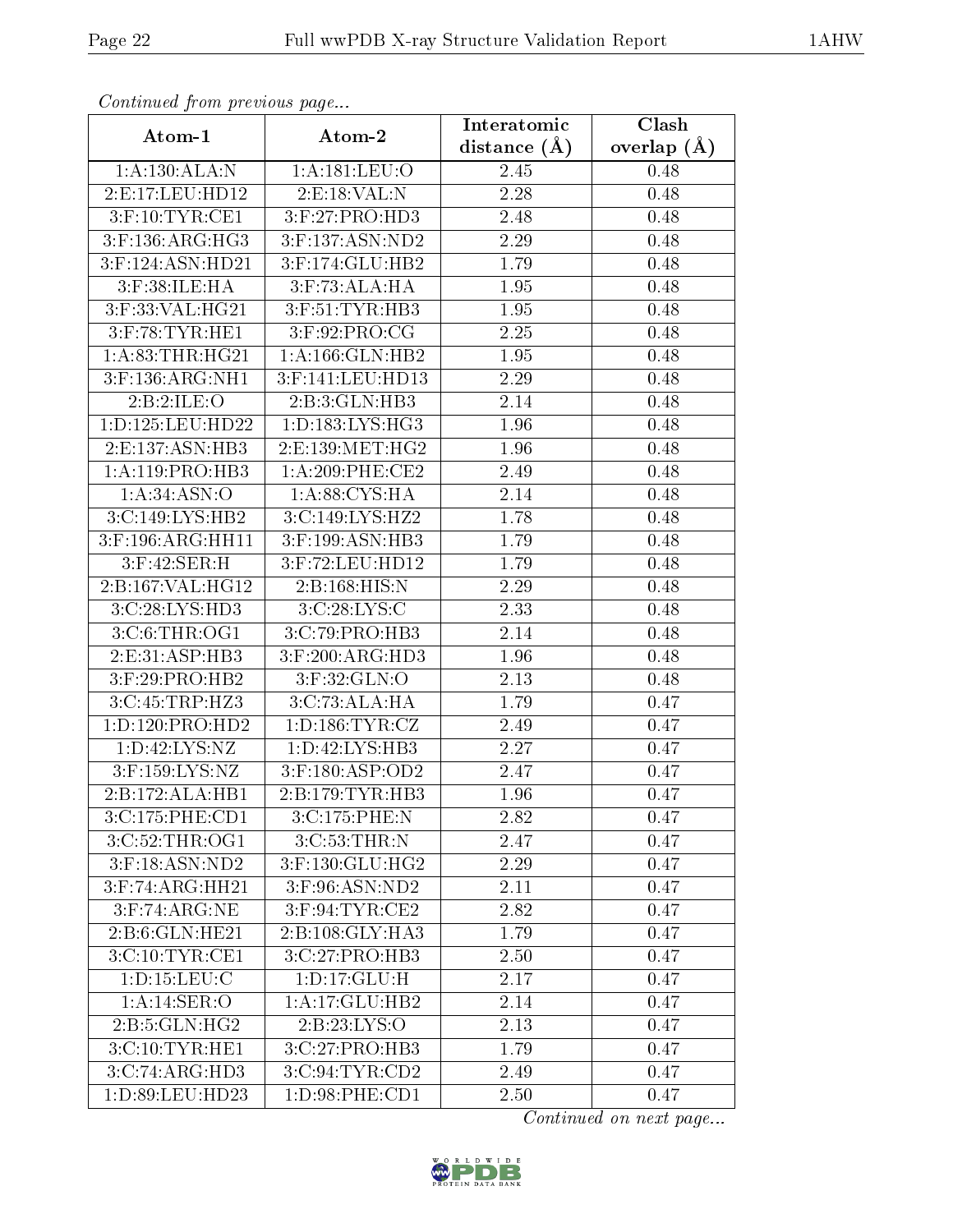| Continuati prom provious pago |                     | Interatomic      | Clash           |
|-------------------------------|---------------------|------------------|-----------------|
| Atom-1                        | Atom-2              | distance $(\AA)$ | overlap $(\AA)$ |
| 1: A: 130: ALA: N             | 1: A: 181: LEU: O   | 2.45             | 0.48            |
| 2:E:17:LEU:HD12               | 2: E: 18: VAL: N    | 2.28             | 0.48            |
| $3:$ F:10:TYR:CE1             | 3: F:27: PRO:HD3    | 2.48             | 0.48            |
| 3:F:136:ARG:HG3               | 3:F:137:ASN:ND2     | 2.29             | 0.48            |
| 3:F:124:ASN:HD21              | 3:F:174:GLU:HB2     | 1.79             | 0.48            |
| $3:$ F:38:ILE:HA              | $3:$ F:73:ALA:HA    | 1.95             | 0.48            |
| 3:F:33:VAL:HG21               | 3:F:51:TYR:HB3      | 1.95             | 0.48            |
| $3:$ F:78:TYR:HE1             | 3:F:92:PRO:CG       | 2.25             | 0.48            |
| 1: A:83:THR:HG21              | 1: A: 166: GLN: HB2 | 1.95             | 0.48            |
| 3:F:136:ARG:NH1               | 3:F:141:LEU:HD13    | 2.29             | 0.48            |
| 2:B:2:ILE:O                   | 2:B:3:GLN:HB3       | 2.14             | 0.48            |
| 1: D: 125: LEU: HD22          | 1: D: 183: LYS: HG3 | 1.96             | 0.48            |
| 2: E: 137: ASN: HB3           | 2:E:139:MET:HG2     | 1.96             | 0.48            |
| 1:A:119:PRO:HB3               | $1: A:209:$ PHE:CE2 | 2.49             | 0.48            |
| 1: A:34: ASN:O                | 1: A:88: CYS:HA     | 2.14             | 0.48            |
| 3:C:149:LYS:HB2               | 3:C:149:LYS:HZ2     | 1.78             | 0.48            |
| 3:F:196:ARG:HH11              | 3:F:199:ASN:HB3     | 1.79             | 0.48            |
| $3:$ F:42:SER:H               | 3:F:72:LEU:HD12     | 1.79             | 0.48            |
| 2:B:167:VAL:HG12              | 2:B:168:HIS:N       | 2.29             | 0.48            |
| 3:C:28:LYS:HD3                | 3:C:28:LYS:C        | 2.33             | 0.48            |
| 3:C:6:THR:OG1                 | 3:C:79:PRO:HB3      | 2.14             | 0.48            |
| 2:E:31:ASP:HB3                | $3:$ F:200:ARG:HD3  | 1.96             | 0.48            |
| 3:F:29:PRO:HB2                | $3:$ F:32:GLN:O     | 2.13             | 0.48            |
| 3:C:45:TRP:HZ3                | 3:C:73:ALA:HA       | 1.79             | 0.47            |
| 1: D: 120: PRO: HD2           | 1: D: 186: TYR: CZ  | 2.49             | 0.47            |
| 1:D:42:LYS:NZ                 | 1:D:42:LYS:HB3      | 2.27             | 0.47            |
| 3:F:159:LYS:NZ                | 3:F:180:ASP:OD2     | 2.47             | 0.47            |
| 2:B:172:ALA:HB1               | 2:B:179:TYR:HB3     | 1.96             | 0.47            |
| 3:C:175:PHE:CD1               | 3:C:175:PHE:N       | 2.82             | 0.47            |
| 3:C:52:THR:OG1                | 3:C:53:THR:N        | 2.47             | 0.47            |
| $3:$ F:18:ASN:ND2             | 3:F:130:GLU:HG2     | 2.29             | 0.47            |
| 3:F:74:ARG:HH21               | 3:F:96:ASN:ND2      | 2.11             | 0.47            |
| $3:$ F:74:ARG:NE              | 3:F:94:TYR:CE2      | 2.82             | 0.47            |
| 2:B:6:GLN:HE21                | 2:B:108:GLY:HA3     | 1.79             | 0.47            |
| 3:C:10:TYR:CE1                | 3:C:27:PRO:HB3      | 2.50             | 0.47            |
| 1: D: 15: LEU: C              | 1: D: 17: GLU: H    | 2.17             | 0.47            |
| 1:A:14:SER:O                  | 1:A:17:GLU:HB2      | 2.14             | 0.47            |
| 2:B:5:GLN:HG2                 | 2:B:23:LYS:O        | 2.13             | 0.47            |
| 3:C:10:TYR:HE1                | 3:C:27:PRO:HB3      | 1.79             | 0.47            |
| 3:C:74:ARG:HD3                | 3:C:94:TYR:CD2      | 2.49             | 0.47            |
| 1:D:89:LEU:HD23               | 1:D:98:PHE:CD1      | 2.50             | 0.47            |

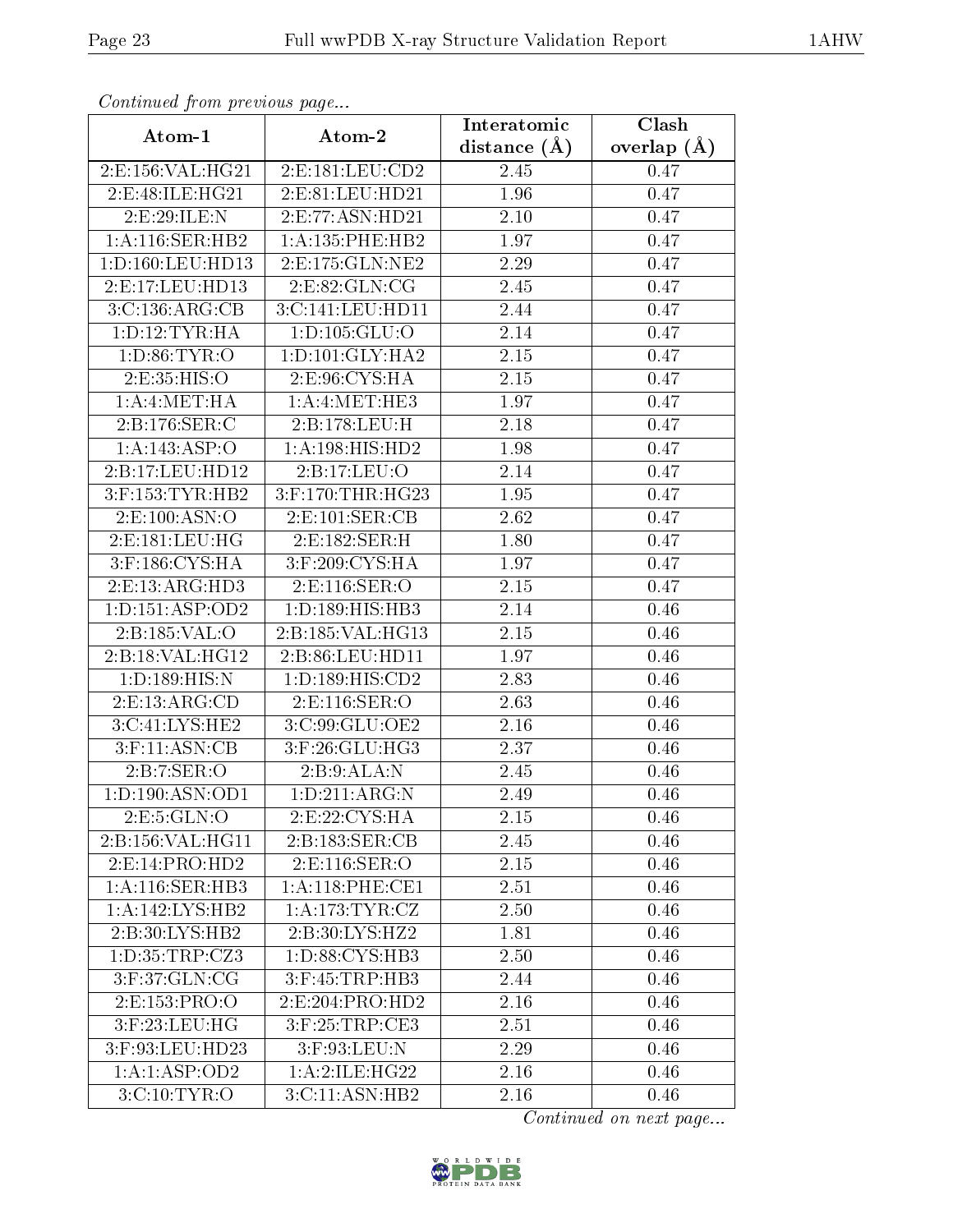| Continuati pont previous page |                     | Interatomic      | Clash           |
|-------------------------------|---------------------|------------------|-----------------|
| Atom-1                        | Atom-2              | distance $(\AA)$ | overlap $(\AA)$ |
| 2:E:156:VAL:HG21              | 2:E:181:LEU:CD2     | 2.45             | 0.47            |
| 2:E:48:ILE:HG21               | 2:E:81:LEU:HD21     | 1.96             | 0.47            |
| 2:E:29:ILE:N                  | 2: E: 77: ASN: HD21 | $2.10\,$         | 0.47            |
| 1:A:116:SER:HB2               | 1: A: 135: PHE: HB2 | 1.97             | 0.47            |
| 1:D:160:LEU:HD13              | 2:E:175:GLN:NE2     | 2.29             | 0.47            |
| 2:E:17:LEU:HD13               | 2:E:82:GLN:CG       | 2.45             | 0.47            |
| 3:C:136:ARG:CB                | 3:C:141:LEU:HD11    | 2.44             | 0.47            |
| 1: D: 12: TYR: HA             | 1:D:105:GLU:O       | 2.14             | 0.47            |
| 1: D:86: TYR:O                | 1: D:101: GLY:HA2   | $2.15\,$         | 0.47            |
| 2:E:35:HIS:O                  | 2:E:96:CYS:HA       | 2.15             | 0.47            |
| 1:A:4:MET:HA                  | 1:A:4:MET:HE3       | 1.97             | 0.47            |
| 2:B:176:SER:C                 | 2:B:178:LEU:H       | 2.18             | 0.47            |
| 1:A:143:ASP:O                 | 1: A:198: HIS: HD2  | 1.98             | 0.47            |
| 2:B:17:LEU:HD12               | 2:B:17:LEU:O        | 2.14             | 0.47            |
| $3:$ F:153:TYR:HB2            | 3:F:170:THR:HG23    | 1.95             | 0.47            |
| 2: E:100: ASN:O               | 2: E: 101: SER: CB  | 2.62             | 0.47            |
| 2:E:181:LEU:HG                | 2:E:182:SER:H       | 1.80             | 0.47            |
| 3:F:186:CYS:HA                | 3:F:209:CYS:HA      | 1.97             | 0.47            |
| 2:E:13:ARG:HD3                | 2:E:116:SER:O       | 2.15             | 0.47            |
| 1: D: 151: ASP: OD2           | 1: D: 189: HIS: HB3 | 2.14             | 0.46            |
| 2:B:185:VAL:O                 | 2:B:185:VAL:HG13    | 2.15             | 0.46            |
| 2: B: 18: VAL:HG12            | 2:B:86:LEU:HD11     | 1.97             | 0.46            |
| 1: D: 189: HIS: N             | 1: D: 189: HIS: CD2 | 2.83             | 0.46            |
| 2: E: 13: ARG: CD             | 2:E:116:SER:O       | 2.63             | 0.46            |
| 3:C:41:LYS:HE2                | 3:C:99:GLU:OE2      | 2.16             | 0.46            |
| $3:$ F:11:ASN:CB              | 3:F:26:GLU:HG3      | 2.37             | 0.46            |
| 2: B: 7: SER: O               | 2:B:9:ALA:N         | 2.45             | 0.46            |
| 1: D: 190: ASN: OD1           | 1: D: 211: ARG: N   | 2.49             | 0.46            |
| 2: E: 5: GLN: O               | 2:E:22:CYS:HA       | 2.15             | 0.46            |
| 2:B:156:VAL:HG11              | 2:B:183:SER:CB      | 2.45             | 0.46            |
| 2: E: 14: PRO: HD2            | 2:E:116:SER:O       | 2.15             | 0.46            |
| 1:A:116:SER:HB3               | 1: A:118: PHE:CE1   | 2.51             | 0.46            |
| 1:A:142:LYS:HB2               | 1: A:173: TYR: CZ   | 2.50             | 0.46            |
| 2:B:30:LYS:HB2                | 2:B:30:LYS:HZ2      | 1.81             | 0.46            |
| 1:D:35:TRP:CZ3                | 1:D:88:CYS:HB3      | 2.50             | 0.46            |
| 3:F:37:GLN:CG                 | 3:F:45:TRP:HB3      | 2.44             | 0.46            |
| 2:E:153:PRO:O                 | 2:E:204:PRO:HD2     | 2.16             | 0.46            |
| $3:$ F:23:LEU:HG              | 3:F:25:TRP:CE3      | 2.51             | 0.46            |
| 3:F:93:LEU:HD23               | $3:$ F:93:LEU:N     | 2.29             | 0.46            |
| 1:A:1:ASP:OD2                 | 1: A:2: ILE: HG22   | 2.16             | 0.46            |
| 3:C:10:TYR:O                  | 3:C:11:ASN:HB2      | 2.16             | 0.46            |

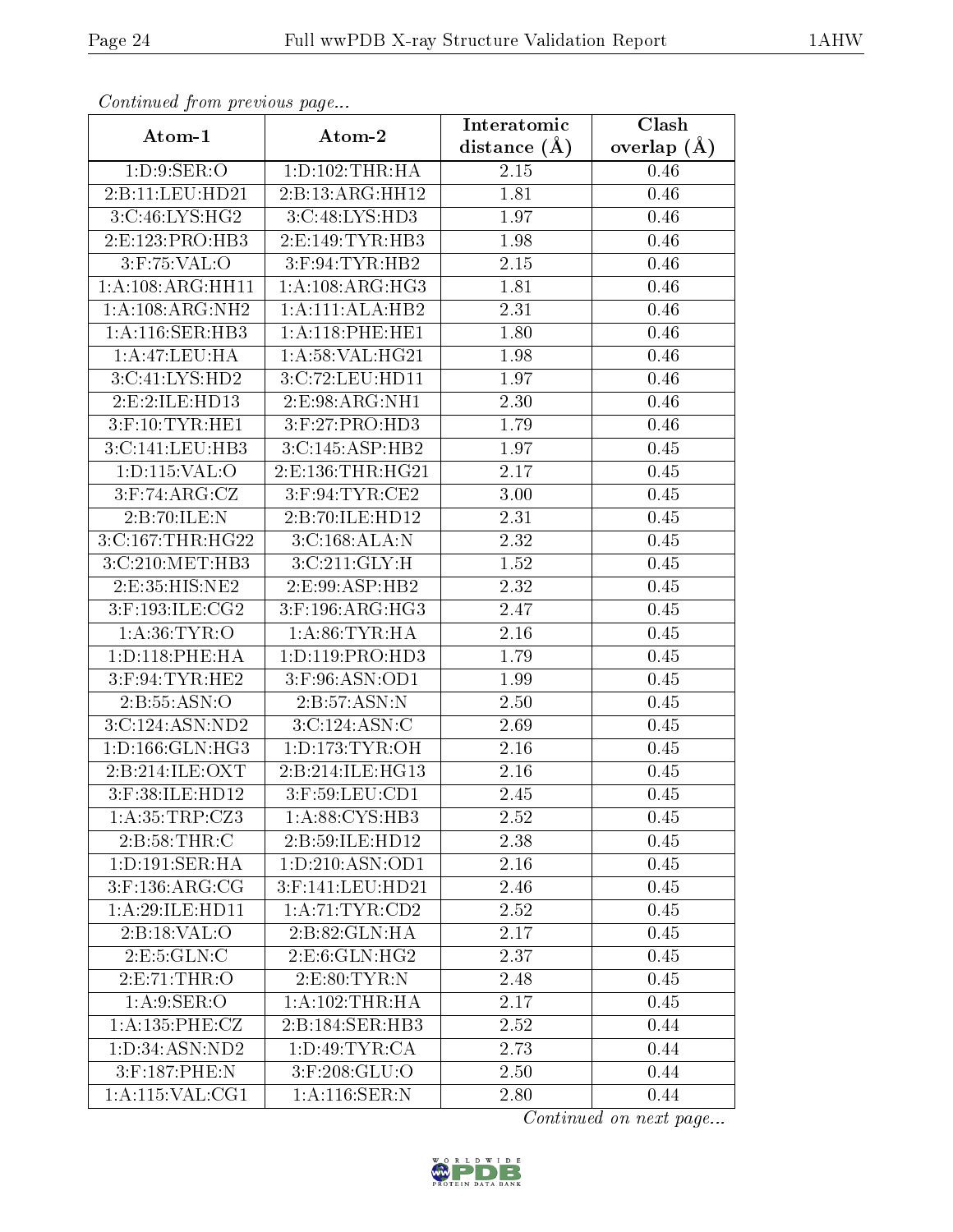| Conningea from previous page |                      | Interatomic      | Clash           |
|------------------------------|----------------------|------------------|-----------------|
| Atom-1                       | Atom-2               | distance $(\AA)$ | overlap $(\AA)$ |
| 1: D: 9: SER: O              | 1:D:102:THR:HA       | 2.15             | 0.46            |
| 2:B:11:LEU:HD21              | 2:B:13:ARG:HH12      | 1.81             | 0.46            |
| 3:C:46:LYS:HG2               | 3:C:48:LYS:HD3       | 1.97             | 0.46            |
| 2: E: 123: PRO: HB3          | 2: E: 149: TYR: HB3  | 1.98             | 0.46            |
| $3:$ F:75:VAL:O              | 3:F:94:TYR:HB2       | 2.15             | 0.46            |
| 1: A:108:ARG:HH11            | 1: A:108: ARG: HG3   | 1.81             | 0.46            |
| 1: A:108: ARG: NH2           | 1:A:111:ALA:HB2      | 2.31             | 0.46            |
| 1: A:116: SER: HB3           | 1: A:118: PHE: HE1   | 1.80             | 0.46            |
| 1:A:47:LEU:HA                | 1:A:58:VAL:HG21      | 1.98             | 0.46            |
| 3:C:41:LYS:HD2               | 3:C:72:LEU:HD11      | 1.97             | 0.46            |
| 2:E:2:ILE:HD13               | 2:E:98:ARG:NH1       | 2.30             | 0.46            |
| $3:$ F:10:TYR:HE1            | 3:F:27:PRO:HD3       | 1.79             | 0.46            |
| 3:C:141:LEU:HB3              | 3:C:145:ASP:HB2      | 1.97             | 0.45            |
| 1:D:115:VAL:O                | 2:E:136:THR:HG21     | 2.17             | 0.45            |
| $3:$ F:74:ARG:CZ             | 3:F:94:TYR:CE2       | 3.00             | 0.45            |
| 2:B:70:ILE:N                 | 2:B:70:ILE:HD12      | 2.31             | 0.45            |
| 3:C:167:THR:HG22             | 3:C:168:ALA:N        | 2.32             | 0.45            |
| 3:C:210:MET:HB3              | 3:C:211:GLY:H        | 1.52             | 0.45            |
| 2:E:35:HIS:NE2               | 2:E:99:ASP:HB2       | 2.32             | 0.45            |
| 3:F:193:ILE:CG2              | $3:$ F:196:ARG:HG3   | 2.47             | 0.45            |
| 1: A:36: TYR:O               | 1: A:86:TYR:HA       | 2.16             | 0.45            |
| 1: D: 118: PHE: HA           | 1:D:119:PRO:HD3      | 1.79             | 0.45            |
| $3:$ F:94:TYR:HE2            | 3:F:96:ASN:OD1       | 1.99             | 0.45            |
| 2: B: 55: ASN: O             | 2:B:57:ASN:N         | 2.50             | 0.45            |
| 3:C:124:ASN:ND2              | 3:C:124:ASN:C        | 2.69             | 0.45            |
| 1:D:166:GLN:HG3              | 1: D: 173: TYR: OH   | 2.16             | 0.45            |
| 2: B:214: ILE: OXT           | 2:B:214:ILE:HG13     | 2.16             | 0.45            |
| 3:F:38:ILE:HD12              | 3:F:59:LEU:CD1       | 2.45             | 0.45            |
| 1: A:35:TRP: CZ3             | 1:A:88:CYS:HB3       | 2.52             | 0.45            |
| 2: B:58:THR:C                | 2:B:59:ILE:HD12      | 2.38             | 0.45            |
| 1: D: 191: SER: HA           | 1: D: 210: ASN: OD1  | 2.16             | 0.45            |
| $3:$ F:136:ARG:CG            | 3:F:141:LEU:HD21     | 2.46             | 0.45            |
| 1: A:29: ILE: HD11           | 1: A:71:TYR:CD2      | 2.52             | 0.45            |
| 2:B:18:VAL:O                 | 2:B:82:GLN:HA        | 2.17             | 0.45            |
| 2: E: 5: GLN: C              | 2: E: 6: GLN: HG2    | 2.37             | 0.45            |
| 2:E:71:THR:O                 | 2:E:80:TYR:N         | 2.48             | 0.45            |
| 1:A:9:SER:O                  | 1: A:102:THR:HA      | 2.17             | 0.45            |
| 1: A: 135: PHE: CZ           | 2:B:184:SER:HB3      | 2.52             | 0.44            |
| 1:D:34:ASN:ND2               | 1: D:49: TYR: CA     | 2.73             | 0.44            |
| $3:$ F:187:PHE:N             | $3:$ F:208: $GLU$ :O | 2.50             | 0.44            |
| 1:A:115:VAL:CG1              | 1:A:116:SER:N        | 2.80             | 0.44            |

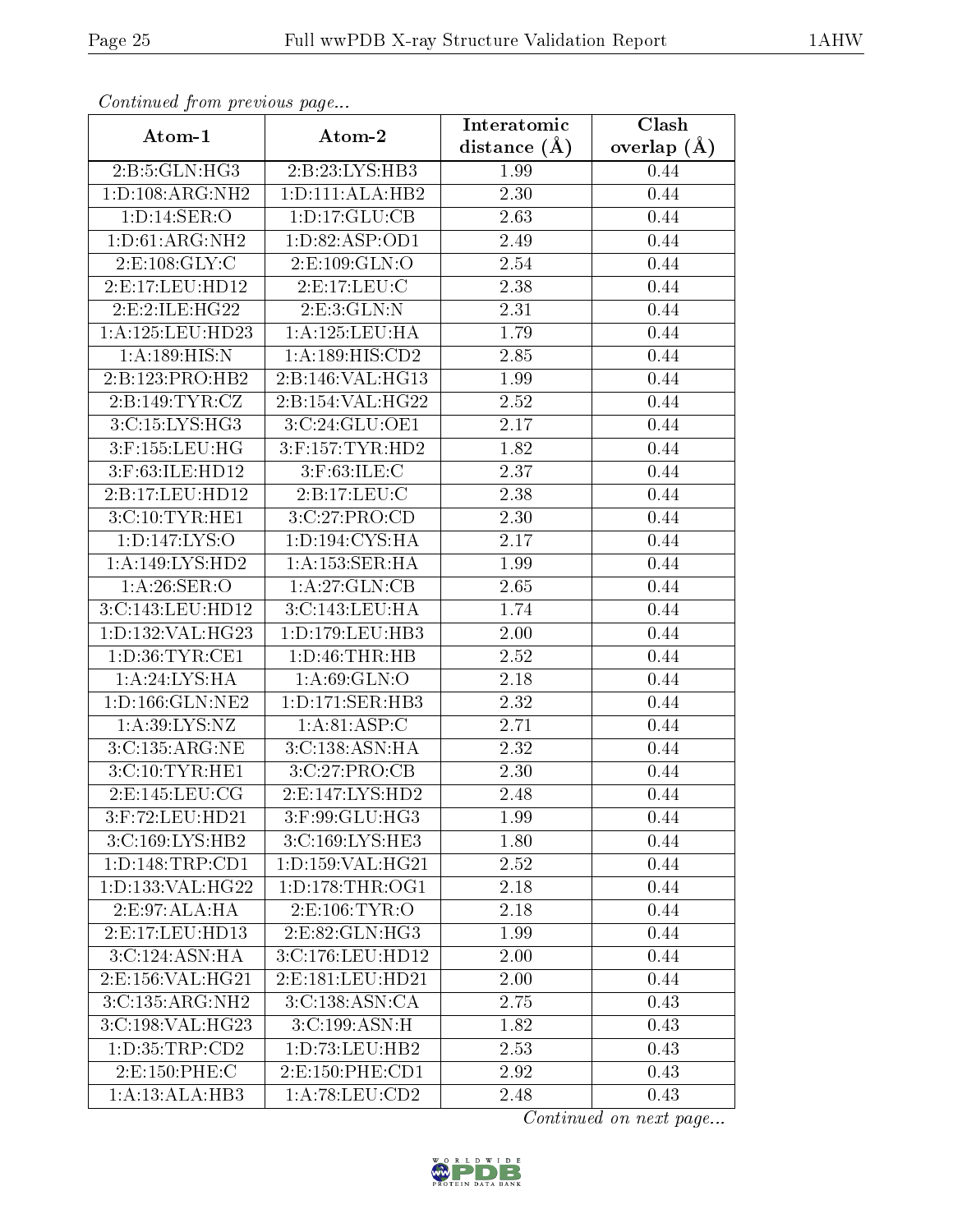| Conningea from previous page |                                              | Interatomic    | Clash           |
|------------------------------|----------------------------------------------|----------------|-----------------|
| Atom-1                       | Atom-2                                       | distance $(A)$ | overlap $(\AA)$ |
| 2:B:5:GLN:HG3                | 2:B:23:LYS:HB3                               | 1.99           | 0.44            |
| 1:D:108:ARG:NH2              | 1: D: 111: ALA: HB2                          | 2.30           | 0.44            |
| 1: D: 14: SER: O             | 1: D: 17: GLU: CB                            | 2.63           | 0.44            |
| 1: D: 61: ARG: NH2           | 1: D:82: ASP:OD1                             | 2.49           | 0.44            |
| 2: E: 108: GLY: C            | 2:E:109:GLN:O                                | 2.54           | 0.44            |
| 2:E:17:LEU:HD12              | 2: E: 17: LEU: C                             | 2.38           | 0.44            |
| 2:E:2:ILE:HG22               | 2: E: 3: GLN:N                               | 2.31           | 0.44            |
| 1: A: 125: LEU: HD23         | 1: A: 125: LEU: HA                           | 1.79           | 0.44            |
| 1: A: 189: HIS: N            | 1:A:189:HIS:CD2                              | 2.85           | 0.44            |
| 2:B:123:PRO:HB2              | 2:B:146:VAL:HG13                             | 1.99           | 0.44            |
| 2:B:149:TYR:CZ               | 2:B:154:VAL:HG22                             | 2.52           | 0.44            |
| 3:C:15:LYS:HG3               | 3:C:24:GLU:OE1                               | 2.17           | 0.44            |
| 3:F:155:LEU:HG               | 3:F:157:TYR:HD2                              | 1.82           | 0.44            |
| 3:F:63:ILE:HD12              | $3:$ F:63:ILE:C                              | 2.37           | 0.44            |
| 2:B:17:LEU:HD12              | 2:B:17:LEU:C                                 | 2.38           | 0.44            |
| 3:C:10:TYR:HE1               | 3:C:27:PRO:CD                                | 2.30           | 0.44            |
| 1: D: 147: LYS: O            | $1: D: 194: \overline{\text{CYS:H}\text{A}}$ | 2.17           | 0.44            |
| 1:A:149:LYS:HD2              | 1: A: 153: SER: HA                           | 1.99           | 0.44            |
| 1: A:26: SER:O               | 1:A:27:GLN:CB                                | 2.65           | 0.44            |
| 3:C:143:LEU:HD12             | 3:C:143:LEU:HA                               | 1.74           | 0.44            |
| 1: D: 132: VAL: HG23         | 1: D: 179: LEU: HB3                          | 2.00           | 0.44            |
| 1: D:36: TYR: CE1            | 1: D: 46: THR: HB                            | 2.52           | 0.44            |
| 1:A:24:LYS:HA                | 1: A:69: GLN:O                               | 2.18           | 0.44            |
| 1: D: 166: GLN: NE2          | 1:D:171:SER:HB3                              | 2.32           | 0.44            |
| 1: A:39: LYS: NZ             | 1: A:81: ASP:C                               | 2.71           | 0.44            |
| 3:C:135:ARG:NE               | 3:C:138:ASN:HA                               | 2.32           | 0.44            |
| 3:C:10:TYR:HE1               | 3:C:27:PRO:CB                                | 2.30           | 0.44            |
| 2: E: 145: LEU: CG           | 2: E: 147: LYS: HD2                          | 2.48           | 0.44            |
| 3:F:72:LEU:HD21              | 3:F:99:GLU:HG3                               | 1.99           | 0.44            |
| 3:C:169:LYS:HB2              | 3:C:169:LYS:HE3                              | 1.80           | 0.44            |
| 1: D: 148: TRP: CD1          | 1:D:159:VAL:HG21                             | 2.52           | 0.44            |
| 1:D:133:VAL:HG22             | 1: D: 178: THR: OG1                          | 2.18           | 0.44            |
| 2:E:97:ALA:HA                | 2:E:106:TYR:O                                | 2.18           | 0.44            |
| 2:E:17:LEU:HD13              | 2:E:82:GLN:HG3                               | 1.99           | 0.44            |
| 3:C:124:ASN:HA               | 3:C:176:LEU:HD12                             | 2.00           | 0.44            |
| 2:E:156:VAL:HG21             | 2:E:181:LEU:HD21                             | 2.00           | 0.44            |
| 3:C:135:ARG:NH2              | 3:C:138:ASN:CA                               | 2.75           | 0.43            |
| 3:C:198:VAL:HG23             | 3:C:199:ASN:H                                | 1.82           | 0.43            |
| 1: D: 35: TRP: CD2           | 1:D:73:LEU:HB2                               | 2.53           | 0.43            |
| 2:E:150:PHE:C                | 2: E: 150: PHE: CD1                          | 2.92           | 0.43            |
| 1:A:13:ALA:HB3               | 1: A:78: LEU:CD2                             | 2.48           | 0.43            |

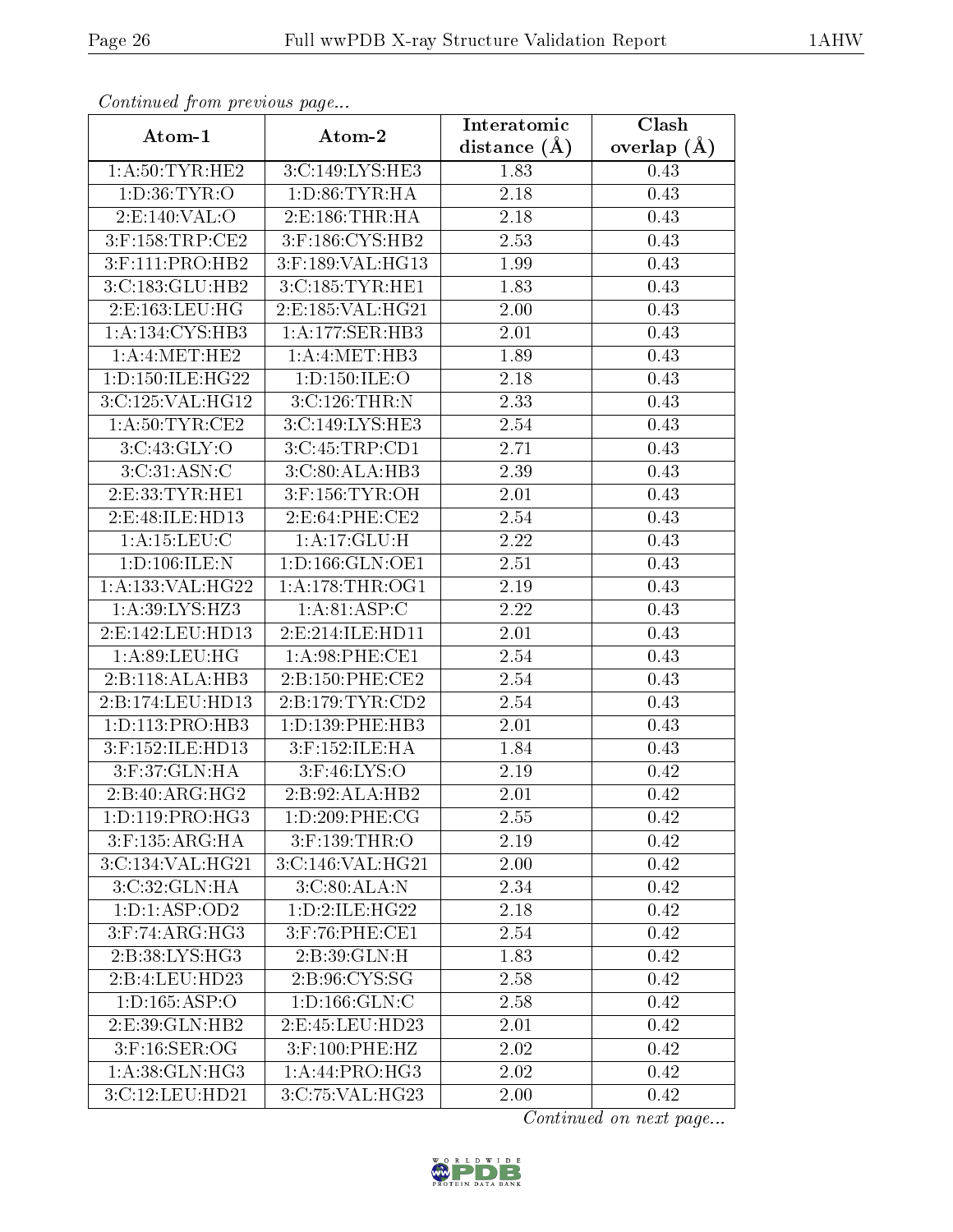| Contentaca prom providuo pago | Atom-2                               | Interatomic    | Clash         |
|-------------------------------|--------------------------------------|----------------|---------------|
| Atom-1                        |                                      | distance $(A)$ | overlap $(A)$ |
| 1: A:50: TYR: HE2             | 3:C:149:LYS:HE3                      | 1.83           | 0.43          |
| 1: D:36: TYR:O                | 1: D: 86: TYR: HA                    | 2.18           | 0.43          |
| 2:E:140:VAL:O                 | 2: E: 186: THR: HA                   | 2.18           | 0.43          |
| $3:$ F:158:TRP:CE2            | 3:F:186:CYS:HB2                      | 2.53           | 0.43          |
| 3:F:111:PRO:HB2               | 3:F:189:VAL:HG13                     | 1.99           | 0.43          |
| 3:C:183:GLU:HB2               | 3:C:185:TYR:HE1                      | 1.83           | 0.43          |
| 2:E:163:LEU:HG                | 2:E:185:VAL:HG21                     | 2.00           | 0.43          |
| 1: A: 134: CYS: HB3           | 1:A:177:SER:HB3                      | 2.01           | 0.43          |
| 1:A:4:MET:HE2                 | 1: A: 4: MET: HB3                    | 1.89           | 0.43          |
| 1: D: 150: ILE: HG22          | 1: D: 150: ILE: O                    | 2.18           | 0.43          |
| 3:C:125:VAL:HG12              | 3:C:126:THR:N                        | 2.33           | 0.43          |
| 1: A:50:TYR:CE2               | 3: C:149: LYS: HE3                   | 2.54           | 0.43          |
| 3:C:43:GLY:O                  | 3:C:45:TRP:CD1                       | 2.71           | 0.43          |
| 3:C:31:ASN:C                  | 3:C:80:ALA:HB3                       | 2.39           | 0.43          |
| 2: E: 33: TYR: HE1            | $3:$ F:156:TYR:OH                    | 2.01           | 0.43          |
| 2:E:48:ILE:HD13               | 2: E:64: PHE:CE2                     | 2.54           | 0.43          |
| 1: A:15:LEU:C                 | 1: A:17: GLU: H                      | 2.22           | 0.43          |
| 1: D: 106: ILE:N              | 1:D:166:GLN:OE1                      | 2.51           | 0.43          |
| 1: A: 133: VAL: HG22          | 1: A:178:THR:OG1                     | 2.19           | 0.43          |
| 1: A:39: LYS: HZ3             | 1: A:81: ASP:C                       | 2.22           | 0.43          |
| 2:E:142:LEU:HD13              | 2:E:214:ILE:HD11                     | 2.01           | 0.43          |
| 1: A:89: LEU: HG              | 1: A:98: PHE:CE1                     | 2.54           | 0.43          |
| 2:B:118:ALA:HB3               | 2:B:150:PHE:CE2                      | 2.54           | 0.43          |
| 2:B:174:LEU:HD13              | 2:B:179:TYR:CD2                      | 2.54           | 0.43          |
| 1: D: 113: PRO: HB3           | 1: D: 139: PHE: HB3                  | 2.01           | 0.43          |
| 3:F:152:ILE:HD13              | 3:F:152:ILE:HA                       | 1.84           | 0.43          |
| 3:F:37:GLN:HA                 | 3:F:46:LYS:O                         | 2.19           | 0.42          |
| 2:B:40:ARG:HG2                | 2:B:92:ALA:HB2                       | 2.01           | 0.42          |
| 1: D: 119: PRO:HG3            | 1: D:209: PHE: CG                    | 2.55           | 0.42          |
| 3:F:135:ARG:HA                | 3:F:139:THR:O                        | 2.19           | 0.42          |
| 3:C:134:VAL:HG21              | $3:C:146:\overline{\text{VAL}:HG21}$ | 2.00           | 0.42          |
| 3:C:32:GLN:HA                 | 3:C:80:ALA:N                         | 2.34           | 0.42          |
| 1: D: 1: ASP: OD2             | 1:D:2:ILE:HG22                       | 2.18           | 0.42          |
| 3:F:74:ARG:HG3                | 3:F:76:PHE:CE1                       | 2.54           | 0.42          |
| 2:B:38:LYS:HG3                | 2: B:39: GLN:H                       | 1.83           | 0.42          |
| 2:B:4:LEU:HD23                | 2: B: 96: CYS: SG                    | 2.58           | 0.42          |
| 1:D:165:ASP:O                 | 1: D: 166: GLN: C                    | 2.58           | 0.42          |
| 2: E:39: GLN: HB2             | 2:E:45:LEU:HD23                      | 2.01           | 0.42          |
| $3:$ F:16:SER:OG              | 3:F:100:PHE:HZ                       | 2.02           | 0.42          |
| 1: A:38: GLN: HG3             | 1: A:44: PRO:HG3                     | 2.02           | 0.42          |
| 3:C:12:LEU:HD21               | 3:C:75:VAL:HG23                      | 2.00           | 0.42          |

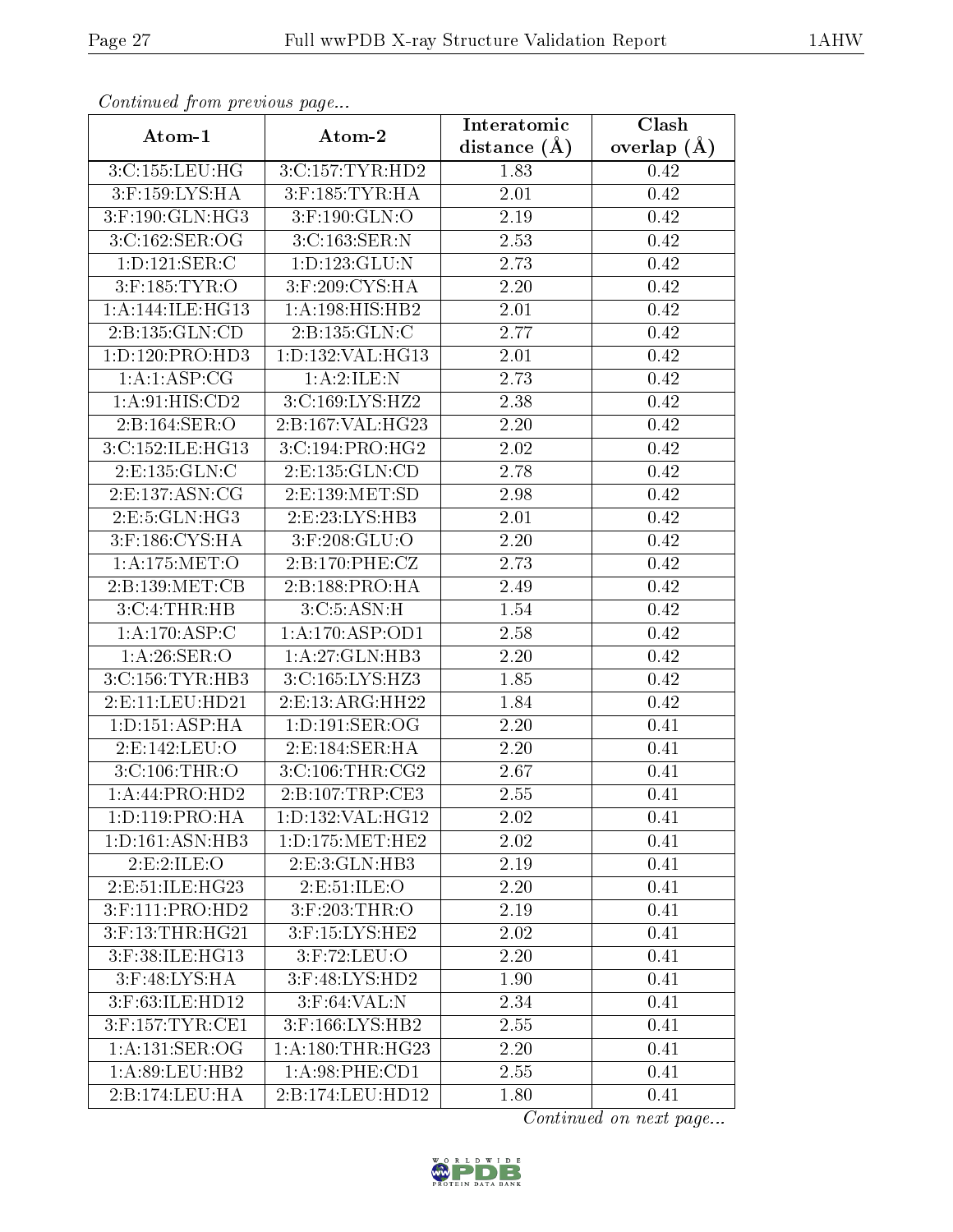| Communica from precious page     |                     | Interatomic       | Clash           |
|----------------------------------|---------------------|-------------------|-----------------|
| Atom-1                           | Atom-2              | distance $(A)$    | overlap $(\AA)$ |
| 3:C:155:LEU:HG                   | 3:C:157:TYR:HD2     | 1.83              | 0.42            |
| 3:F:159:LYS:HA                   | $3:$ F:185:TYR:HA   | 2.01              | 0.42            |
| $3:$ F:190:GLN:HG3               | $3:$ F:190:GLN:O    | 2.19              | 0.42            |
| 3:C:162:SER:OG                   | 3:C:163:SER:N       | 2.53              | 0.42            |
| 1:D:121:SER:C                    | 1: D: 123: GLU: N   | 2.73              | 0.42            |
| $3:$ F:185:TYR:O                 | 3:F:209:CYS:HA      | 2.20              | 0.42            |
| 1: A:144: ILE:HG13               | 1:A:198:HIS:HB2     | 2.01              | 0.42            |
| 2:B:135:GLN:CD                   | 2:B:135:GLN:C       | 2.77              | 0.42            |
| 1:D:120:PRO:HD3                  | 1:D:132:VAL:HG13    | 2.01              | 0.42            |
| 1: A:1: ASP:CG                   | 1:A:2:ILE:N         | 2.73              | 0.42            |
| 1:A:91:HIS:CD2                   | 3:C:169:LYS:HZ2     | 2.38              | 0.42            |
| 2:B:164:SER:O                    | 2:B:167:VAL:HG23    | 2.20              | 0.42            |
| 3:C:152:ILE:HG13                 | 3:C:194:PRO:HG2     | 2.02              | 0.42            |
| 2: E: 135: GLN: C                | 2:E:135:GLN:CD      | 2.78              | 0.42            |
| 2: E: 137: ASN: CG               | $2:$ E:139:MET:SD   | 2.98              | 0.42            |
| 2:E:5:GLN:HG3                    | 2:E:23:LYS:HB3      | 2.01              | 0.42            |
| 3:F:186:CYS:HA                   | $3:$ F:208:GLU:O    | 2.20              | 0.42            |
| 1:A:175:MET:O                    | 2:B:170:PHE:CZ      | 2.73              | 0.42            |
| 2:B:139:MET:CB                   | 2:B:188:PRO:HA      | $\overline{2}.49$ | 0.42            |
| 3:C:4:THR:HB                     | 3:C:5:ASN:H         | 1.54              | 0.42            |
| 1:A:170:ASP:C                    | 1: A: 170: ASP: OD1 | 2.58              | 0.42            |
| $1:A:26:\overline{\text{SER:O}}$ | 1:A:27:GLN:HB3      | 2.20              | 0.42            |
| 3: C:156: TYR:HB3                | $3:$ C:165:LYS:HZ3  | 1.85              | 0.42            |
| 2:E:11:LEU:HD21                  | 2:E:13:ARG:HH22     | 1.84              | 0.42            |
| 1: D: 151: ASP: HA               | 1: D: 191: SER: OG  | 2.20              | 0.41            |
| 2:E:142:LEU:O                    | 2:E:184:SER:HA      | 2.20              | 0.41            |
| 3:C:106:THR:O                    | 3:C:106:THR:CG2     | 2.67              | 0.41            |
| 1:A:44:PRO:HD2                   | 2:B:107:TRP:CE3     | 2.55              | 0.41            |
| 1:D:119:PRO:HA                   | 1:D:132:VAL:HG12    | 2.02              | 0.41            |
| 1:D:161:ASN:HB3                  | 1: D: 175: MET: HE2 | 2.02              | 0.41            |
| 2:E:2:ILE:O                      | 2:E:3:GLN:HB3       | 2.19              | 0.41            |
| 2:E:51:ILE:HG23                  | 2: E: 51: ILE: O    | 2.20              | 0.41            |
| 3:F:111:PRO:HD2                  | 3:F:203:THR:O       | 2.19              | 0.41            |
| 3:F:13:THR:HG21                  | 3:F:15:LYS:HE2      | 2.02              | 0.41            |
| 3:F:38:ILE:HG13                  | $3:$ F:72:LEU:O     | 2.20              | 0.41            |
| 3:F:48:LYS:HA                    | 3:F:48:LYS:HD2      | 1.90              | 0.41            |
| 3:F:63:ILE:HD12                  | $3:$ F:64:VAL:N     | 2.34              | 0.41            |
| 3:F:157:TYR:CE1                  | $3:$ F:166:LYS:HB2  | 2.55              | 0.41            |
| 1: A: 131: SER: OG               | 1: A:180:THR:HG23   | 2.20              | 0.41            |
| 1: A:89:LEU:HB2                  | 1:A:98:PHE:CD1      | 2.55              | 0.41            |
| 2:B:174:LEU:HA                   | 2:B:174:LEU:HD12    | 1.80              | 0.41            |

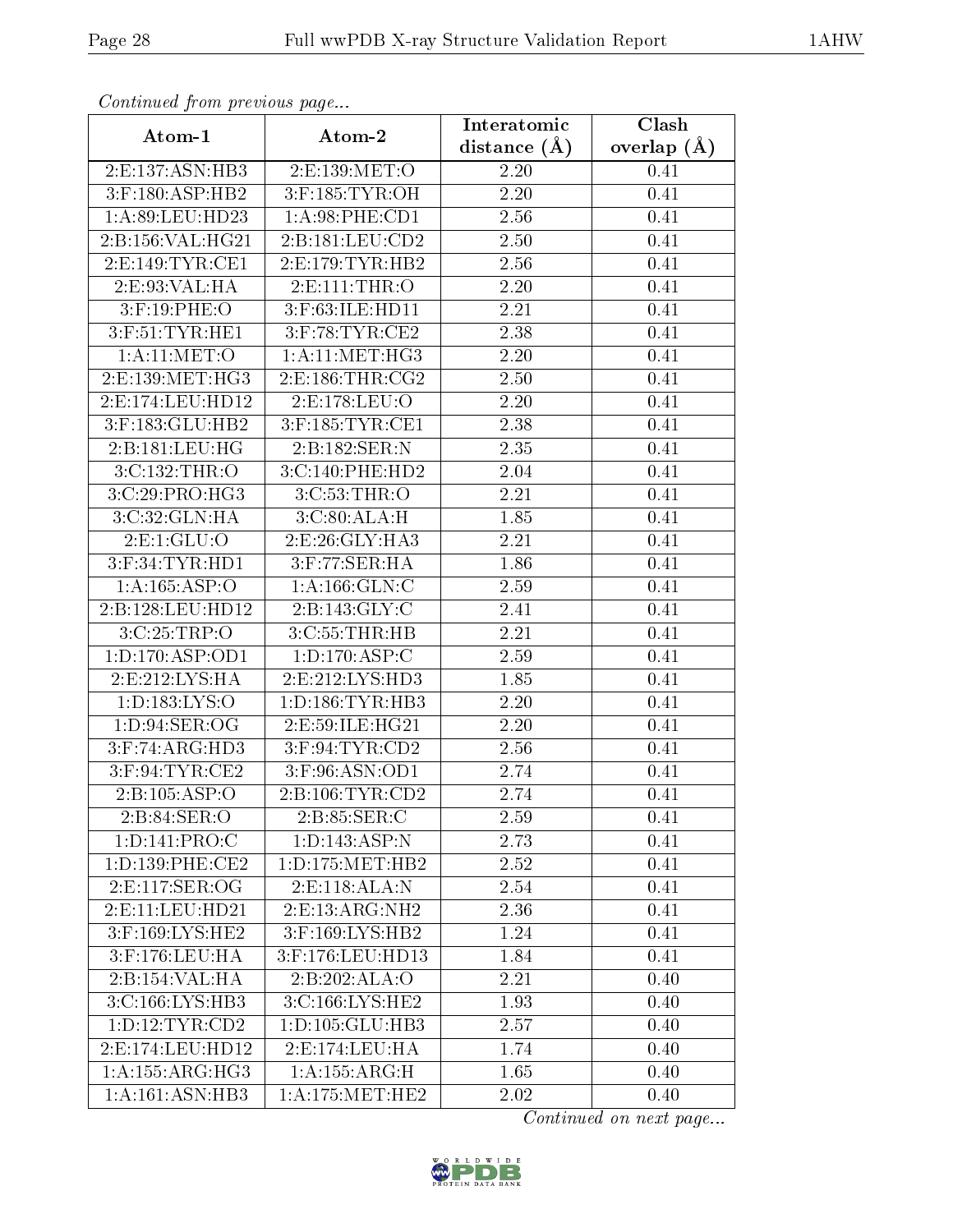| Continuata from previous page |                               | Interatomic       | Clash           |
|-------------------------------|-------------------------------|-------------------|-----------------|
| Atom-1                        | Atom-2                        | distance $(A)$    | overlap $(\AA)$ |
| 2:E:137:ASN:HB3               | 2:E:139:MET:O                 | 2.20              | 0.41            |
| $3:$ F:180:ASP:HB2            | 3:F:185:TYR:OH                | 2.20              | 0.41            |
| 1:A:89:LEU:HD23               | 1:A:98:PHE:CD1                | 2.56              | 0.41            |
| 2:B:156:VAL:HG21              | 2: B: 181: LEU: CD2           | 2.50              | 0.41            |
| 2: E: 149: TYR: CE1           | 2: E: 179: TYR: HB2           | 2.56              | 0.41            |
| 2: E: 93: VAL: HA             | 2:E:111:THR:O                 | 2.20              | 0.41            |
| 3:F:19:PHE:O                  | 3:F:63:ILE:HD11               | 2.21              | 0.41            |
| $3:$ F:51:TYR:HE1             | $3:$ F:78:TYR:CE2             | 2.38              | 0.41            |
| 1:A:11:MET:O                  | 1: A:11: MET:HG3              | 2.20              | 0.41            |
| 2:E:139:MET:HG3               | 2: E: 186: THR: CG2           | 2.50              | 0.41            |
| 2:E:174:LEU:HD12              | 2:E:178:LEU:O                 | 2.20              | 0.41            |
| 3:F:183:GLU:HB2               | $3:$ F:185:TYR:CE1            | 2.38              | 0.41            |
| 2:B:181:LEU:HG                | 2:B:182:SER:N                 | 2.35              | 0.41            |
| 3:C:132:THR:O                 | 3:C:140:PHE:HD2               | 2.04              | 0.41            |
| 3:C:29:PRO:HG3                | 3:C:53:THR:O                  | 2.21              | 0.41            |
| 3:C:32:GLN:HA                 | 3: C:80: ALA:H                | 1.85              | 0.41            |
| 2: E: 1: GLU: O               | 2: E:26: GLY: HA3             | 2.21              | 0.41            |
| $3:$ F:34:TYR:HD1             | $3:$ F:77:SER:HA              | 1.86              | 0.41            |
| 1:A:165:ASP:O                 | 1: A: 166: GLN: C             | 2.59              | 0.41            |
| 2:B:128:LEU:HD12              | 2:B:143:GLY:C                 | 2.41              | 0.41            |
| 3:C:25:TRP:O                  | 3:C:55:THR:HB                 | 2.21              | 0.41            |
| 1: D: 170: ASP: OD1           | $1: D: 170: \overline{ASP:C}$ | 2.59              | 0.41            |
| 2: E: 212: LYS: HA            | 2:E:212:LYS:HD3               | 1.85              | 0.41            |
| 1:D:183:LYS:O                 | 1: D: 186: TYR: HB3           | 2.20              | 0.41            |
| 1: D:94: SER:OG               | 2:E:59:ILE:HG21               | 2.20              | 0.41            |
| $3:$ F:74:ARG:HD3             | $3:$ F:94:TYR:CD2             | $\overline{2}.56$ | 0.41            |
| $3:$ F:94:TYR:CE2             | 3:F:96:ASN:OD1                | 2.74              | 0.41            |
| 2:B:105:ASP:O                 | 2: B: 106: TYR: CD2           | 2.74              | 0.41            |
| 2: B:84: SER:O                | 2:B:85:SER:C                  | 2.59              | 0.41            |
| 1:D:141:PRO:C                 | 1: D: 143: ASP: N             | 2.73              | 0.41            |
| 1: D: 139: PHE: CE2           | 1: D: 175: MET: HB2           | 2.52              | 0.41            |
| 2:E:117:SER:OG                | 2:E:118:ALA:N                 | 2.54              | 0.41            |
| 2: E: 11: LEU: HD21           | 2: E: 13: ARG: NH2            | 2.36              | 0.41            |
| $3:$ F:169:LYS:HE2            | 3:F:169:LYS:HB2               | 1.24              | 0.41            |
| $3:$ F:176:LEU:HA             | 3:F:176:LEU:HD13              | 1.84              | 0.41            |
| 2:B:154:VAL:HA                | 2:B:202:ALA:O                 | 2.21              | 0.40            |
| 3:C:166:LYS:HB3               | 3:C:166:LYS:HE2               | 1.93              | 0.40            |
| 1: D: 12: TYR: CD2            | 1:D:105:GLU:HB3               | 2.57              | 0.40            |
| 2: E: 174: LEU: HD12          | 2: E: 174: LEU: HA            | 1.74              | 0.40            |
| 1: A: 155: ARG: HG3           | 1: A: 155: ARG: H             | 1.65              | 0.40            |
| 1: A:161: ASN:HB3             | 1: A:175:MET:HE2              | 2.02              | 0.40            |

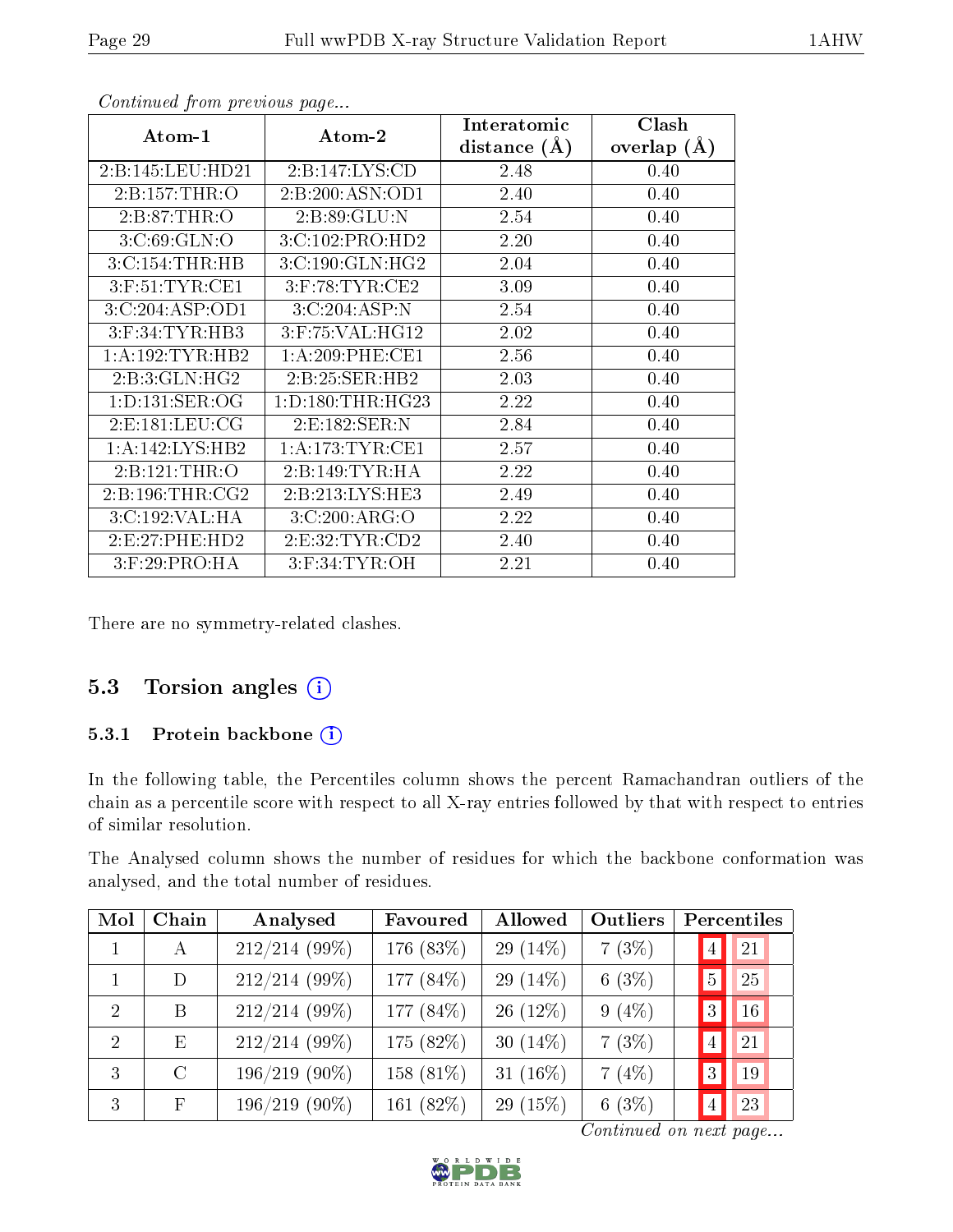| Atom-1              | $\boldsymbol{\mathrm{Atom}\text{-}2}$ | Interatomic    | Clash         |
|---------------------|---------------------------------------|----------------|---------------|
|                     |                                       | distance $(A)$ | overlap $(A)$ |
| 2:B:145:LEU:HD21    | 2: B: 147: LYS: CD                    | 2.48           | 0.40          |
| 2:Bi:157:THR:O      | 2:B:200:ASN:OD1                       | 2.40           | 0.40          |
| 2: B:87:THR:O       | 2:B:89:GLU:N                          | 2.54           | 0.40          |
| 3: C:69: GLN:O      | 3:C:102:PRO:HD2                       | 2.20           | 0.40          |
| 3:C:154:THR:HB      | 3:C:190:GLN:HG2                       | 2.04           | 0.40          |
| $3:$ F:51:TYR:CE1   | $3:$ F:78:TYR:CE2                     | 3.09           | 0.40          |
| 3:C:204:ASP:OD1     | 3:C:204:ASP:N                         | 2.54           | 0.40          |
| $3:$ F:34:TYR:HB3   | 3:F:75:VAL:HG12                       | 2.02           | 0.40          |
| 1: A: 192: TYR: HB2 | $1: A:209:$ PHE:CE1                   | 2.56           | 0.40          |
| 2:B:3:GLN:HG2       | 2:B:25:SER:HB2                        | 2.03           | 0.40          |
| 1: D: 131: SER: OG  | 1: D: 180: THR: HG23                  | 2.22           | 0.40          |
| 2: E: 181: LEU: CG  | 2: E: 182: SER: N                     | 2.84           | 0.40          |
| 1:A:142:LYS:HB2     | 1: A:173: TYR: CE1                    | 2.57           | 0.40          |
| 2:B:121:THR:O       | 2:B:149:TYR:HA                        | 2.22           | 0.40          |
| 2: B: 196: THR: CG2 | 2:B:213:LYS:HE3                       | 2.49           | 0.40          |
| 3:C:192:VAL:HA      | 3:C:200:ARG:O                         | 2.22           | 0.40          |
| 2:E:27:PHE:HD2      | 2: E:32: TYR: CD2                     | 2.40           | 0.40          |
| $3:$ F:29:PRO:HA    | $3:$ F:34:TYR:OH                      | 2.21           | 0.40          |

There are no symmetry-related clashes.

#### 5.3 Torsion angles  $(i)$

#### 5.3.1 Protein backbone (i)

In the following table, the Percentiles column shows the percent Ramachandran outliers of the chain as a percentile score with respect to all X-ray entries followed by that with respect to entries of similar resolution.

The Analysed column shows the number of residues for which the backbone conformation was analysed, and the total number of residues.

| Mol           | Chain         | Analysed        | Favoured  | Allowed     | Outliers |                | Percentiles |
|---------------|---------------|-----------------|-----------|-------------|----------|----------------|-------------|
|               | $\mathbf{A}$  | 212/214 (99%)   | 176 (83%) | 29 $(14\%)$ | 7(3%)    | $\overline{4}$ | 21          |
|               | D             | $212/214$ (99%) | 177 (84%) | 29 $(14\%)$ | 6(3%)    | $\overline{5}$ | 25          |
| $\mathcal{D}$ | B             | 212/214 (99%)   | 177 (84%) | $26(12\%)$  | $9(4\%)$ | 3              | 16          |
| 2             | E             | $212/214(99\%)$ | 175 (82%) | 30 $(14\%)$ | 7(3%)    | $\overline{4}$ | 21          |
| 3             | $\mathcal{C}$ | $196/219(90\%)$ | 158 (81%) | 31 $(16\%)$ | 7(4%)    | 3              | 19          |
| 3             | $_{\rm F}$    | $196/219(90\%)$ | 161 (82%) | 29 $(15%)$  | 6(3%)    | $\overline{4}$ | 23          |

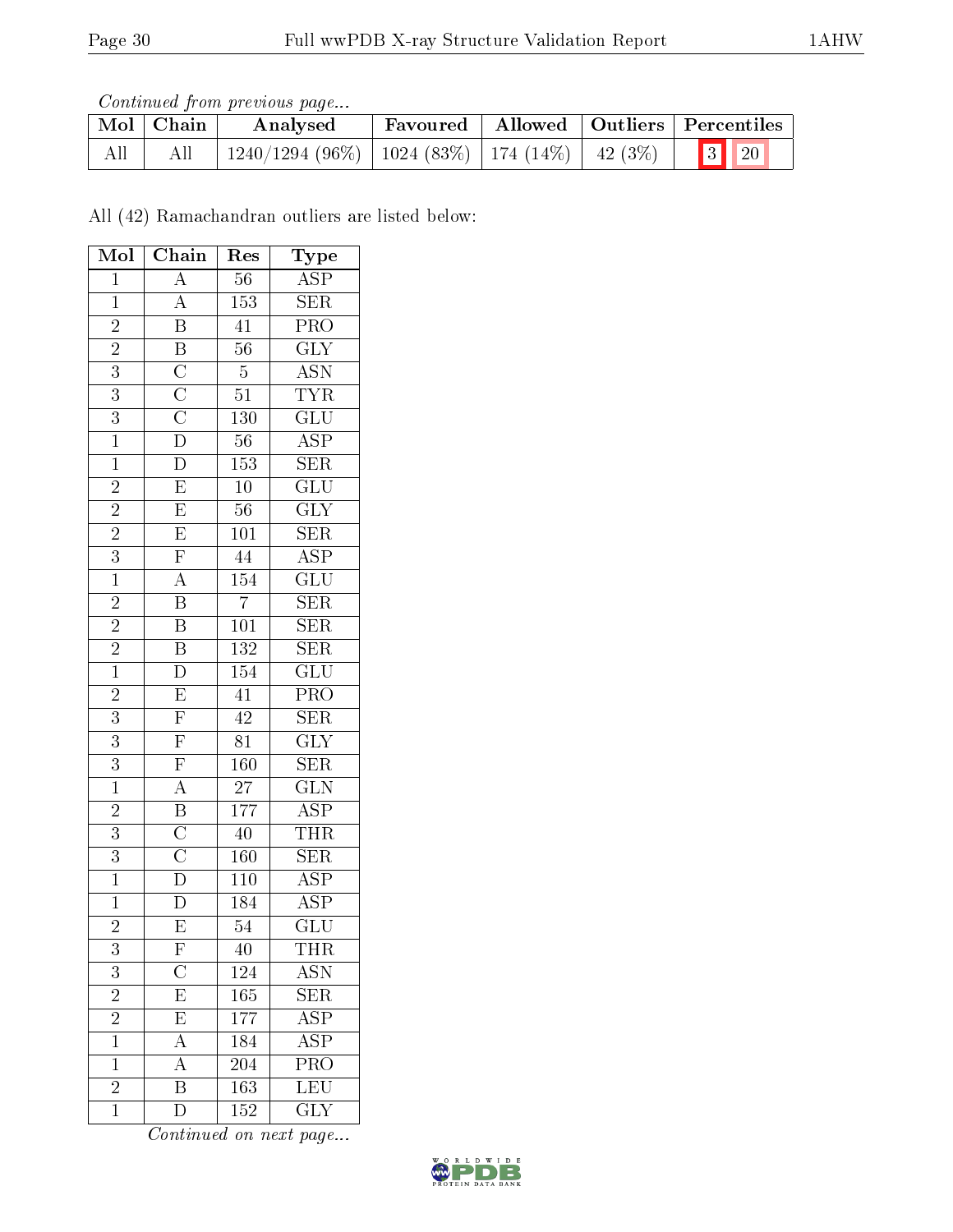Continued from previous page...

|     | Mol   Chain | Analysed                                           |  | Favoured   Allowed   Outliers   Percentiles |
|-----|-------------|----------------------------------------------------|--|---------------------------------------------|
| All | All         | 1240/1294 (96%)   1024 (83%)   174 (14%)   42 (3%) |  | $\boxed{3}$ $\boxed{20}$                    |

All (42) Ramachandran outliers are listed below:

| Mol                            | $\overline{\text{Chain}}$                                                                                            | Res              | Type                                           |
|--------------------------------|----------------------------------------------------------------------------------------------------------------------|------------------|------------------------------------------------|
| $\mathbf 1$                    | $\overline{A}$                                                                                                       | 56               | $\overline{\text{ASP}}$                        |
| $\overline{1}$                 | $\overline{A}$                                                                                                       | 153              | $\overline{\text{SER}}$                        |
| $\overline{c}$                 | $\overline{B}$                                                                                                       | $\overline{41}$  | $\frac{\overline{\text{PRO}}}{\text{GLY}}$     |
| $\overline{2}$                 |                                                                                                                      | $\overline{56}$  |                                                |
| $\overline{3}$                 |                                                                                                                      | $\overline{5}$   | $\frac{\overline{\mathrm{ASN}}}{\mathrm{TYR}}$ |
| $\overline{3}$                 | $\overline{B}\ \overline{C}\ \overline{C}\ \overline{D}\ \overline{D}$                                               | $\overline{51}$  |                                                |
| $\overline{3}$                 |                                                                                                                      | <b>130</b>       | $\overline{{\rm GLU}}$                         |
| $\overline{1}$                 |                                                                                                                      | $\overline{56}$  | $\overline{\text{ASP}}$                        |
| $\overline{1}$                 |                                                                                                                      | $\overline{153}$ | $\overline{\text{SER}}$                        |
| $\overline{2}$                 | $\overline{E}$                                                                                                       | $\overline{10}$  | $\overline{{\rm GLU}}$                         |
| $\frac{2}{2}$                  | $\overline{E}$                                                                                                       | $\overline{56}$  | $\overline{\text{GLY}}$                        |
|                                | $\overline{E}$                                                                                                       | 101              | $\overline{\text{SER}}$                        |
| $\overline{3}$                 | $\overline{F}$                                                                                                       | $\overline{44}$  | $\overline{\text{ASP}}$                        |
| $\overline{1}$                 | $\overline{A}$                                                                                                       | 154              | $\overline{{\rm GLU}}$                         |
| $\overline{2}$                 | $\overline{\mathbf{B}}$                                                                                              | $\overline{7}$   | SER                                            |
| $\frac{2}{2}$<br>$\frac{2}{1}$ | $\overline{B}$                                                                                                       | $\overline{101}$ | $\overline{\text{SER}}$                        |
|                                | $\overline{\mathbf{B}}$                                                                                              | 132              | $\overline{\text{SER}}$                        |
|                                | $\overline{D}$                                                                                                       | $\overline{154}$ | $\overline{{\rm GLU}}$                         |
| $\overline{2}$                 |                                                                                                                      | 41               | PRO                                            |
| $\overline{3}$                 | $\frac{\overline{\text{E}}}{\text{F}}$ $\frac{\overline{\text{F}}}{\text{F}}$                                        | $\overline{42}$  | $\frac{\overline{\text{SER}}}{\text{GLY}}$     |
| $\overline{3}$                 |                                                                                                                      | $\overline{81}$  |                                                |
| $\overline{3}$                 |                                                                                                                      | $\overline{160}$ | $\overline{\text{SER}}$                        |
| $\overline{1}$                 | $\frac{\overline{\text{A}}}{\text{B}}$ $\frac{\overline{\text{B}}}{\text{C}}$ $\frac{\overline{\text{C}}}{\text{D}}$ | $\overline{27}$  | $\overline{\text{GLN}}$                        |
| $\overline{2}$                 |                                                                                                                      | 177              | $\frac{\overline{\text{ASP}}}{\text{THR}}$     |
| $\overline{3}$                 |                                                                                                                      | $\overline{40}$  |                                                |
| $\overline{3}$                 |                                                                                                                      | <b>160</b>       | $\overline{\text{SER}}$                        |
| $\overline{1}$                 |                                                                                                                      | 110              | $\overline{\text{ASP}}$                        |
| $\overline{1}$                 | $\overline{\rm D}$                                                                                                   | 184              | $\overline{\text{ASP}}$                        |
| $\overline{2}$                 | $\overline{\mathrm{E}}$                                                                                              | $\overline{54}$  | $\overline{\text{GLU}}$                        |
| 3                              | ${\rm F}$                                                                                                            | 40               | THR                                            |
| $\overline{3}$                 | $\overline{\rm C}$                                                                                                   | 124              | $\overline{\text{ASN}}$                        |
| $\overline{2}$                 | $\overline{E}$                                                                                                       | 165              | <b>SER</b>                                     |
| $\overline{2}$                 | $\overline{\mathrm{E}}$                                                                                              | 177              | $\overline{\text{ASP}}$                        |
| $\overline{1}$                 | $\overline{A}$                                                                                                       | 184              | $\overline{\text{ASP}}$                        |
| $\mathbf{1}$                   | $\overline{A}$                                                                                                       | 204              | $PR\overline{O}$                               |
| $\overline{2}$                 | $\overline{\mathrm{B}}$                                                                                              | 163              | <b>LEU</b>                                     |
| $\mathbf 1$                    | $\overline{\rm D}$                                                                                                   | 152              | $\overline{\text{GLY}}$                        |

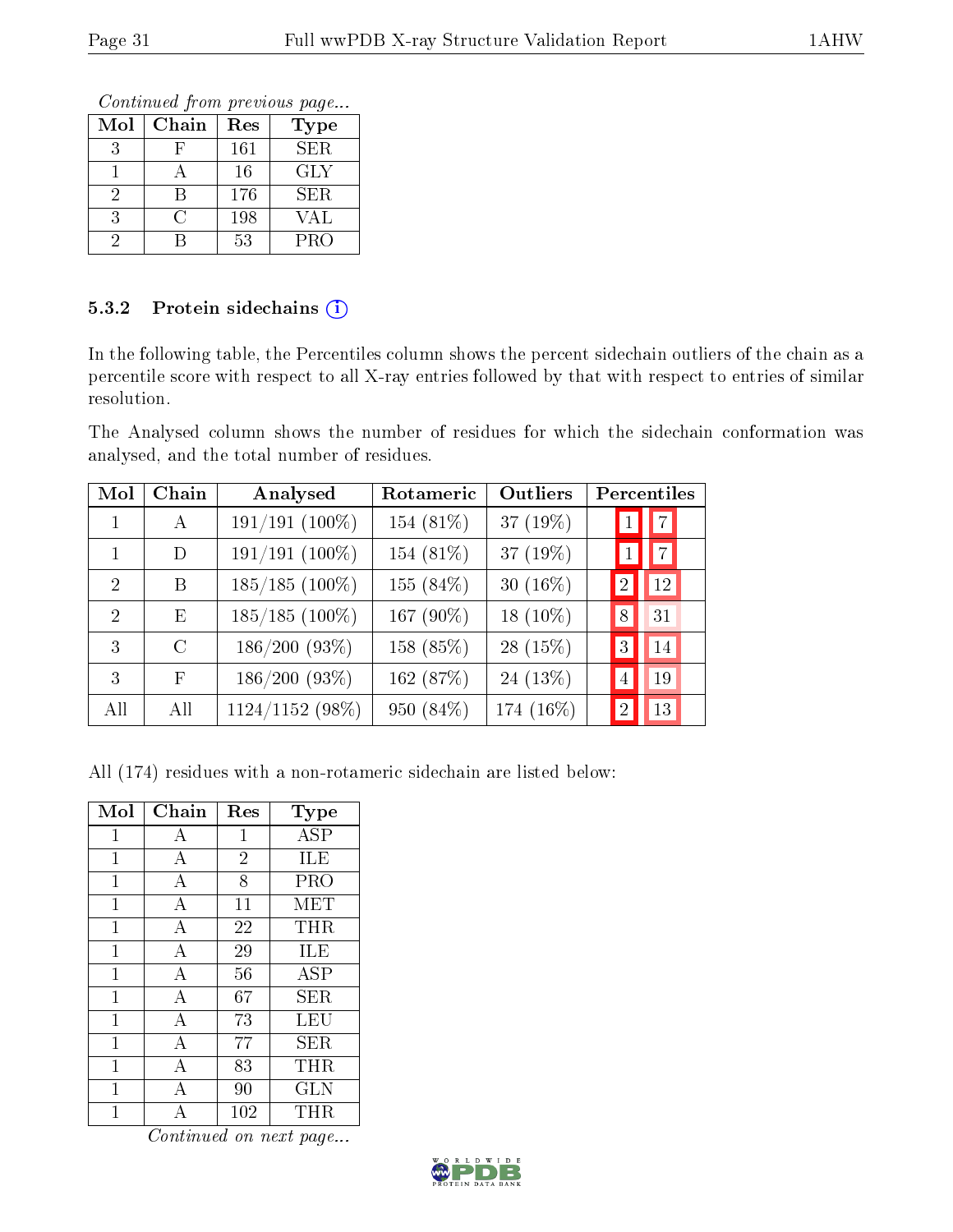Continued from previous page...

| Mol | Chain | Res | <b>Type</b> |
|-----|-------|-----|-------------|
|     |       | 161 | SER.        |
|     |       | 16  | GLY         |
|     |       | 176 | SER.        |
|     | ( )   | 198 | VAL         |
|     |       | 53  | <b>PRO</b>  |

#### 5.3.2 Protein sidechains  $(i)$

In the following table, the Percentiles column shows the percent sidechain outliers of the chain as a percentile score with respect to all X-ray entries followed by that with respect to entries of similar resolution.

The Analysed column shows the number of residues for which the sidechain conformation was analysed, and the total number of residues.

| Mol           | Chain         | Analysed         | Rotameric | Outliers    | Percentiles          |
|---------------|---------------|------------------|-----------|-------------|----------------------|
|               | $\mathbf{A}$  | $191/191(100\%)$ | 154 (81%) | 37 $(19\%)$ | $\vert 7 \vert$      |
|               | D             | $191/191(100\%)$ | 154 (81%) | 37 (19%)    | $\vert 7 \vert$      |
| 2             | B             | $185/185$ (100%) | 155 (84%) | 30 $(16\%)$ | 12<br>$\overline{2}$ |
| $\mathcal{D}$ | E             | $185/185$ (100%) | 167 (90%) | 18 $(10\%)$ | 31<br>8              |
| 3             | $\mathcal{C}$ | 186/200(93%)     | 158 (85%) | 28 $(15\%)$ | 14<br>3              |
| 3             | $_{\rm F}$    | $186/200(93\%)$  | 162 (87%) | 24 $(13%)$  | 19<br>$\overline{4}$ |
| All           | All           | 1124/1152 (98%)  | 950 (84%) | 174 (16%)   | 13<br>2              |

All (174) residues with a non-rotameric sidechain are listed below:

| Mol          | Chain          | Res            | <b>Type</b> |
|--------------|----------------|----------------|-------------|
| 1            | А              | 1              | ASP         |
| $\mathbf 1$  | A              | $\overline{2}$ | ILE         |
| 1            | А              | 8              | <b>PRO</b>  |
| 1            | А              | 11             | <b>MET</b>  |
| $\mathbf 1$  | A              | 22             | THR         |
| 1            | А              | 29             | ILE         |
| 1            | А              | 56             | <b>ASP</b>  |
| $\mathbf{1}$ | $\overline{A}$ | 67             | SER         |
| 1            | А              | 73             | LEU         |
| 1            | А              | 77             | SER         |
| 1            | $\overline{A}$ | 83             | <b>THR</b>  |
| 1            | А              | 90             | <b>GLN</b>  |
|              |                | 102            | THR         |

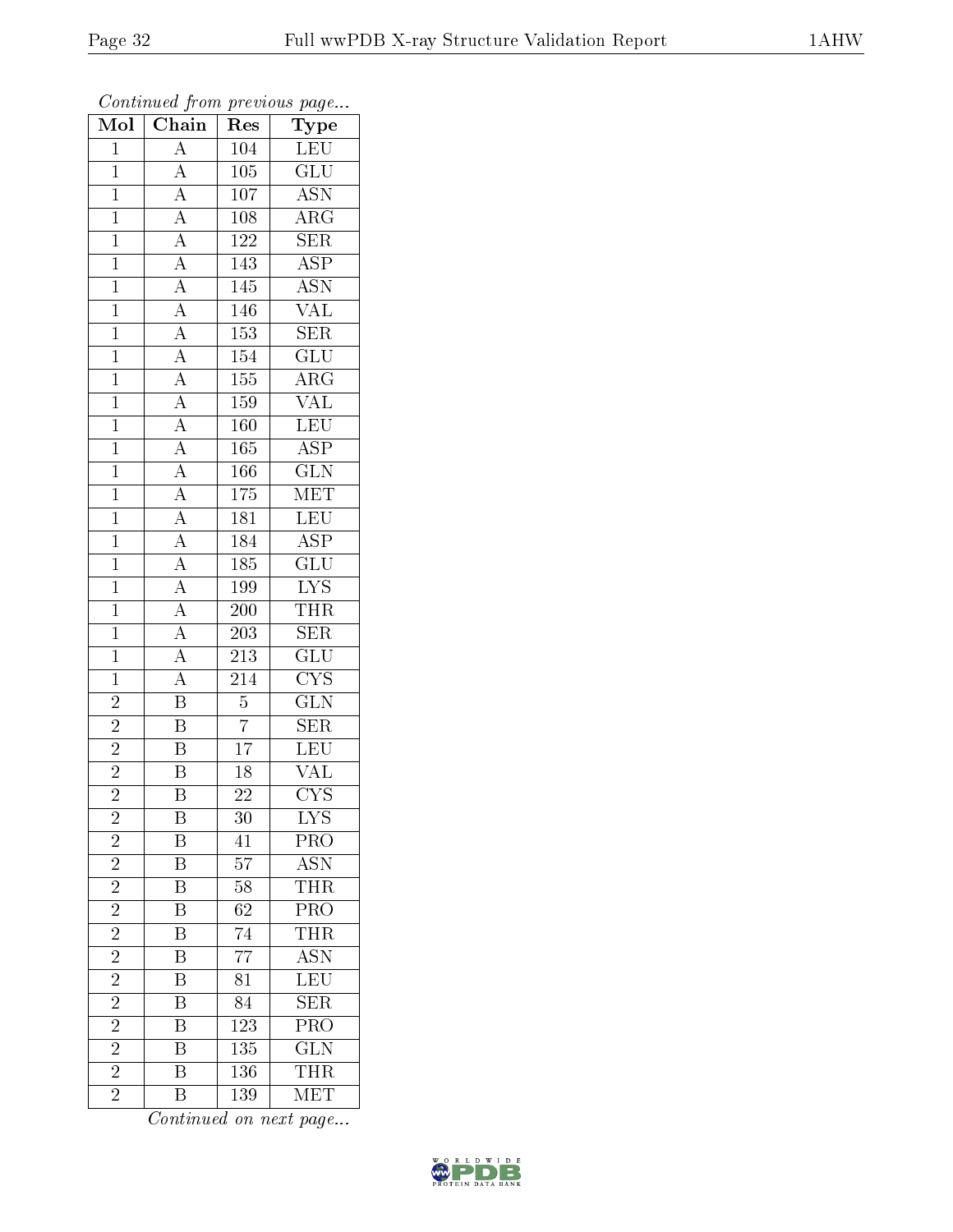| Mol            | $\overline{\text{Chain}}$                                                                                                                                                                                                                                                                                                                                                                                                 | Res              | ${\bf Type}$              |
|----------------|---------------------------------------------------------------------------------------------------------------------------------------------------------------------------------------------------------------------------------------------------------------------------------------------------------------------------------------------------------------------------------------------------------------------------|------------------|---------------------------|
| $\mathbf{1}$   | $\overline{A}$                                                                                                                                                                                                                                                                                                                                                                                                            | 104              | <b>LEU</b>                |
| $\mathbf{1}$   |                                                                                                                                                                                                                                                                                                                                                                                                                           | $\overline{105}$ | $\overline{\text{GLU}}$   |
| $\overline{1}$ |                                                                                                                                                                                                                                                                                                                                                                                                                           | $\overline{107}$ | $\overline{\text{ASN}}$   |
| $\overline{1}$ |                                                                                                                                                                                                                                                                                                                                                                                                                           | $108\,$          | $\overline{\rm{ARG}}$     |
| $\overline{1}$ |                                                                                                                                                                                                                                                                                                                                                                                                                           | $\overline{122}$ | $\overline{\text{SER}}$   |
| $\mathbf{1}$   |                                                                                                                                                                                                                                                                                                                                                                                                                           | 143              | <b>ASP</b>                |
| $\overline{1}$ |                                                                                                                                                                                                                                                                                                                                                                                                                           | 145              | $\overline{\text{ASN}}$   |
| $\overline{1}$ |                                                                                                                                                                                                                                                                                                                                                                                                                           | 146              | $\overline{\text{VAL}}$   |
| $\overline{1}$ |                                                                                                                                                                                                                                                                                                                                                                                                                           | 153              | $\overline{\text{SER}}$   |
| $\overline{1}$ |                                                                                                                                                                                                                                                                                                                                                                                                                           | $\overline{154}$ | $\overline{\mathrm{GLU}}$ |
| $\mathbf{1}$   |                                                                                                                                                                                                                                                                                                                                                                                                                           | 155              | $\overline{\rm{ARG}}$     |
| $\overline{1}$ |                                                                                                                                                                                                                                                                                                                                                                                                                           | 159              | $\overline{\text{VAL}}$   |
| $\overline{1}$ |                                                                                                                                                                                                                                                                                                                                                                                                                           | 160              | LEU                       |
| $\overline{1}$ | $\frac{\overline{A}}{\overline{A}} \frac{\overline{A}}{\overline{A}} \frac{\overline{A}}{\overline{A}} \frac{\overline{A}}{\overline{A}} \frac{\overline{A}}{\overline{A}} \frac{\overline{A}}{\overline{A}} \frac{\overline{A}}{\overline{A}} \frac{\overline{A}}{\overline{A}} \frac{\overline{A}}{\overline{A}} \frac{\overline{A}}{\overline{A}} \frac{\overline{A}}{\overline{A}} \frac{\overline{A}}{\overline{A}}$ | 165              | $\overline{\text{ASP}}$   |
| $\overline{1}$ |                                                                                                                                                                                                                                                                                                                                                                                                                           | 166              | $\overline{\text{GLN}}$   |
| $\overline{1}$ |                                                                                                                                                                                                                                                                                                                                                                                                                           | 175              | MET                       |
| $\overline{1}$ |                                                                                                                                                                                                                                                                                                                                                                                                                           | $\overline{181}$ | LEU                       |
| $\overline{1}$ |                                                                                                                                                                                                                                                                                                                                                                                                                           | 184              | $\overline{\text{ASP}}$   |
| $\overline{1}$ |                                                                                                                                                                                                                                                                                                                                                                                                                           | 185              | $\overline{{\rm GLU}}$    |
| $\overline{1}$ |                                                                                                                                                                                                                                                                                                                                                                                                                           | 199              | $\overline{\text{LYS}}$   |
| $\mathbf{1}$   |                                                                                                                                                                                                                                                                                                                                                                                                                           | 200              | <b>THR</b>                |
| $\overline{1}$ |                                                                                                                                                                                                                                                                                                                                                                                                                           | $\overline{203}$ | $\overline{\text{SER}}$   |
| $\mathbf{1}$   |                                                                                                                                                                                                                                                                                                                                                                                                                           | $\overline{213}$ | $\overline{\text{GLU}}$   |
| $\overline{1}$ | $\overline{A}$                                                                                                                                                                                                                                                                                                                                                                                                            | $\overline{214}$ | $\overline{\text{CYS}}$   |
| $\overline{2}$ | $\overline{\mathbf{B}}$                                                                                                                                                                                                                                                                                                                                                                                                   | $\overline{5}$   | $\overline{\text{GLN}}$   |
| $\overline{c}$ | $\overline{B}$                                                                                                                                                                                                                                                                                                                                                                                                            | $\overline{7}$   | SER                       |
| $\overline{2}$ | $\overline{B}$                                                                                                                                                                                                                                                                                                                                                                                                            | $\overline{17}$  | LEU                       |
| $\overline{2}$ | $\overline{\mathbf{B}}$                                                                                                                                                                                                                                                                                                                                                                                                   | $\overline{18}$  | $\overline{\text{VAL}}$   |
| $\overline{2}$ | $\overline{\mathrm{B}}$                                                                                                                                                                                                                                                                                                                                                                                                   | $2\overline{2}$  | $\overline{\text{CYS}}$   |
| $\overline{c}$ | B                                                                                                                                                                                                                                                                                                                                                                                                                         | $\overline{30}$  | $\overline{\text{LYS}}$   |
| $\overline{c}$ | Β                                                                                                                                                                                                                                                                                                                                                                                                                         | 41               | PRO                       |
| $\overline{2}$ | $\overline{\mathrm{B}}$                                                                                                                                                                                                                                                                                                                                                                                                   | $\overline{57}$  | <b>ASN</b>                |
| $\overline{2}$ | $\, {\bf B}$                                                                                                                                                                                                                                                                                                                                                                                                              | 58               | <b>THR</b>                |
| $\overline{2}$ | $\overline{\mathrm{B}}$                                                                                                                                                                                                                                                                                                                                                                                                   | $\overline{62}$  | $\overline{\text{PRO}}$   |
| $\overline{2}$ | $\boldsymbol{\mathrm{B}}$                                                                                                                                                                                                                                                                                                                                                                                                 | 74               | THR                       |
| $\overline{2}$ | $\overline{\mathrm{B}}$                                                                                                                                                                                                                                                                                                                                                                                                   | $\overline{77}$  | $\overline{\mathrm{ASN}}$ |
| $\overline{2}$ | $\overline{\mathrm{B}}$                                                                                                                                                                                                                                                                                                                                                                                                   | 81               | LEU                       |
| $\overline{2}$ | B                                                                                                                                                                                                                                                                                                                                                                                                                         | 84               | $\overline{\text{SER}}$   |
| $\overline{2}$ | $\overline{\mathrm{B}}$                                                                                                                                                                                                                                                                                                                                                                                                   | 123              | $\overline{\text{PRO}}$   |
| $\overline{2}$ | $\, {\bf B}$                                                                                                                                                                                                                                                                                                                                                                                                              | 135              | $\overline{\text{GLN}}$   |
| $\overline{2}$ | $\overline{\mathrm{B}}$                                                                                                                                                                                                                                                                                                                                                                                                   | 136              | <b>THR</b>                |
| $\overline{2}$ | $\rm \bar{B}$                                                                                                                                                                                                                                                                                                                                                                                                             | 139              | $\overline{\text{MET}}$   |

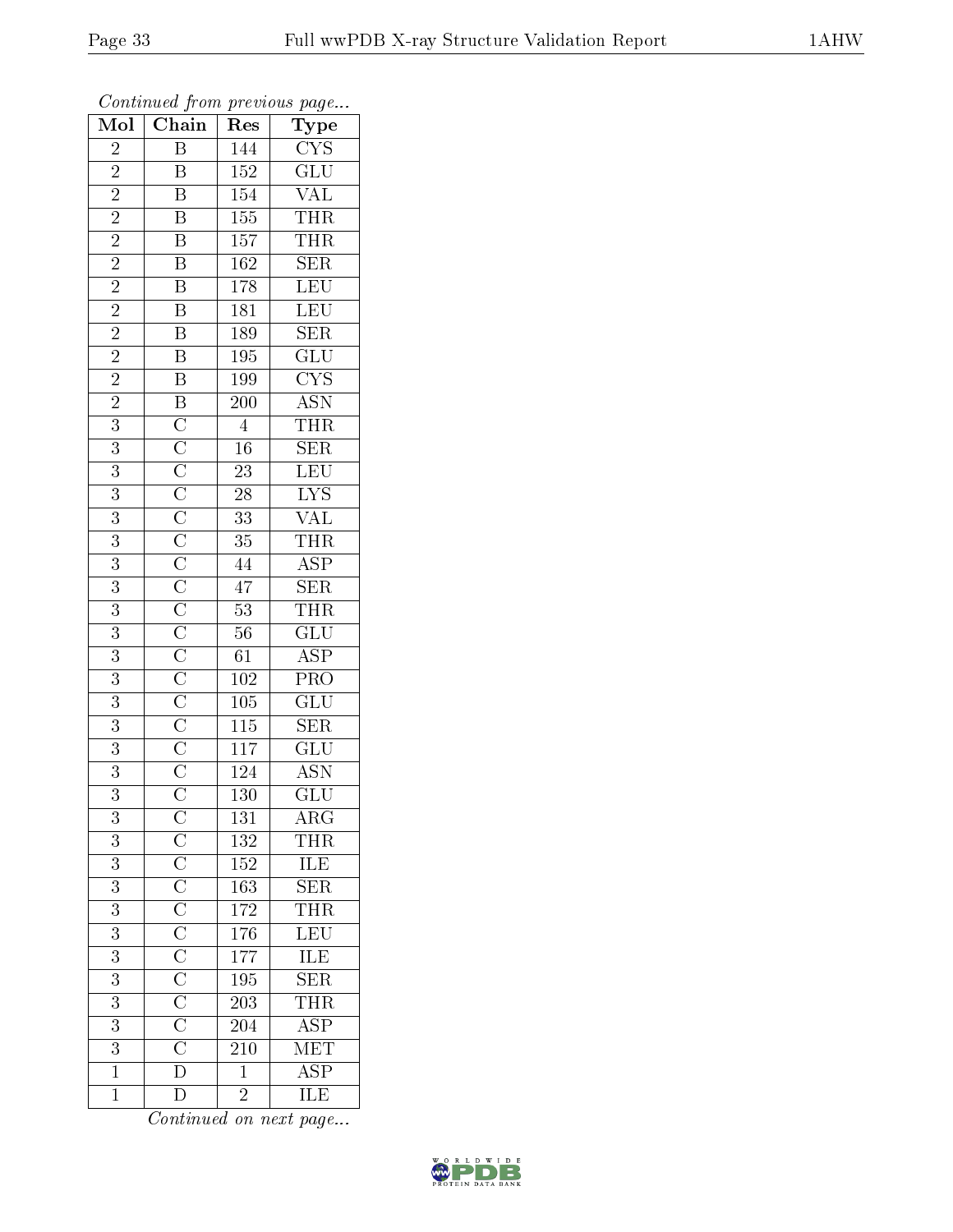| Mol            | Chain                                                                                                                                                                                                             | Res              | Type                                                  |
|----------------|-------------------------------------------------------------------------------------------------------------------------------------------------------------------------------------------------------------------|------------------|-------------------------------------------------------|
| $\overline{2}$ | $\overline{\mathrm{B}}$                                                                                                                                                                                           | 144              | CYS                                                   |
| $\overline{2}$ | $\, {\bf B}$                                                                                                                                                                                                      | $\overline{152}$ | $\overline{{\rm GLU}}$                                |
| $\overline{2}$ | $\overline{\mathbf{B}}$                                                                                                                                                                                           | 154              | $\overline{\text{VAL}}$                               |
| $\overline{c}$ | $\boldsymbol{B}$                                                                                                                                                                                                  | $\overline{155}$ | THR <sub></sub>                                       |
| $\overline{2}$ | $\overline{B}$                                                                                                                                                                                                    | $\overline{157}$ | THR                                                   |
| $\overline{2}$ | $\overline{B}$                                                                                                                                                                                                    | 162              | $\overline{\text{SER}}$                               |
| $\overline{2}$ | $\overline{\mathbf{B}}$                                                                                                                                                                                           | 178              | LEU                                                   |
| $\overline{2}$ | $\overline{B}$                                                                                                                                                                                                    | 181              | $\frac{\overline{\text{LEU}}}{\text{SER}}$            |
| $\overline{2}$ | $\frac{\overline{B}}{B}$                                                                                                                                                                                          | 189              |                                                       |
| $\overline{2}$ |                                                                                                                                                                                                                   | $\overline{195}$ |                                                       |
| $\overline{2}$ | $\overline{B}$                                                                                                                                                                                                    | 199              | $\frac{GLU}{CYS}$                                     |
| $\overline{2}$ |                                                                                                                                                                                                                   | $\overline{200}$ |                                                       |
| $\overline{3}$ |                                                                                                                                                                                                                   | $\overline{4}$   | $\frac{\overline{\mathrm{ASN}}}{\mathrm{THR}}$        |
| 3              |                                                                                                                                                                                                                   | $\overline{16}$  | $\overline{\text{SER}}$                               |
| $\overline{3}$ |                                                                                                                                                                                                                   | $\overline{23}$  | LEU                                                   |
| $\overline{3}$ |                                                                                                                                                                                                                   | $\overline{28}$  | LYS<br>VAL                                            |
| $\overline{3}$ |                                                                                                                                                                                                                   | $\overline{33}$  |                                                       |
| 3              |                                                                                                                                                                                                                   | $\overline{35}$  | $\frac{\overline{\text{THR}}}{\text{ASP}}$            |
| 3              |                                                                                                                                                                                                                   | 44               |                                                       |
| $\overline{3}$ |                                                                                                                                                                                                                   | $\overline{47}$  | $\overline{\text{SER}}$                               |
| 3              |                                                                                                                                                                                                                   | $\overline{53}$  | <b>THR</b>                                            |
| $\overline{3}$ |                                                                                                                                                                                                                   | $\overline{56}$  | $\overline{\mathrm{GLU}}$                             |
| 3              |                                                                                                                                                                                                                   | 61               | $\overline{\text{ASP}}$                               |
| $\overline{3}$ |                                                                                                                                                                                                                   | $\overline{102}$ | $\overline{\text{PRO}}$                               |
| 3              |                                                                                                                                                                                                                   | 105              | $\overline{{\rm GLU}}$                                |
| $\overline{3}$ |                                                                                                                                                                                                                   | $\overline{115}$ | $\overline{\text{SER}}$                               |
| $\overline{3}$ |                                                                                                                                                                                                                   | $\overline{117}$ | $\overline{\mathrm{GLU}}$                             |
| 3              |                                                                                                                                                                                                                   | 124              | $\overline{\mathrm{ASN}}$                             |
| $\overline{3}$ |                                                                                                                                                                                                                   | $\overline{130}$ | $\overline{{\rm GLU}}$                                |
| 3              |                                                                                                                                                                                                                   | 131              | ARG                                                   |
| $\overline{3}$ |                                                                                                                                                                                                                   | 132              | $\frac{\overline{\text{THR}}}{\text{ILE}}$ SER        |
| $\overline{3}$ |                                                                                                                                                                                                                   | <sup>152</sup>   |                                                       |
| $\overline{3}$ |                                                                                                                                                                                                                   | 163              |                                                       |
| $\overline{3}$ |                                                                                                                                                                                                                   | 172              | <b>THR</b>                                            |
| $\overline{3}$ |                                                                                                                                                                                                                   | $1\,76$          |                                                       |
| $\overline{3}$ | $\frac{\text{C}}{\text{C}} \frac{\text{C}}{\text{C}} \frac{\text{C}}{\text{C}} \frac{\text{C}}{\text{C}} \frac{\text{C}}{\text{C}} \frac{\text{C}}{\text{C}} \frac{\text{C}}{\text{C}} \frac{\text{C}}{\text{D}}$ | 177              | $\frac{\overline{\text{LEU}}}{\overline{\text{ILE}}}$ |
| $\overline{3}$ |                                                                                                                                                                                                                   | 195              | SER                                                   |
| 3              |                                                                                                                                                                                                                   | 203              | THR                                                   |
| $\overline{3}$ |                                                                                                                                                                                                                   | 204              | $\overline{\text{ASP}}$                               |
| 3              |                                                                                                                                                                                                                   | 210              | $\overline{\text{MET}}$                               |
| $\overline{1}$ |                                                                                                                                                                                                                   | $\overline{1}$   | $\overline{\rm ASP}$                                  |
| $\mathbf{1}$   | $\overline{\rm D}$                                                                                                                                                                                                | $\overline{2}$   | ILE                                                   |

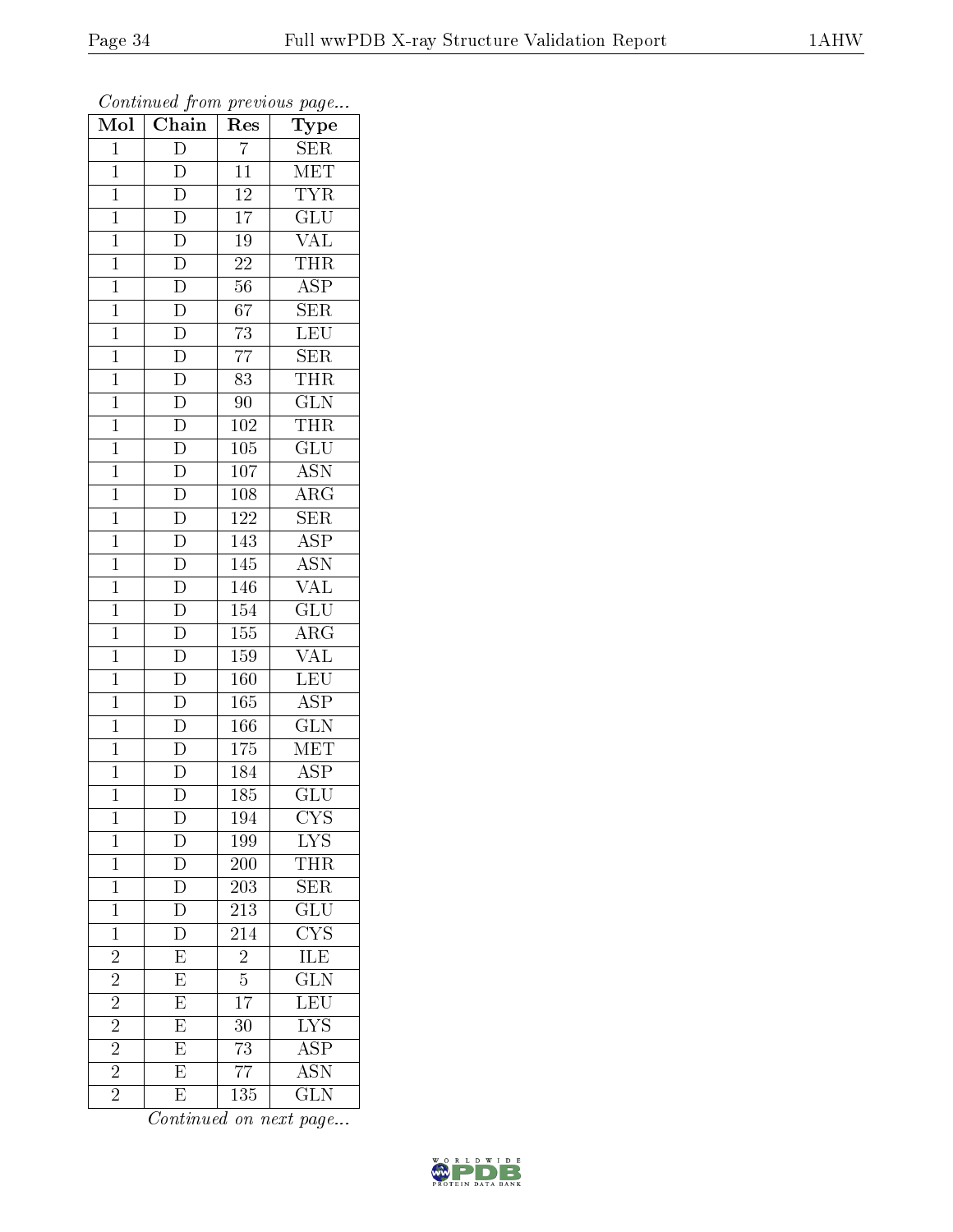| Mol            | $\overline{\text{Chain}}$           | Res              | Type                                       |
|----------------|-------------------------------------|------------------|--------------------------------------------|
| $\mathbf{1}$   | $\overline{\rm D}$                  | $\overline{7}$   | <b>SER</b>                                 |
| $\overline{1}$ | $\overline{\rm D}$                  | $\overline{11}$  | MET                                        |
| $\mathbf{1}$   | $\overline{\rm D}$                  | <sup>12</sup>    | <b>TYR</b>                                 |
| $\mathbf{1}$   | $\overline{D}$                      | $\overline{17}$  | GLU                                        |
| $\overline{1}$ | $\frac{\overline{D}}{\overline{D}}$ | $\overline{19}$  | $\overline{\text{VAL}}$                    |
| $\mathbf{1}$   |                                     | 22               | <b>THR</b>                                 |
| $\overline{1}$ | $\overline{D}$                      | $56\,$           | $\overline{\text{ASP}}$                    |
| $\mathbf{1}$   | $\overline{D}$                      | 67               | <b>SER</b>                                 |
| $\mathbf{1}$   |                                     | $\overline{73}$  | LEU                                        |
| $\mathbf{1}$   | $\frac{\overline{D}}{\overline{D}}$ | $\overline{77}$  | $\overline{\text{SER}}$                    |
| $\mathbf{1}$   |                                     | 83               | THR                                        |
| $\overline{1}$ | $\overline{D}$                      | 90               | $\overline{\text{GLN}}$                    |
| $\overline{1}$ |                                     | 102              | <b>THR</b>                                 |
| $\mathbf{1}$   | $\frac{\overline{D}}{\overline{D}}$ | 105              | $\overline{\text{GLU}}$                    |
| $\overline{1}$ |                                     | $\overline{107}$ | $\overline{\text{ASN}}$                    |
| $\mathbf{1}$   | $\overline{D}$                      | 108              | $\rm{ARG}$                                 |
| $\overline{1}$ | $\frac{\overline{D}}{D}$            | $\overline{122}$ | $\overline{\text{SER}}$                    |
| $\mathbf{1}$   |                                     | 143              | $\overline{\text{ASP}}$                    |
| $\overline{1}$ | $\overline{\mathrm{D}}$             | 145              | $\overline{\mathrm{ASN}}$                  |
| $\mathbf{1}$   | $\overline{\rm D}$                  | 146              | $\rm \sqrt{AL}$                            |
| $\overline{1}$ | $\overline{D}$                      | 154              | $\overline{\text{GLU}}$                    |
| $\overline{1}$ | $\overline{D}$                      | 155              | $\overline{\rm{ARG}}$                      |
| $\mathbf{1}$   | $\frac{\overline{D}}{\overline{D}}$ | 159              | <b>VAL</b>                                 |
| $\overline{1}$ |                                     | 160              | LEU                                        |
| $\mathbf{1}$   |                                     | $\overline{165}$ | $\overline{\text{ASP}}$                    |
| $\mathbf{1}$   | $\frac{\overline{D}}{\overline{D}}$ | $\overline{166}$ | $\overline{\text{GLN}}$                    |
| $\mathbf{1}$   |                                     | 175              | MET                                        |
| $\mathbf{1}$   | $\overline{\rm D}$                  | $\overline{184}$ | <b>ASP</b>                                 |
| $\mathbf 1$    | $\overline{\text{D}}$               | 185              | $\overline{{\rm GLU}}$                     |
| $\mathbf{1}$   | $\mathbf D$                         | 194              | $\overline{\text{CYS}}$                    |
| $\mathbf 1$    | D                                   | 199              | $\overline{\text{LYS}}$                    |
| $\mathbf 1$    | $\frac{\overline{D}}{D}$            | <b>200</b>       | THR                                        |
| $\mathbf 1$    |                                     | 203              | SER                                        |
| $\mathbf{1}$   | $\overline{\rm D}$                  | $\overline{213}$ | $\overline{{\rm GLU}}$                     |
| $\mathbf{1}$   | D                                   | 214              | $\frac{\overline{\text{CYS}}}{\text{ILE}}$ |
| $\overline{2}$ | $\overline{E}$                      | $\overline{2}$   |                                            |
| $\overline{2}$ | $\overline{E}$                      | $\overline{5}$   | $\overline{\text{GLN}}$                    |
| $\overline{2}$ | $\overline{\mathrm{E}}$             | 17               | LEU                                        |
| $\overline{2}$ | $\overline{E}$                      | 30               | $\overline{\rm LYS}$                       |
| $\overline{2}$ | $\overline{E}$                      | 73               | $\overline{\text{ASP}}$                    |
| $\overline{2}$ | $\overline{E}$                      | $\overline{77}$  | $\overline{\mathrm{ASN}}$                  |
| $\overline{2}$ | E                                   | 135              | <b>GLN</b>                                 |

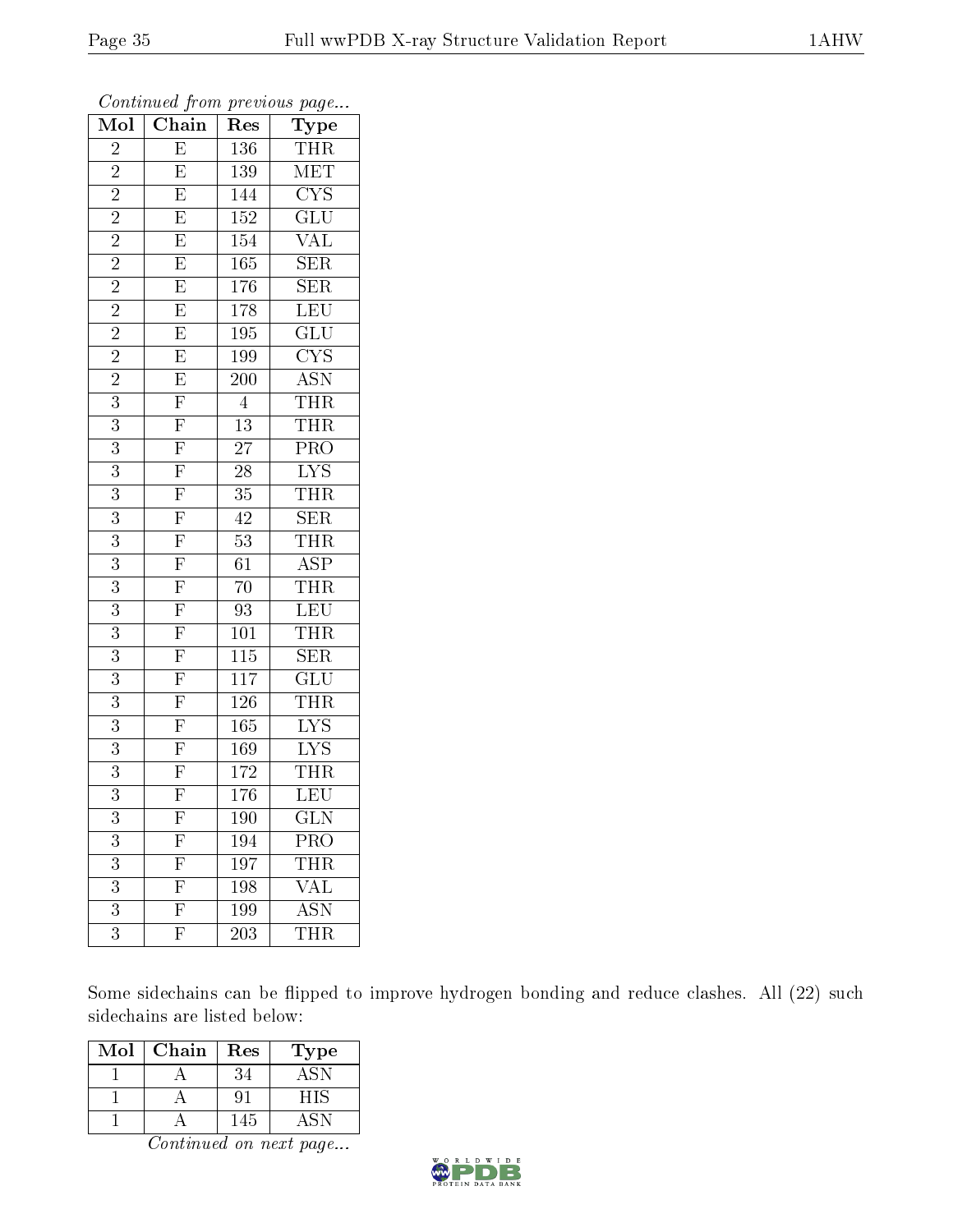| Mol            | Chain                               | $\operatorname{Res}% \left( \mathcal{N}\right) \equiv\operatorname{Res}(\mathcal{N}_{0})\left( \mathcal{N}_{0}\right) ^{2}$ | <b>Type</b>             |
|----------------|-------------------------------------|-----------------------------------------------------------------------------------------------------------------------------|-------------------------|
| $\overline{2}$ | $\overline{\mathrm{E}}$             | $\overline{136}$                                                                                                            | <b>THR</b>              |
| $\overline{2}$ | $\overline{\mathrm{E}}$             | 139                                                                                                                         | $\overline{\text{MET}}$ |
| $\overline{2}$ | $\overline{\mathrm{E}}$             | 144                                                                                                                         | $\overline{\text{CYS}}$ |
| $\overline{2}$ | $\overline{\mathrm{E}}$             | 152                                                                                                                         | $\overline{{\rm GLU}}$  |
| $\overline{2}$ | $\overline{E}$                      | 154                                                                                                                         | $\overline{\text{VAL}}$ |
| $\overline{2}$ | $\overline{E}$                      | 165                                                                                                                         | $\overline{\text{SER}}$ |
| $\overline{2}$ | $\overline{E}$                      | 176                                                                                                                         | $\overline{\text{SER}}$ |
| $\overline{2}$ | $\overline{E}$                      | 178                                                                                                                         | LEU                     |
| $\overline{2}$ | $\overline{E}$                      | 195                                                                                                                         | $\overline{\text{GLU}}$ |
| $\overline{2}$ | $\overline{E}$                      | <b>199</b>                                                                                                                  | $\overline{\text{CYS}}$ |
| $\overline{2}$ | $\overline{E}$                      | <b>200</b>                                                                                                                  | <b>ASN</b>              |
| $\overline{3}$ | $\overline{F}$                      | $\overline{4}$                                                                                                              | THR                     |
| $\overline{3}$ | $\overline{F}$                      | 13                                                                                                                          | <b>THR</b>              |
| $\overline{3}$ | $\overline{F}$                      | $\overline{27}$                                                                                                             | PRO                     |
| $\overline{3}$ | $\overline{F}$                      | $\overline{28}$                                                                                                             | $\overline{\text{LYS}}$ |
| $\overline{3}$ | $\frac{\overline{F}}{\overline{F}}$ | $35\,$                                                                                                                      | THR                     |
| 3              |                                     | 42                                                                                                                          | SER                     |
| $\overline{3}$ | $\frac{\overline{F}}{\overline{F}}$ | 53                                                                                                                          | THR                     |
| $\overline{3}$ |                                     | 61                                                                                                                          | $\overline{\text{ASP}}$ |
| $\overline{3}$ | $\frac{\overline{F}}{\overline{F}}$ | 70                                                                                                                          | <b>THR</b>              |
| 3              |                                     | 93                                                                                                                          | LEU                     |
| $\overline{3}$ |                                     | 101                                                                                                                         | <b>THR</b>              |
| $\overline{3}$ | $\overline{\mathrm{F}}$             | 115                                                                                                                         | <b>SER</b>              |
| $\overline{3}$ | $\overline{F}$                      | $\overline{117}$                                                                                                            | $\overline{{\rm GLU}}$  |
| 3              | $\overline{F}$                      | 126                                                                                                                         | <b>THR</b>              |
| 3              | $\overline{F}$                      | 165                                                                                                                         | $\overline{\text{LYS}}$ |
| $\overline{3}$ | $\overline{F}$                      | 169                                                                                                                         | $\overline{\text{LYS}}$ |
| $\overline{3}$ | $\overline{\mathrm{F}}$             | 172                                                                                                                         | <b>THR</b>              |
| $\overline{3}$ | $\overline{\mathrm{F}}$             | $\overline{176}$                                                                                                            | LEU                     |
| 3              | $\boldsymbol{\mathrm{F}}$           | 190                                                                                                                         | $_{\rm GLN}$            |
| 3              | $\mathbf{F}$                        | 194                                                                                                                         | PRO                     |
| 3              | $\overline{F}$                      | 197                                                                                                                         | <b>THR</b>              |
| $\overline{3}$ | $\overline{\mathrm{F}}$             | 198                                                                                                                         | <b>VAL</b>              |
| 3              | $\overline{\mathrm{F}}$             | 199                                                                                                                         | $\overline{\rm ASN}$    |
| 3              | $\mathbf{F}$                        | 203                                                                                                                         | THR                     |

Some sidechains can be flipped to improve hydrogen bonding and reduce clashes. All (22) such sidechains are listed below:

| Mol | Chain | $\operatorname{Res}% \left( \mathcal{N}\right) \equiv\operatorname{Res}(\mathcal{N}_{0})\cap\mathcal{N}_{1}$ | $_{\rm Type}$ |
|-----|-------|--------------------------------------------------------------------------------------------------------------|---------------|
|     |       |                                                                                                              | $A \ge$       |
|     |       |                                                                                                              | HIS           |
|     |       | 145                                                                                                          |               |

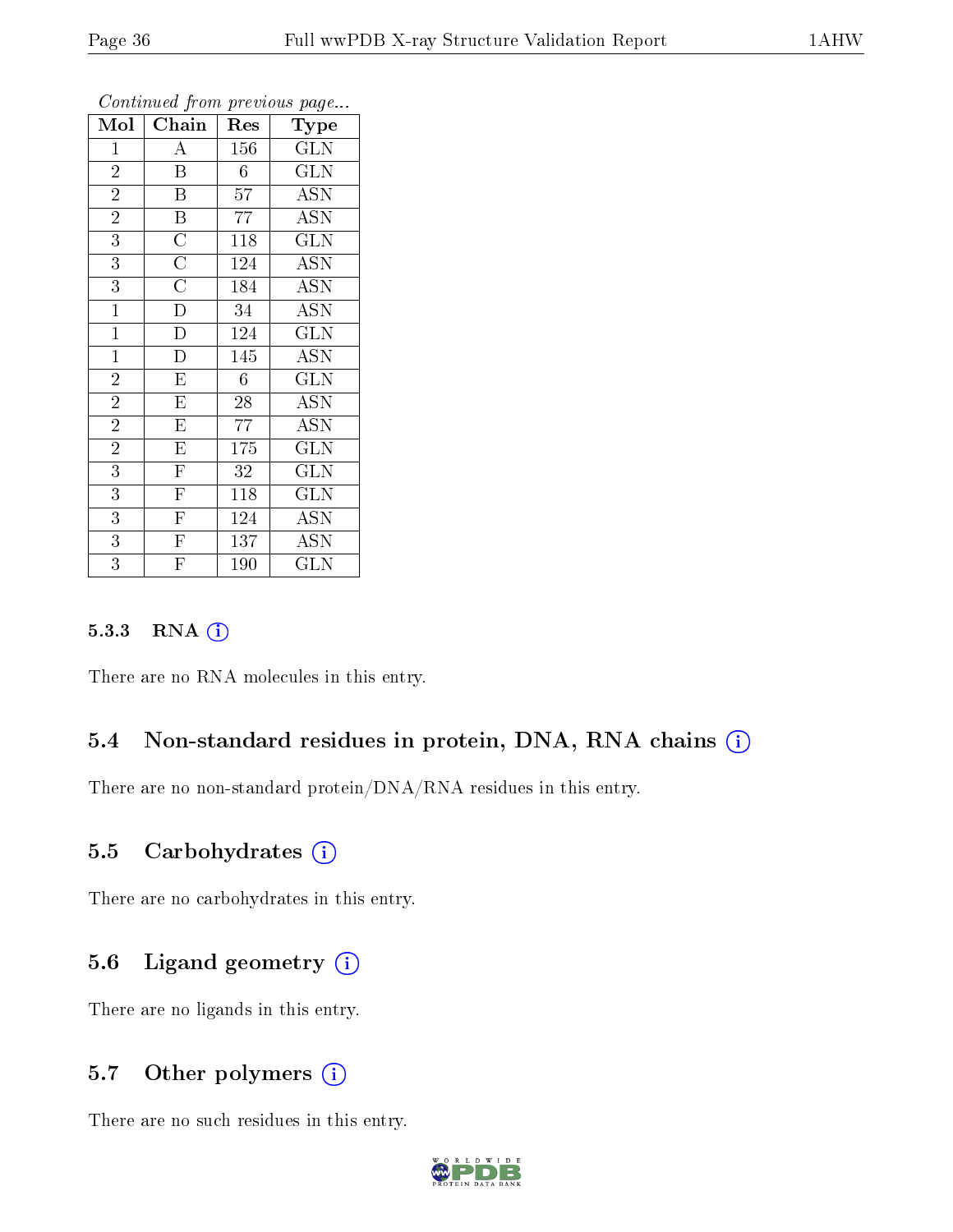| Mol            | Chain                   | Res            | Type                      |
|----------------|-------------------------|----------------|---------------------------|
| $\mathbf{1}$   | A                       | 156            | GLN                       |
| $\overline{2}$ | $\overline{\mathrm{B}}$ | $\overline{6}$ | $\overline{\text{GLN}}$   |
| $\overline{2}$ | $\boldsymbol{B}$        | 57             | $\overline{\mathrm{ASN}}$ |
| $\overline{2}$ | $\overline{\mathrm{B}}$ | 77             | <b>ASN</b>                |
| $\overline{3}$ | $\overline{C}$          | 118            | $\overline{\text{GLN}}$   |
| $\overline{3}$ | $\overline{C}$          | 124            | <b>ASN</b>                |
| $\overline{3}$ | $\overline{\rm C}$      | 184            | <b>ASN</b>                |
| $\overline{1}$ | $\overline{\rm D}$      | 34             | ASN                       |
| $\overline{1}$ | $\overline{\rm D}$      | 124            | $\overline{\text{GLN}}$   |
| $\overline{1}$ | $\overline{\rm D}$      | 145            | $\overline{\mathrm{ASN}}$ |
| $\overline{2}$ | $\overline{\mathrm{E}}$ | 6              | <b>GLN</b>                |
| $\overline{2}$ | $\overline{\mathrm{E}}$ | 28             | <b>ASN</b>                |
| $\overline{2}$ | E                       | 77             | <b>ASN</b>                |
| $\overline{2}$ | $\mathbf E$             | 175            | GLN                       |
| $\overline{3}$ | $\overline{\mathrm{F}}$ | 32             | <b>GLN</b>                |
| $\overline{3}$ | $\overline{\mathrm{F}}$ | 118            | $\overline{\text{GLN}}$   |
| $\overline{3}$ | $\overline{\mathrm{F}}$ | 124            | <b>ASN</b>                |
| $\overline{3}$ | $\overline{\mathrm{F}}$ | 137            | <b>ASN</b>                |
| $\overline{3}$ | $\overline{\mathrm{F}}$ | 190            | <b>GLN</b>                |

#### 5.3.3 RNA (i)

There are no RNA molecules in this entry.

#### 5.4 Non-standard residues in protein, DNA, RNA chains  $(i)$

There are no non-standard protein/DNA/RNA residues in this entry.

#### 5.5 Carbohydrates  $(i)$

There are no carbohydrates in this entry.

#### 5.6 Ligand geometry (i)

There are no ligands in this entry.

#### 5.7 [O](https://www.wwpdb.org/validation/2017/XrayValidationReportHelp#nonstandard_residues_and_ligands)ther polymers  $(i)$

There are no such residues in this entry.

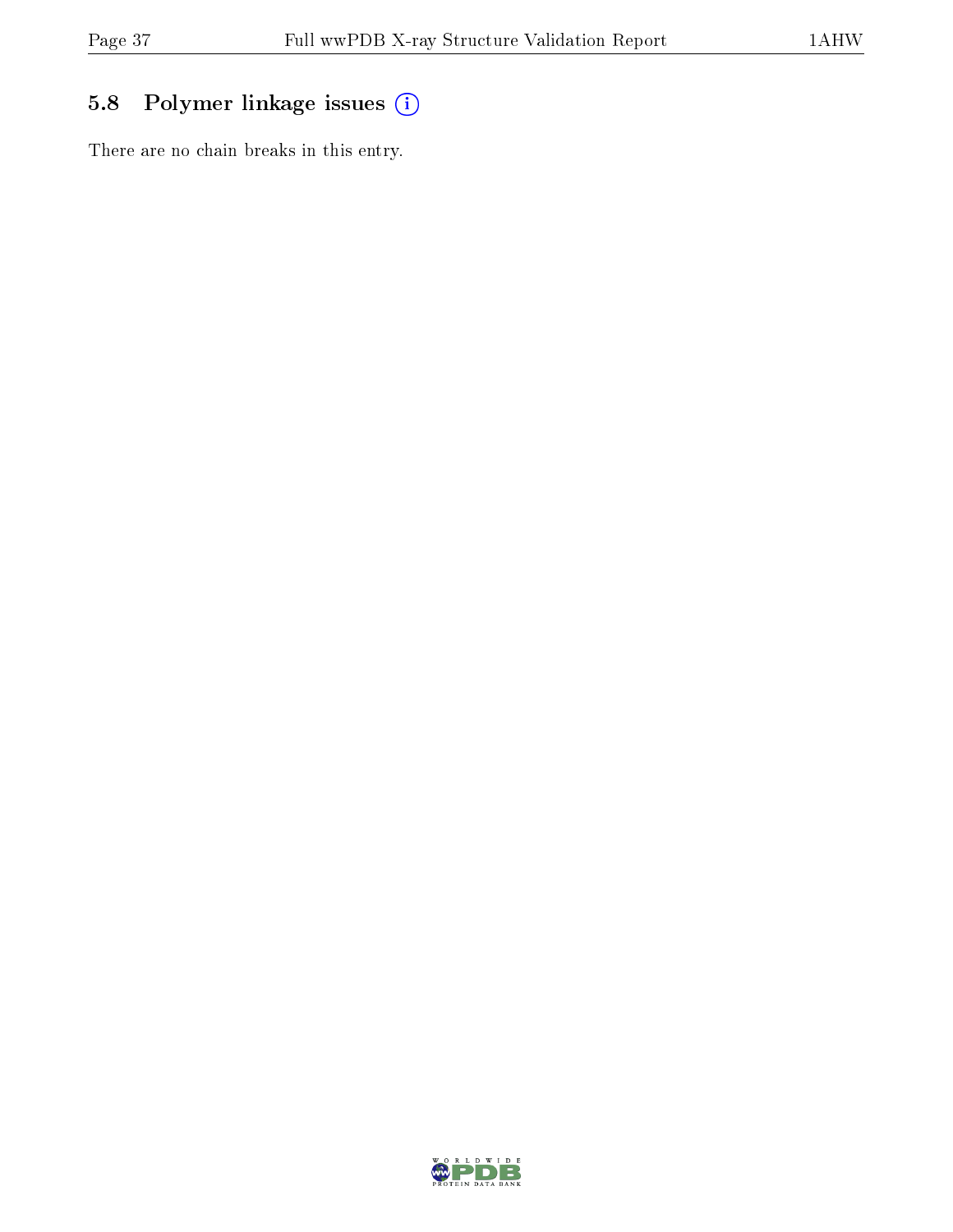## 5.8 Polymer linkage issues (i)

There are no chain breaks in this entry.